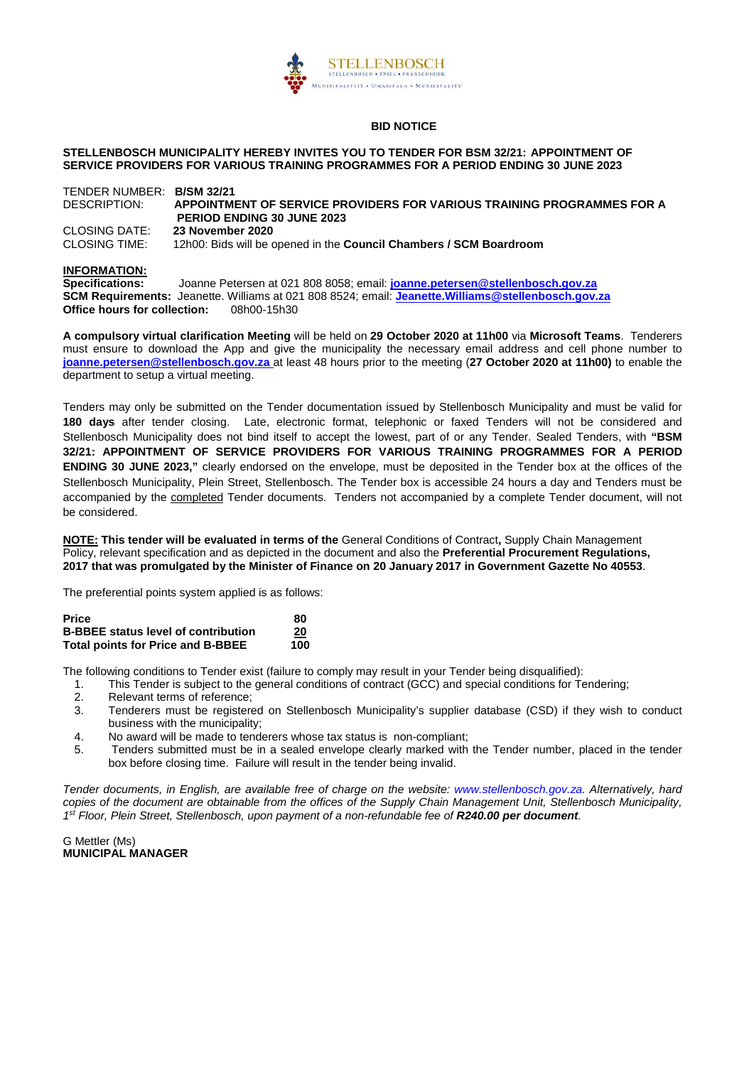

#### **BID NOTICE**

#### **STELLENBOSCH MUNICIPALITY HEREBY INVITES YOU TO TENDER FOR BSM 32/21: APPOINTMENT OF SERVICE PROVIDERS FOR VARIOUS TRAINING PROGRAMMES FOR A PERIOD ENDING 30 JUNE 2023**

TENDER NUMBER: **B/SM 32/21** APPOINTMENT OF SERVICE PROVIDERS FOR VARIOUS TRAINING PROGRAMMES FOR A **PERIOD ENDING 30 JUNE 2023**<br>CLOSING DATE: 23 November 2020 CLOSING DATE: **23 November 2020** 12h00: Bids will be opened in the **Council Chambers / SCM Boardroom** 

# **INFORMATION:**<br>Specifications:

**Specifications:** Joanne Petersen at 021 808 8058; email: **[joanne.petersen@stellenbosch.gov.za](mailto:joanne.petersen@stellenbosch.gov.za) SCM Requirements:** Jeanette. Williams at 021 808 8524; email: **[Jeanette.Williams@stellenbosch.gov.za](mailto:Jeanette.Williams@stellenbosch.gov.za) Office hours for collection:** 

**A compulsory virtual clarification Meeting** will be held on **29 October 2020 at 11h00** via **Microsoft Teams**. Tenderers must ensure to download the App and give the municipality the necessary email address and cell phone number to **[joanne.petersen@stellenbosch.gov.za](mailto:joanne.petersen@stellenbosch.gov.za)** at least 48 hours prior to the meeting (**27 October 2020 at 11h00)** to enable the department to setup a virtual meeting.

Tenders may only be submitted on the Tender documentation issued by Stellenbosch Municipality and must be valid for **180 days** after tender closing. Late, electronic format, telephonic or faxed Tenders will not be considered and Stellenbosch Municipality does not bind itself to accept the lowest, part of or any Tender. Sealed Tenders, with **"BSM 32/21: APPOINTMENT OF SERVICE PROVIDERS FOR VARIOUS TRAINING PROGRAMMES FOR A PERIOD ENDING 30 JUNE 2023,"** clearly endorsed on the envelope, must be deposited in the Tender box at the offices of the Stellenbosch Municipality, Plein Street, Stellenbosch. The Tender box is accessible 24 hours a day and Tenders must be accompanied by the completed Tender documents. Tenders not accompanied by a complete Tender document, will not be considered.

**NOTE: This tender will be evaluated in terms of the** General Conditions of Contract**,** Supply Chain Management Policy, relevant specification and as depicted in the document and also the **Preferential Procurement Regulations, 2017 that was promulgated by the Minister of Finance on 20 January 2017 in Government Gazette No 40553**.

The preferential points system applied is as follows:

| Price                                      | 80  |
|--------------------------------------------|-----|
| <b>B-BBEE status level of contribution</b> | 20  |
| Total points for Price and B-BBEE          | 100 |

The following conditions to Tender exist (failure to comply may result in your Tender being disqualified):

- 1. This Tender is subject to the general conditions of contract (GCC) and special conditions for Tendering;
- 2. Relevant terms of reference;
- 3. Tenderers must be registered on Stellenbosch Municipality's supplier database (CSD) if they wish to conduct business with the municipality;
- 4. No award will be made to tenderers whose tax status is non-compliant;
- 5. Tenders submitted must be in a sealed envelope clearly marked with the Tender number, placed in the tender box before closing time. Failure will result in the tender being invalid.

*Tender documents, in English, are available free of charge on the website: [www.stellenbosch.gov.za.](http://www.stellenbosch.gov.za/) Alternatively, hard copies of the document are obtainable from the offices of the Supply Chain Management Unit, Stellenbosch Municipality, 1st Floor, Plein Street, Stellenbosch, upon payment of a non-refundable fee of R240.00 per document.*

G Mettler (Ms) **MUNICIPAL MANAGER**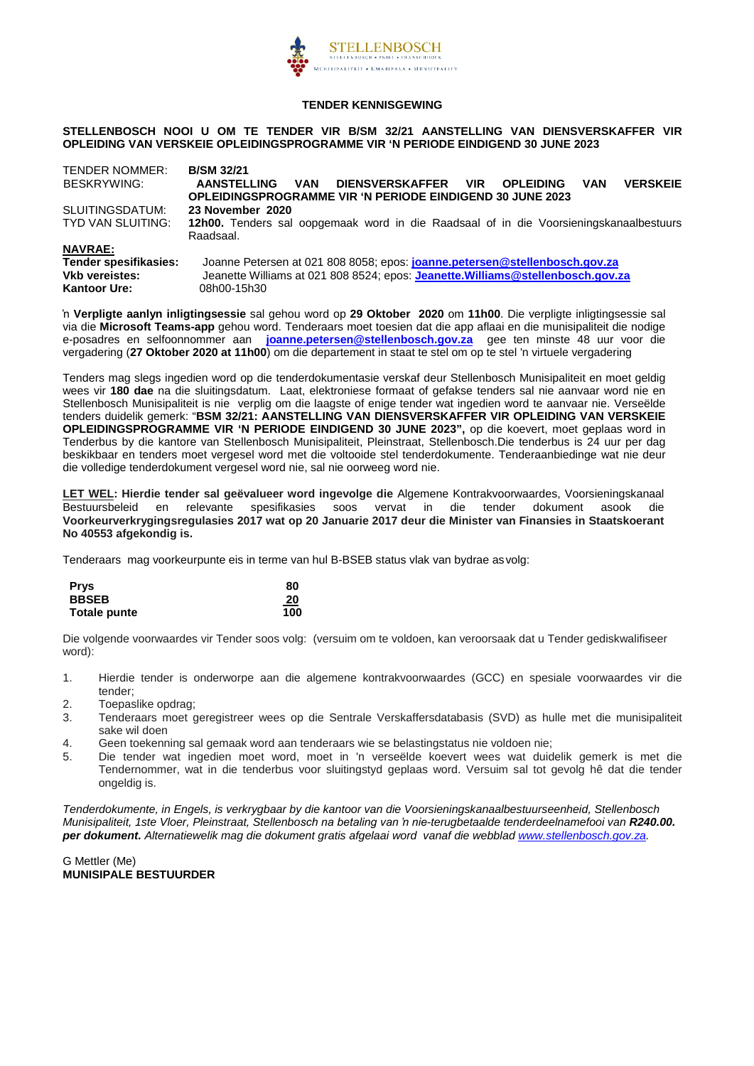

#### **TENDER KENNISGEWING**

#### **STELLENBOSCH NOOI U OM TE TENDER VIR B/SM 32/21 AANSTELLING VAN DIENSVERSKAFFER VIR OPLEIDING VAN VERSKEIE OPLEIDINGSPROGRAMME VIR 'N PERIODE EINDIGEND 30 JUNE 2023**

| <b>TENDER NOMMER:</b>        | <b>B/SM 32/21</b>                                                                                            |
|------------------------------|--------------------------------------------------------------------------------------------------------------|
| BESKRYWING:                  | DIENSVERSKAFFER VIR<br><b>VAN</b><br><b>VERSKEIE</b><br><b>AANSTELLING</b><br><b>VAN</b><br><b>OPLEIDING</b> |
|                              | <b>OPLEIDINGSPROGRAMME VIR 'N PERIODE EINDIGEND 30 JUNE 2023</b>                                             |
| SLUITINGSDATUM:              | 23 November 2020                                                                                             |
| TYD VAN SLUITING:            | 12h00. Tenders sal oopgemaak word in die Raadsaal of in die Voorsieningskanaalbestuurs                       |
|                              | Raadsaal.                                                                                                    |
| <b>NAVRAE:</b>               |                                                                                                              |
| <b>Tender spesifikasies:</b> | Joanne Petersen at 021 808 8058; epos: joanne.petersen@stellenbosch.gov.za                                   |
| <b>Vkb vereistes:</b>        | Jeanette Williams at 021 808 8524; epos: Jeanette. Williams@stellenbosch.gov.za                              |
| <b>Kantoor Ure:</b>          | 08h00-15h30                                                                                                  |

'n **Verpligte aanlyn inligtingsessie** sal gehou word op **29 Oktober 2020** om **11h00**. Die verpligte inligtingsessie sal via die **Microsoft Teams-app** gehou word. Tenderaars moet toesien dat die app aflaai en die munisipaliteit die nodige e-posadres en selfoonnommer aan **[joanne.petersen@stellenbosch.gov.za](mailto:joanne.petersen@stellenbosch.gov.za)** gee ten minste 48 uur voor die vergadering (**27 Oktober 2020 at 11h00**) om die departement in staat te stel om op te stel 'n virtuele vergadering

Tenders mag slegs ingedien word op die tenderdokumentasie verskaf deur Stellenbosch Munisipaliteit en moet geldig wees vir **180 dae** na die sluitingsdatum. Laat, elektroniese formaat of gefakse tenders sal nie aanvaar word nie en Stellenbosch Munisipaliteit is nie verplig om die laagste of enige tender wat ingedien word te aanvaar nie. Verseëlde tenders duidelik gemerk: "**BSM 32/21: AANSTELLING VAN DIENSVERSKAFFER VIR OPLEIDING VAN VERSKEIE OPLEIDINGSPROGRAMME VIR 'N PERIODE EINDIGEND 30 JUNE 2023",** op die koevert, moet geplaas word in Tenderbus by die kantore van Stellenbosch Munisipaliteit, Pleinstraat, Stellenbosch.Die tenderbus is 24 uur per dag beskikbaar en tenders moet vergesel word met die voltooide stel tenderdokumente. Tenderaanbiedinge wat nie deur die volledige tenderdokument vergesel word nie, sal nie oorweeg word nie.

**LET WEL: Hierdie tender sal geëvalueer word ingevolge die** Algemene Kontrakvoorwaardes, Voorsieningskanaal Bestuursbeleid en relevante spesifikasies soos vervat in die tender dokument asook die **Voorkeurverkrygingsregulasies 2017 wat op 20 Januarie 2017 deur die Minister van Finansies in Staatskoerant No 40553 afgekondig is.** 

Tenderaars mag voorkeurpunte eis in terme van hul B-BSEB status vlak van bydrae asvolg:

| <b>Prys</b>  | 80             |
|--------------|----------------|
| <b>BBSEB</b> | 20<br><u>—</u> |
| Totale punte | 100            |

Die volgende voorwaardes vir Tender soos volg: (versuim om te voldoen, kan veroorsaak dat u Tender gediskwalifiseer word):

- 1. Hierdie tender is onderworpe aan die algemene kontrakvoorwaardes (GCC) en spesiale voorwaardes vir die tender;
- 2. Toepaslike opdrag;
- 3. Tenderaars moet geregistreer wees op die Sentrale Verskaffersdatabasis (SVD) as hulle met die munisipaliteit sake wil doen
- 4. Geen toekenning sal gemaak word aan tenderaars wie se belastingstatus nie voldoen nie;<br>5. Die tender wat ingedien moet word, moet in 'n verseëlde koevert wees wat duid
- 5. Die tender wat ingedien moet word, moet in 'n verseëlde koevert wees wat duidelik gemerk is met die Tendernommer, wat in die tenderbus voor sluitingstyd geplaas word. Versuim sal tot gevolg hê dat die tender ongeldig is.

*Tenderdokumente, in Engels, is verkrygbaar by die kantoor van die Voorsieningskanaalbestuurseenheid, Stellenbosch Munisipaliteit, 1ste Vloer, Pleinstraat, Stellenbosch na betaling van 'n nie-terugbetaalde tenderdeelnamefooi van R240.00. per dokument. Alternatiewelik mag die dokument gratis afgelaai word vanaf die webblad [www.stellenbosch.gov.za.](http://www.stellenbosch.gov.za/)* 

G Mettler (Me) **MUNISIPALE BESTUURDER**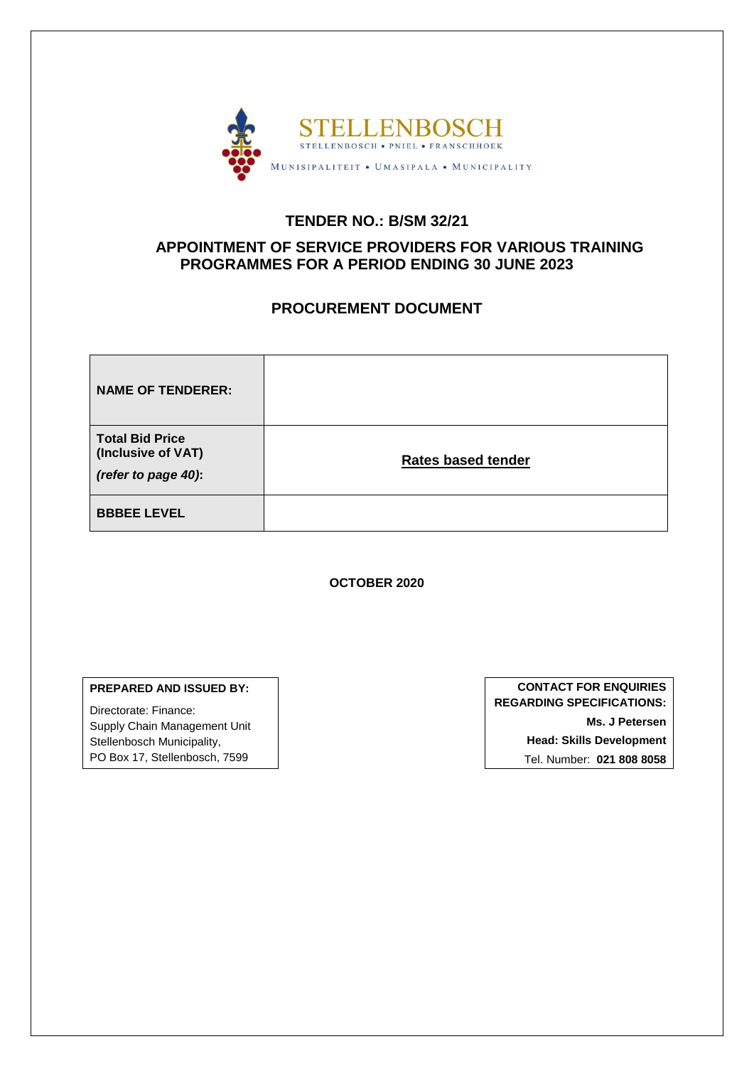

# **TENDER NO.: B/SM 32/21**

# **APPOINTMENT OF SERVICE PROVIDERS FOR VARIOUS TRAINING PROGRAMMES FOR A PERIOD ENDING 30 JUNE 2023**

# **PROCUREMENT DOCUMENT**

| <b>NAME OF TENDERER:</b>                                            |                           |
|---------------------------------------------------------------------|---------------------------|
| <b>Total Bid Price</b><br>(Inclusive of VAT)<br>(refer to page 40): | <b>Rates based tender</b> |
| <b>BBBEE LEVEL</b>                                                  |                           |

**OCTOBER 2020**

#### **PREPARED AND ISSUED BY:**

Directorate: Finance: Supply Chain Management Unit Stellenbosch Municipality, PO Box 17, Stellenbosch, 7599

**CONTACT FOR ENQUIRIES REGARDING SPECIFICATIONS: Ms. J Petersen Head: Skills Development** Tel. Number: **021 808 8058**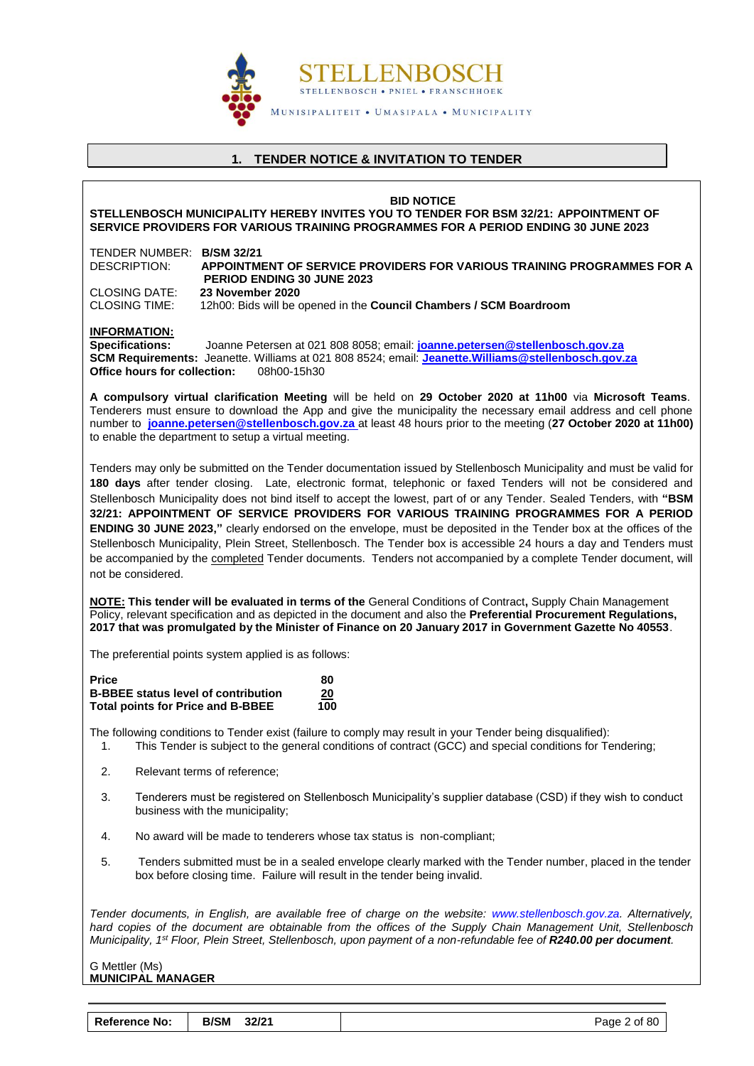

# **1. TENDER NOTICE & INVITATION TO TENDER**

<span id="page-3-0"></span>

|                                                                                                                                                                                                                                                                                                                                                                                                                                                                                                                                                                                                                                                                                                                                                                                                                                                  | <b>BID NOTICE</b><br>STELLENBOSCH MUNICIPALITY HEREBY INVITES YOU TO TENDER FOR BSM 32/21: APPOINTMENT OF<br>SERVICE PROVIDERS FOR VARIOUS TRAINING PROGRAMMES FOR A PERIOD ENDING 30 JUNE 2023                                                                                                                                                                                                       |  |  |  |
|--------------------------------------------------------------------------------------------------------------------------------------------------------------------------------------------------------------------------------------------------------------------------------------------------------------------------------------------------------------------------------------------------------------------------------------------------------------------------------------------------------------------------------------------------------------------------------------------------------------------------------------------------------------------------------------------------------------------------------------------------------------------------------------------------------------------------------------------------|-------------------------------------------------------------------------------------------------------------------------------------------------------------------------------------------------------------------------------------------------------------------------------------------------------------------------------------------------------------------------------------------------------|--|--|--|
| TENDER NUMBER: B/SM 32/21<br><b>DESCRIPTION:</b>                                                                                                                                                                                                                                                                                                                                                                                                                                                                                                                                                                                                                                                                                                                                                                                                 | APPOINTMENT OF SERVICE PROVIDERS FOR VARIOUS TRAINING PROGRAMMES FOR A<br><b>PERIOD ENDING 30 JUNE 2023</b>                                                                                                                                                                                                                                                                                           |  |  |  |
| <b>CLOSING DATE:</b><br><b>CLOSING TIME:</b>                                                                                                                                                                                                                                                                                                                                                                                                                                                                                                                                                                                                                                                                                                                                                                                                     | 23 November 2020<br>12h00: Bids will be opened in the Council Chambers / SCM Boardroom                                                                                                                                                                                                                                                                                                                |  |  |  |
| <b>INFORMATION:</b><br><b>Specifications:</b><br><b>Office hours for collection:</b>                                                                                                                                                                                                                                                                                                                                                                                                                                                                                                                                                                                                                                                                                                                                                             | Joanne Petersen at 021 808 8058; email: joanne.petersen@stellenbosch.gov.za<br>SCM Requirements: Jeanette. Williams at 021 808 8524; email: Jeanette. Williams@stellenbosch.gov.za<br>08h00-15h30                                                                                                                                                                                                     |  |  |  |
|                                                                                                                                                                                                                                                                                                                                                                                                                                                                                                                                                                                                                                                                                                                                                                                                                                                  | A compulsory virtual clarification Meeting will be held on 29 October 2020 at 11h00 via Microsoft Teams.<br>Tenderers must ensure to download the App and give the municipality the necessary email address and cell phone<br>number to joanne.petersen@stellenbosch.gov.za at least 48 hours prior to the meeting (27 October 2020 at 11h00)<br>to enable the department to setup a virtual meeting. |  |  |  |
| Tenders may only be submitted on the Tender documentation issued by Stellenbosch Municipality and must be valid for<br>180 days after tender closing. Late, electronic format, telephonic or faxed Tenders will not be considered and<br>Stellenbosch Municipality does not bind itself to accept the lowest, part of or any Tender. Sealed Tenders, with "BSM<br>32/21: APPOINTMENT OF SERVICE PROVIDERS FOR VARIOUS TRAINING PROGRAMMES FOR A PERIOD<br><b>ENDING 30 JUNE 2023,"</b> clearly endorsed on the envelope, must be deposited in the Tender box at the offices of the<br>Stellenbosch Municipality, Plein Street, Stellenbosch. The Tender box is accessible 24 hours a day and Tenders must<br>be accompanied by the completed Tender documents. Tenders not accompanied by a complete Tender document, will<br>not be considered. |                                                                                                                                                                                                                                                                                                                                                                                                       |  |  |  |
|                                                                                                                                                                                                                                                                                                                                                                                                                                                                                                                                                                                                                                                                                                                                                                                                                                                  | NOTE: This tender will be evaluated in terms of the General Conditions of Contract, Supply Chain Management<br>Policy, relevant specification and as depicted in the document and also the Preferential Procurement Regulations,<br>2017 that was promulgated by the Minister of Finance on 20 January 2017 in Government Gazette No 40553.                                                           |  |  |  |
|                                                                                                                                                                                                                                                                                                                                                                                                                                                                                                                                                                                                                                                                                                                                                                                                                                                  | The preferential points system applied is as follows:                                                                                                                                                                                                                                                                                                                                                 |  |  |  |
| <b>Price</b><br><b>B-BBEE status level of contribution</b><br><b>Total points for Price and B-BBEE</b>                                                                                                                                                                                                                                                                                                                                                                                                                                                                                                                                                                                                                                                                                                                                           | 80<br>20<br>100                                                                                                                                                                                                                                                                                                                                                                                       |  |  |  |
|                                                                                                                                                                                                                                                                                                                                                                                                                                                                                                                                                                                                                                                                                                                                                                                                                                                  | The following conditions to Tender exist (failure to comply may result in your Tender being disqualified):<br>1. This Tender is subject to the general conditions of contract (GCC) and special conditions for Tendering;                                                                                                                                                                             |  |  |  |
| 2.                                                                                                                                                                                                                                                                                                                                                                                                                                                                                                                                                                                                                                                                                                                                                                                                                                               | Relevant terms of reference;                                                                                                                                                                                                                                                                                                                                                                          |  |  |  |
| 3.                                                                                                                                                                                                                                                                                                                                                                                                                                                                                                                                                                                                                                                                                                                                                                                                                                               | Tenderers must be registered on Stellenbosch Municipality's supplier database (CSD) if they wish to conduct<br>business with the municipality;                                                                                                                                                                                                                                                        |  |  |  |
| 4.                                                                                                                                                                                                                                                                                                                                                                                                                                                                                                                                                                                                                                                                                                                                                                                                                                               | No award will be made to tenderers whose tax status is non-compliant;                                                                                                                                                                                                                                                                                                                                 |  |  |  |
| 5.                                                                                                                                                                                                                                                                                                                                                                                                                                                                                                                                                                                                                                                                                                                                                                                                                                               | Tenders submitted must be in a sealed envelope clearly marked with the Tender number, placed in the tender<br>box before closing time. Failure will result in the tender being invalid.                                                                                                                                                                                                               |  |  |  |
| G Mettler (Ms)                                                                                                                                                                                                                                                                                                                                                                                                                                                                                                                                                                                                                                                                                                                                                                                                                                   | Tender documents, in English, are available free of charge on the website: www.stellenbosch.gov.za. Alternatively,<br>hard copies of the document are obtainable from the offices of the Supply Chain Management Unit, Stellenbosch<br>Municipality, 1 <sup>st</sup> Floor, Plein Street, Stellenbosch, upon payment of a non-refundable fee of R240.00 per document.                                 |  |  |  |

| <b>Reference No:</b> | <b>B/SM</b><br>32/21 | Page 2 of 80 |
|----------------------|----------------------|--------------|
|----------------------|----------------------|--------------|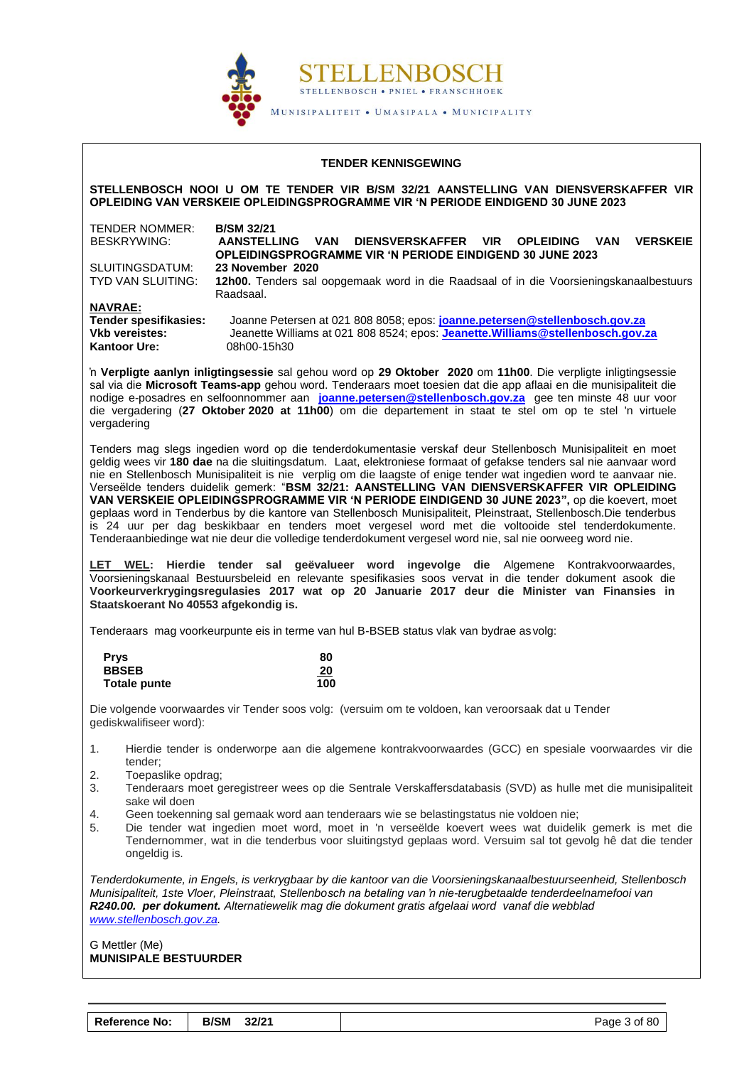

#### **TENDER KENNISGEWING**

**STELLENBOSCH NOOI U OM TE TENDER VIR B/SM 32/21 AANSTELLING VAN DIENSVERSKAFFER VIR OPLEIDING VAN VERSKEIE OPLEIDINGSPROGRAMME VIR 'N PERIODE EINDIGEND 30 JUNE 2023**

| TENDER NOMMER:          | <b>B/SM 32/21</b>                                                                      |
|-------------------------|----------------------------------------------------------------------------------------|
| BESKRYWING:             | AANSTELLING VAN<br>DIENSVERSKAFFER VIR OPLEIDING<br><b>VERSKEIE</b><br>VAN             |
|                         | <b>OPLEIDINGSPROGRAMME VIR 'N PERIODE EINDIGEND 30 JUNE 2023</b>                       |
| SLUITINGSDATUM:         | 23 November 2020                                                                       |
| l TYD VAN SLUITING:     | 12h00. Tenders sal oopgemaak word in die Raadsaal of in die Voorsieningskanaalbestuurs |
|                         | Raadsaal.                                                                              |
| <b>NAVRAE:</b>          |                                                                                        |
| l Tandar engeifikaejae: | loanne Refereen at 021,808,8058; enes; joanne peterson@stellenbesch gevize             |

**Tender spesifikasies:** Joanne Petersen at 021 808 8058; epos: **[joanne.petersen@stellenbosch.gov.za](mailto:joanne.petersen@stellenbosch.gov.za) Vkb vereistes:** Jeanette Williams at 021 808 8524; epos: **[Jeanette.Williams@stellenbosch.gov.za](mailto:Jeanette.Williams@stellenbosch.gov.za) Kantoor Ure:** 08h00-15h30

'n **Verpligte aanlyn inligtingsessie** sal gehou word op **29 Oktober 2020** om **11h00**. Die verpligte inligtingsessie sal via die **Microsoft Teams-app** gehou word. Tenderaars moet toesien dat die app aflaai en die munisipaliteit die nodige e-posadres en selfoonnommer aan **[joanne.petersen@stellenbosch.gov.za](mailto:joanne.petersen@stellenbosch.gov.za)** gee ten minste 48 uur voor die vergadering (**27 Oktober 2020 at 11h00**) om die departement in staat te stel om op te stel 'n virtuele vergadering

Tenders mag slegs ingedien word op die tenderdokumentasie verskaf deur Stellenbosch Munisipaliteit en moet geldig wees vir **180 dae** na die sluitingsdatum. Laat, elektroniese formaat of gefakse tenders sal nie aanvaar word nie en Stellenbosch Munisipaliteit is nie verplig om die laagste of enige tender wat ingedien word te aanvaar nie. Verseëlde tenders duidelik gemerk: "**BSM 32/21: AANSTELLING VAN DIENSVERSKAFFER VIR OPLEIDING VAN VERSKEIE OPLEIDINGSPROGRAMME VIR 'N PERIODE EINDIGEND 30 JUNE 2023",** op die koevert, moet geplaas word in Tenderbus by die kantore van Stellenbosch Munisipaliteit, Pleinstraat, Stellenbosch.Die tenderbus is 24 uur per dag beskikbaar en tenders moet vergesel word met die voltooide stel tenderdokumente. Tenderaanbiedinge wat nie deur die volledige tenderdokument vergesel word nie, sal nie oorweeg word nie.

**LET WEL: Hierdie tender sal geëvalueer word ingevolge die** Algemene Kontrakvoorwaardes, Voorsieningskanaal Bestuursbeleid en relevante spesifikasies soos vervat in die tender dokument asook die **Voorkeurverkrygingsregulasies 2017 wat op 20 Januarie 2017 deur die Minister van Finansies in Staatskoerant No 40553 afgekondig is.** 

Tenderaars mag voorkeurpunte eis in terme van hul B-BSEB status vlak van bydrae as volg:

| <b>Prys</b>  | 80  |
|--------------|-----|
| <b>BBSEB</b> | 20  |
| Totale punte | 100 |

Die volgende voorwaardes vir Tender soos volg: (versuim om te voldoen, kan veroorsaak dat u Tender gediskwalifiseer word):

- 1. Hierdie tender is onderworpe aan die algemene kontrakvoorwaardes (GCC) en spesiale voorwaardes vir die tender;
- 2. Toepaslike opdrag;
- 3. Tenderaars moet geregistreer wees op die Sentrale Verskaffersdatabasis (SVD) as hulle met die munisipaliteit sake wil doen
- 4. Geen toekenning sal gemaak word aan tenderaars wie se belastingstatus nie voldoen nie;<br>5. Die tender wat ingedien moet word, moet in 'n verseëlde koevert wees wat duideli
- 5. Die tender wat ingedien moet word, moet in 'n verseëlde koevert wees wat duidelik gemerk is met die Tendernommer, wat in die tenderbus voor sluitingstyd geplaas word. Versuim sal tot gevolg hê dat die tender ongeldig is.

*Tenderdokumente, in Engels, is verkrygbaar by die kantoor van die Voorsieningskanaalbestuurseenheid, Stellenbosch Munisipaliteit, 1ste Vloer, Pleinstraat, Stellenbosch na betaling van 'n nie-terugbetaalde tenderdeelnamefooi van R240.00. per dokument. Alternatiewelik mag die dokument gratis afgelaai word vanaf die webblad [www.stellenbosch.gov.za.](http://www.stellenbosch.gov.za/)* 

G Mettler (Me) **MUNISIPALE BESTUURDER**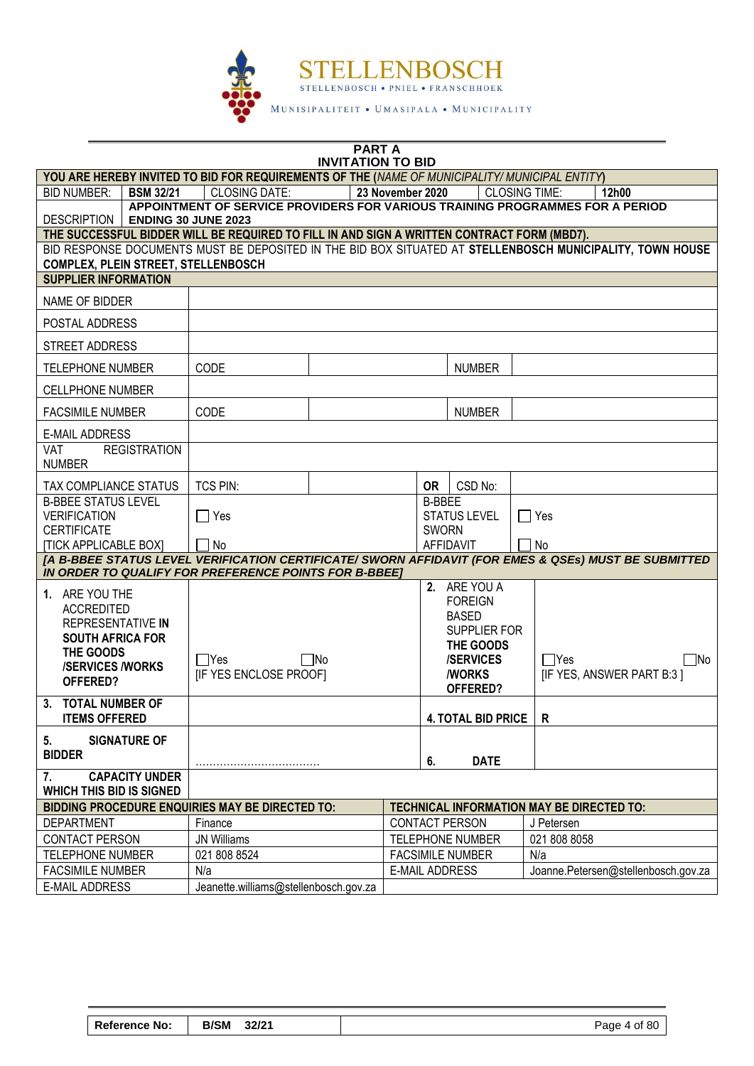

| <b>PART A</b><br><b>INVITATION TO BID</b>                                                                                                                     |                       |                                                                                                             |       |                  |                       |                                |  |                                                                                                           |
|---------------------------------------------------------------------------------------------------------------------------------------------------------------|-----------------------|-------------------------------------------------------------------------------------------------------------|-------|------------------|-----------------------|--------------------------------|--|-----------------------------------------------------------------------------------------------------------|
|                                                                                                                                                               |                       | YOU ARE HEREBY INVITED TO BID FOR REQUIREMENTS OF THE (NAME OF MUNICIPALITY/ MUNICIPAL ENTITY)              |       |                  |                       |                                |  |                                                                                                           |
| <b>BID NUMBER:</b>                                                                                                                                            | <b>BSM 32/21</b>      | <b>CLOSING DATE:</b>                                                                                        |       | 23 November 2020 |                       |                                |  | <b>CLOSING TIME:</b><br>12h00                                                                             |
| <b>DESCRIPTION</b>                                                                                                                                            |                       | APPOINTMENT OF SERVICE PROVIDERS FOR VARIOUS TRAINING PROGRAMMES FOR A PERIOD<br><b>ENDING 30 JUNE 2023</b> |       |                  |                       |                                |  |                                                                                                           |
|                                                                                                                                                               |                       | THE SUCCESSFUL BIDDER WILL BE REQUIRED TO FILL IN AND SIGN A WRITTEN CONTRACT FORM (MBD7).                  |       |                  |                       |                                |  |                                                                                                           |
|                                                                                                                                                               |                       |                                                                                                             |       |                  |                       |                                |  | BID RESPONSE DOCUMENTS MUST BE DEPOSITED IN THE BID BOX SITUATED AT STELLENBOSCH MUNICIPALITY, TOWN HOUSE |
| <b>COMPLEX, PLEIN STREET, STELLENBOSCH</b>                                                                                                                    |                       |                                                                                                             |       |                  |                       |                                |  |                                                                                                           |
| <b>SUPPLIER INFORMATION</b>                                                                                                                                   |                       |                                                                                                             |       |                  |                       |                                |  |                                                                                                           |
| NAME OF BIDDER                                                                                                                                                |                       |                                                                                                             |       |                  |                       |                                |  |                                                                                                           |
| POSTAL ADDRESS                                                                                                                                                |                       |                                                                                                             |       |                  |                       |                                |  |                                                                                                           |
| <b>STREET ADDRESS</b>                                                                                                                                         |                       |                                                                                                             |       |                  |                       |                                |  |                                                                                                           |
| <b>TELEPHONE NUMBER</b>                                                                                                                                       |                       | CODE                                                                                                        |       |                  |                       | <b>NUMBER</b>                  |  |                                                                                                           |
| <b>CELLPHONE NUMBER</b>                                                                                                                                       |                       |                                                                                                             |       |                  |                       |                                |  |                                                                                                           |
| <b>FACSIMILE NUMBER</b>                                                                                                                                       |                       | CODE                                                                                                        |       |                  |                       | <b>NUMBER</b>                  |  |                                                                                                           |
| <b>E-MAIL ADDRESS</b>                                                                                                                                         |                       |                                                                                                             |       |                  |                       |                                |  |                                                                                                           |
| VAT<br><b>NUMBER</b>                                                                                                                                          | <b>REGISTRATION</b>   |                                                                                                             |       |                  |                       |                                |  |                                                                                                           |
| TAX COMPLIANCE STATUS                                                                                                                                         |                       | <b>TCS PIN:</b>                                                                                             |       |                  | <b>OR</b>             | CSD No:                        |  |                                                                                                           |
| <b>B-BBEE STATUS LEVEL</b>                                                                                                                                    |                       |                                                                                                             |       |                  | <b>B-BBEE</b>         |                                |  |                                                                                                           |
| <b>VERIFICATION</b>                                                                                                                                           |                       | $\Box$ Yes                                                                                                  |       |                  |                       | <b>STATUS LEVEL</b>            |  | $\Box$ Yes                                                                                                |
| <b>CERTIFICATE</b>                                                                                                                                            |                       |                                                                                                             |       |                  | <b>SWORN</b>          |                                |  |                                                                                                           |
| <b>[TICK APPLICABLE BOX]</b>                                                                                                                                  |                       | $\Box$ No<br><b>AFFIDAVIT</b><br>$\Box$ No                                                                  |       |                  |                       |                                |  |                                                                                                           |
| [A B-BBEE STATUS LEVEL VERIFICATION CERTIFICATE/ SWORN AFFIDAVIT (FOR EMES & QSEs) MUST BE SUBMITTED<br>IN ORDER TO QUALIFY FOR PREFERENCE POINTS FOR B-BBEET |                       |                                                                                                             |       |                  |                       |                                |  |                                                                                                           |
| 1. ARE YOU THE                                                                                                                                                |                       |                                                                                                             |       |                  |                       | 2. ARE YOU A                   |  |                                                                                                           |
| <b>ACCREDITED</b>                                                                                                                                             |                       |                                                                                                             |       |                  |                       | <b>FOREIGN</b><br><b>BASED</b> |  |                                                                                                           |
| REPRESENTATIVE IN                                                                                                                                             |                       |                                                                                                             |       |                  |                       | SUPPLIER FOR                   |  |                                                                                                           |
| <b>SOUTH AFRICA FOR</b>                                                                                                                                       |                       |                                                                                                             |       |                  |                       | THE GOODS                      |  |                                                                                                           |
| THE GOODS                                                                                                                                                     |                       | $\Box$ Yes                                                                                                  | l INo |                  |                       | <b>/SERVICES</b>               |  | $\Box$ No<br>  Yes                                                                                        |
| <b>/SERVICES/WORKS</b><br>OFFERED?                                                                                                                            |                       | [IF YES ENCLOSE PROOF]                                                                                      |       |                  |                       | <b><i>NORKS</i></b>            |  | [IF YES, ANSWER PART B:3]                                                                                 |
|                                                                                                                                                               |                       |                                                                                                             |       |                  |                       | OFFERED?                       |  |                                                                                                           |
| 3. TOTAL NUMBER OF<br><b>ITEMS OFFERED</b>                                                                                                                    |                       |                                                                                                             |       |                  |                       | <b>4. TOTAL BID PRICE</b>      |  | R                                                                                                         |
| <b>SIGNATURE OF</b><br>5.                                                                                                                                     |                       |                                                                                                             |       |                  |                       |                                |  |                                                                                                           |
| <b>BIDDER</b>                                                                                                                                                 |                       |                                                                                                             |       |                  | 6.                    | <b>DATE</b>                    |  |                                                                                                           |
| 7.<br>WHICH THIS BID IS SIGNED                                                                                                                                | <b>CAPACITY UNDER</b> |                                                                                                             |       |                  |                       |                                |  |                                                                                                           |
|                                                                                                                                                               |                       | BIDDING PROCEDURE ENQUIRIES MAY BE DIRECTED TO:                                                             |       |                  |                       |                                |  | <b>TECHNICAL INFORMATION MAY BE DIRECTED TO:</b>                                                          |
| <b>DEPARTMENT</b>                                                                                                                                             |                       | Finance                                                                                                     |       |                  |                       | <b>CONTACT PERSON</b>          |  | J Petersen                                                                                                |
| CONTACT PERSON                                                                                                                                                |                       | <b>JN Williams</b>                                                                                          |       |                  |                       | <b>TELEPHONE NUMBER</b>        |  | 021 808 8058                                                                                              |
| <b>TELEPHONE NUMBER</b>                                                                                                                                       |                       | 021 808 8524                                                                                                |       |                  |                       | <b>FACSIMILE NUMBER</b>        |  | N/a                                                                                                       |
| <b>FACSIMILE NUMBER</b>                                                                                                                                       |                       | N/a                                                                                                         |       |                  | <b>E-MAIL ADDRESS</b> |                                |  | Joanne.Petersen@stellenbosch.gov.za                                                                       |
| <b>E-MAIL ADDRESS</b>                                                                                                                                         |                       | Jeanette.williams@stellenbosch.gov.za                                                                       |       |                  |                       |                                |  |                                                                                                           |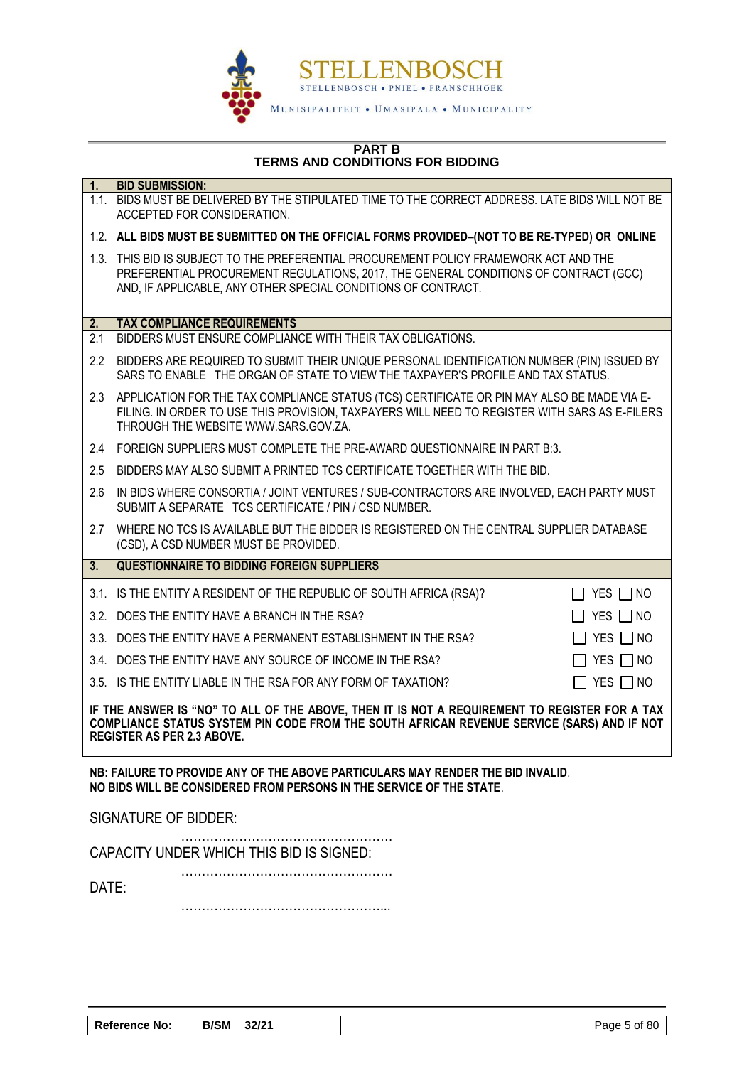

#### **PART B TERMS AND CONDITIONS FOR BIDDING**

| $\overline{1}$ . | <b>BID SUBMISSION:</b>                                                                                                                                                                                                                         |
|------------------|------------------------------------------------------------------------------------------------------------------------------------------------------------------------------------------------------------------------------------------------|
|                  | 1.1. BIDS MUST BE DELIVERED BY THE STIPULATED TIME TO THE CORRECT ADDRESS. LATE BIDS WILL NOT BE<br>ACCEPTED FOR CONSIDERATION.                                                                                                                |
|                  | 1.2. ALL BIDS MUST BE SUBMITTED ON THE OFFICIAL FORMS PROVIDED-(NOT TO BE RE-TYPED) OR ONLINE                                                                                                                                                  |
|                  | 1.3. THIS BID IS SUBJECT TO THE PREFERENTIAL PROCUREMENT POLICY FRAMEWORK ACT AND THE<br>PREFERENTIAL PROCUREMENT REGULATIONS, 2017, THE GENERAL CONDITIONS OF CONTRACT (GCC)<br>AND, IF APPLICABLE, ANY OTHER SPECIAL CONDITIONS OF CONTRACT. |
| 2.               | <b>TAX COMPLIANCE REQUIREMENTS</b>                                                                                                                                                                                                             |
| 2.1              | BIDDERS MUST ENSURE COMPLIANCE WITH THEIR TAX OBLIGATIONS.                                                                                                                                                                                     |
| 2.2              | BIDDERS ARE REQUIRED TO SUBMIT THEIR UNIQUE PERSONAL IDENTIFICATION NUMBER (PIN) ISSUED BY<br>SARS TO ENABLE THE ORGAN OF STATE TO VIEW THE TAXPAYER'S PROFILE AND TAX STATUS.                                                                 |
| 2.3              | APPLICATION FOR THE TAX COMPLIANCE STATUS (TCS) CERTIFICATE OR PIN MAY ALSO BE MADE VIA E-<br>FILING. IN ORDER TO USE THIS PROVISION, TAXPAYERS WILL NEED TO REGISTER WITH SARS AS E-FILERS<br>THROUGH THE WEBSITE WWW.SARS.GOV.ZA.            |
| 2.4              | FOREIGN SUPPLIERS MUST COMPLETE THE PRE-AWARD QUESTIONNAIRE IN PART B:3.                                                                                                                                                                       |
| 2.5              | BIDDERS MAY ALSO SUBMIT A PRINTED TCS CERTIFICATE TOGETHER WITH THE BID.                                                                                                                                                                       |
| 2.6              | IN BIDS WHERE CONSORTIA / JOINT VENTURES / SUB-CONTRACTORS ARE INVOLVED, EACH PARTY MUST<br>SUBMIT A SEPARATE TCS CERTIFICATE / PIN / CSD NUMBER.                                                                                              |
| 2.7              | WHERE NO TCS IS AVAILABLE BUT THE BIDDER IS REGISTERED ON THE CENTRAL SUPPLIER DATABASE<br>(CSD), A CSD NUMBER MUST BE PROVIDED.                                                                                                               |
| 3.               | <b>QUESTIONNAIRE TO BIDDING FOREIGN SUPPLIERS</b>                                                                                                                                                                                              |
|                  | 3.1. IS THE ENTITY A RESIDENT OF THE REPUBLIC OF SOUTH AFRICA (RSA)?<br>$\Box$ yes $\Box$ no                                                                                                                                                   |
|                  | 3.2. DOES THE ENTITY HAVE A BRANCH IN THE RSA?<br>YES $\Box$ No<br>$\mathsf{L}$                                                                                                                                                                |
|                  | YES $\neg$ NO<br>3.3. DOES THE ENTITY HAVE A PERMANENT ESTABLISHMENT IN THE RSA?                                                                                                                                                               |
|                  | 3.4. DOES THE ENTITY HAVE ANY SOURCE OF INCOME IN THE RSA?<br>YES $\neg$ NO                                                                                                                                                                    |
|                  | 3.5. IS THE ENTITY LIABLE IN THE RSA FOR ANY FORM OF TAXATION?<br>YES $\Box$ NO                                                                                                                                                                |
|                  | IF THE ANSWER IS "NO" TO ALL OF THE ABOVE, THEN IT IS NOT A REQUIREMENT TO REGISTER FOR A TAX<br>COMPLIANCE STATUS SYSTEM PIN CODE FROM THE SOUTH AFRICAN REVENUE SERVICE (SARS) AND IF NOT<br><b>REGISTER AS PER 2.3 ABOVE.</b>               |
|                  | NB: FAILURE TO PROVIDE ANY OF THE ABOVE PARTICULARS MAY RENDER THE BID INVALID.<br>NO BIDS WILL BE CONSIDERED FROM PERSONS IN THE SERVICE OF THE STATE.                                                                                        |
|                  | <b>SIGNATURE OF BIDDER:</b>                                                                                                                                                                                                                    |
|                  | CAPACITY UNDER WHICH THIS BID IS SIGNED:                                                                                                                                                                                                       |
| DATE:            |                                                                                                                                                                                                                                                |

…………………………………………...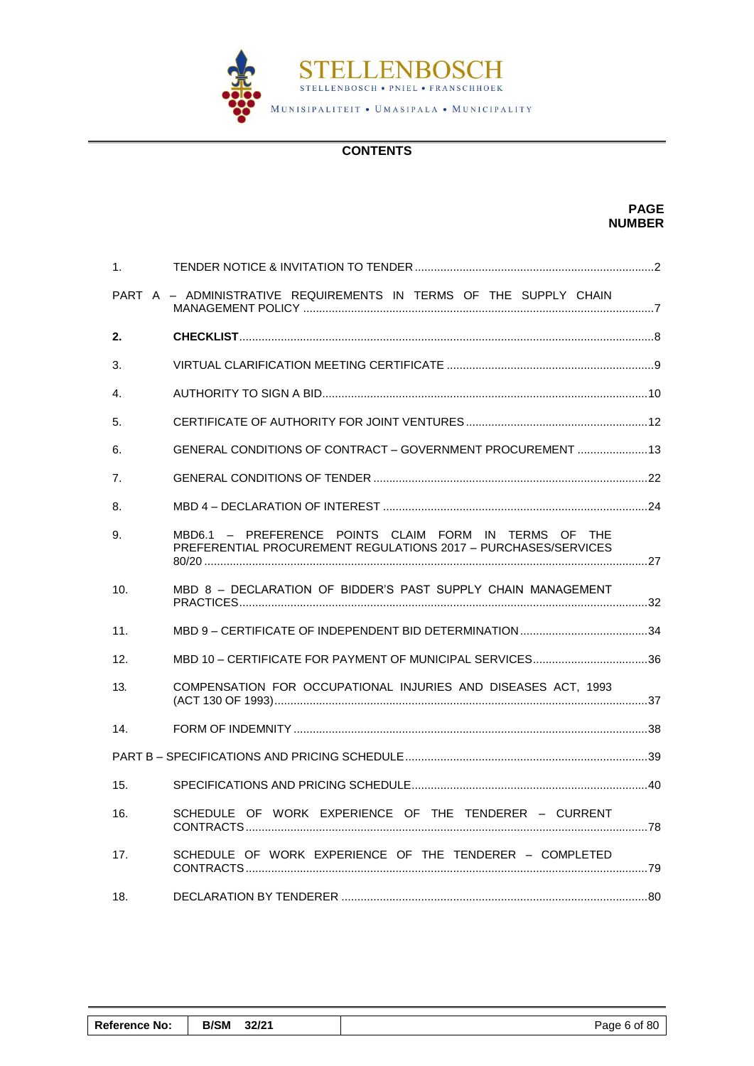

#### **CONTENTS**

**PAGE NUMBER**

# 1. [TENDER NOTICE & INVITATION TO TENDER...........................................................................2](#page-3-0) PART A – [ADMINISTRATIVE REQUIREMENTS IN TERMS OF THE SUPPLY CHAIN](#page-8-0)  MANAGEMENT POLICY [..............................................................................................................7](#page-8-0) **2. CHECKLIST**[..................................................................................................................................8](#page-9-0) 3. [VIRTUAL CLARIFICATION MEETING CERTIFICATE](#page-10-0) .................................................................9 4. [AUTHORITY TO SIGN A BID......................................................................................................10](#page-11-0) 5. [CERTIFICATE OF AUTHORITY FOR JOINT VENTURES.........................................................12](#page-13-0) 6. [GENERAL CONDITIONS OF CONTRACT](#page-14-0) – GOVERNMENT PROCUREMENT ......................13 7. GENERAL CONDITIONS OF TENDER [......................................................................................22](#page-23-0) 8. MBD 4 – DECLARATION OF INTEREST [...................................................................................24](#page-25-0) 9. MBD6.1 – [PREFERENCE POINTS CLAIM FORM IN TERMS OF THE](#page-28-0)  [PREFERENTIAL PROCUREMENT REGULATIONS 2017](#page-28-0) – PURCHASES/SERVICES 80/20 [...........................................................................................................................................27](#page-28-0) 10. MBD 8 – [DECLARATION OF BIDDER'S PAST SUPPLY CHAIN MANAGEMENT](#page-33-0)  [PRACTICES................................................................................................................................32](#page-33-0) 11. MBD 9 – [CERTIFICATE OF INDEPENDENT BID DETERMINATION........................................34](#page-35-0) 12. MBD 10 – [CERTIFICATE FOR PAYMENT OF MUNICIPAL SERVICES....................................36](#page-37-0) 13. [COMPENSATION FOR OCCUPATIONAL INJURIES AND DISEASES ACT, 1993](#page-38-0)  [\(ACT 130 OF 1993\).....................................................................................................................37](#page-38-0) 14. FORM OF INDEMNITY [...............................................................................................................38](#page-39-0) PART B – [SPECIFICATIONS AND PRICING SCHEDULE............................................................................39](#page-40-0) 15. [SPECIFICATIONS AND PRICING SCHEDULE..........................................................................40](#page-41-0) 16. [SCHEDULE OF WORK EXPERIENCE OF THE TENDERER](#page-79-0) – CURRENT [CONTRACTS..............................................................................................................................78](#page-79-0) 17. [SCHEDULE OF WORK EXPERIENCE OF THE TENDERER](#page-80-0) – COMPLETED [CONTRACTS..............................................................................................................................79](#page-80-0) 18. DECLARATION BY TENDERER [................................................................................................80](#page-81-0)

| <b>Reference No:</b> | <b>B/SM</b><br>32/21 | Page 6 of 80 |
|----------------------|----------------------|--------------|
|----------------------|----------------------|--------------|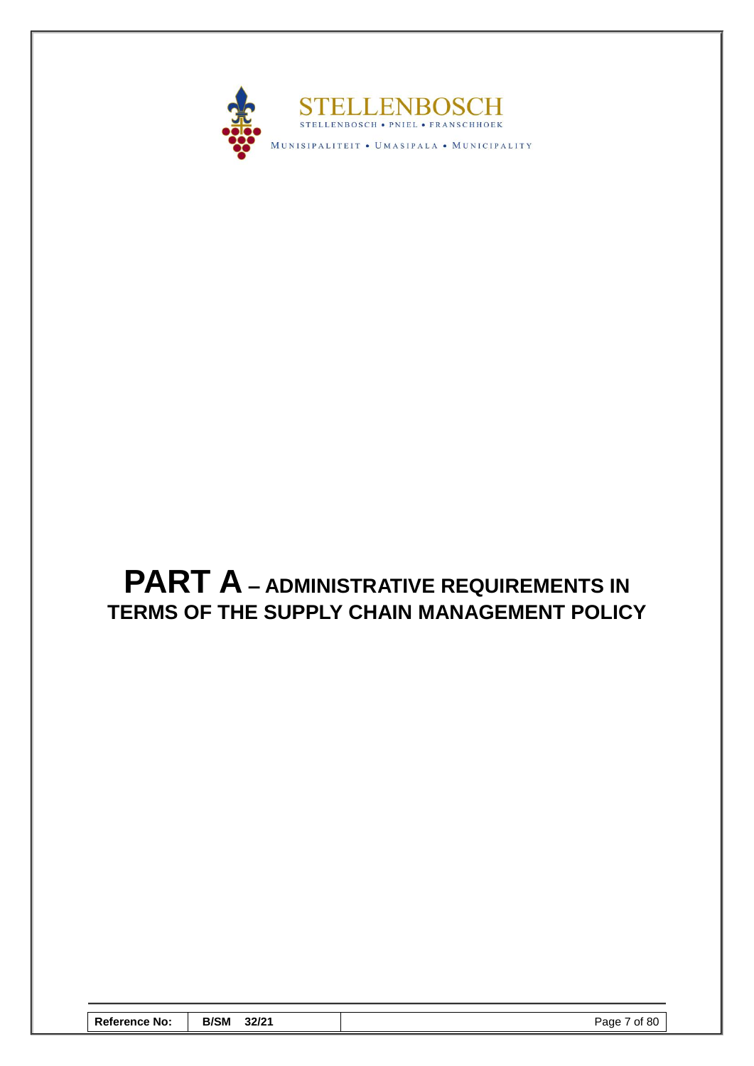

# <span id="page-8-0"></span>**PART A – ADMINISTRATIVE REQUIREMENTS IN TERMS OF THE SUPPLY CHAIN MANAGEMENT POLICY**

| <b>Reference No:</b> | <b>B/SM</b><br>32/21 | Page 7 of 80 |
|----------------------|----------------------|--------------|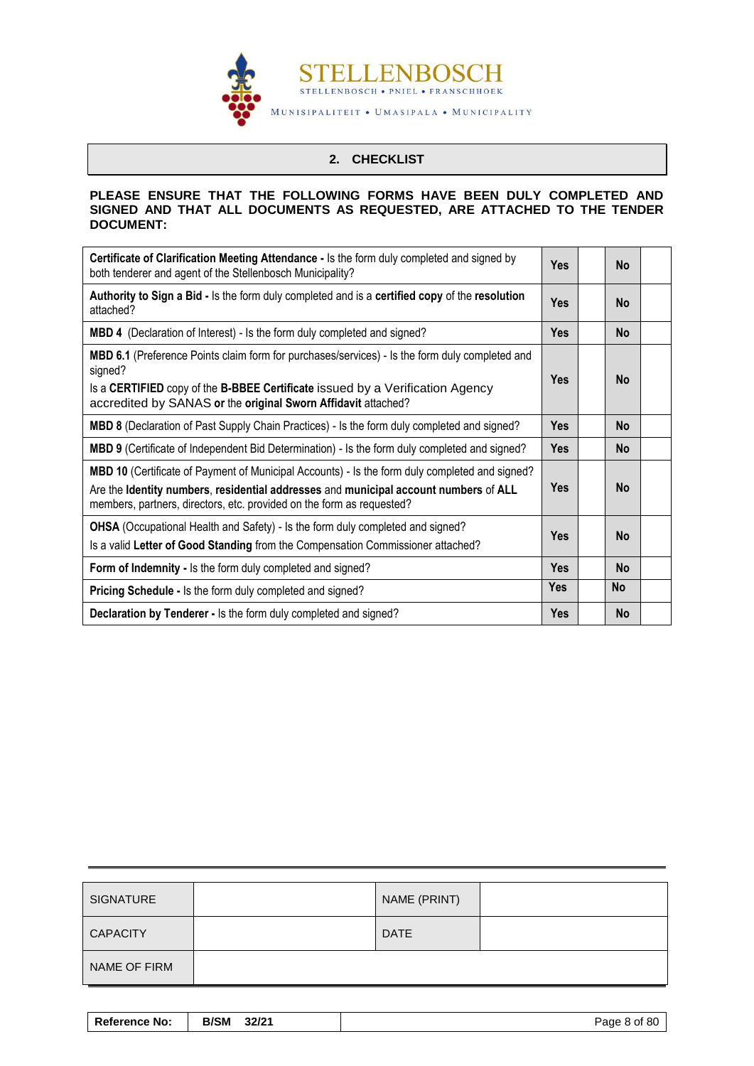

# **2. CHECKLIST**

#### <span id="page-9-0"></span>**PLEASE ENSURE THAT THE FOLLOWING FORMS HAVE BEEN DULY COMPLETED AND SIGNED AND THAT ALL DOCUMENTS AS REQUESTED, ARE ATTACHED TO THE TENDER DOCUMENT:**

| Certificate of Clarification Meeting Attendance - Is the form duly completed and signed by<br>both tenderer and agent of the Stellenbosch Municipality?                                                                                                            | <b>Yes</b> | <b>No</b> |  |
|--------------------------------------------------------------------------------------------------------------------------------------------------------------------------------------------------------------------------------------------------------------------|------------|-----------|--|
| Authority to Sign a Bid - Is the form duly completed and is a certified copy of the resolution<br>attached?                                                                                                                                                        | <b>Yes</b> | <b>No</b> |  |
| <b>MBD 4</b> (Declaration of Interest) - Is the form duly completed and signed?                                                                                                                                                                                    | <b>Yes</b> | <b>No</b> |  |
| <b>MBD 6.1</b> (Preference Points claim form for purchases/services) - Is the form duly completed and<br>signed?<br>Is a CERTIFIED copy of the B-BBEE Certificate issued by a Verification Agency<br>accredited by SANAS or the original Sworn Affidavit attached? | <b>Yes</b> | <b>No</b> |  |
| <b>MBD 8</b> (Declaration of Past Supply Chain Practices) - Is the form duly completed and signed?                                                                                                                                                                 | <b>Yes</b> | <b>No</b> |  |
| MBD 9 (Certificate of Independent Bid Determination) - Is the form duly completed and signed?                                                                                                                                                                      | <b>Yes</b> | <b>No</b> |  |
| MBD 10 (Certificate of Payment of Municipal Accounts) - Is the form duly completed and signed?<br>Are the Identity numbers, residential addresses and municipal account numbers of ALL<br>members, partners, directors, etc. provided on the form as requested?    | <b>Yes</b> | No        |  |
| <b>OHSA</b> (Occupational Health and Safety) - Is the form duly completed and signed?<br>Is a valid Letter of Good Standing from the Compensation Commissioner attached?                                                                                           | <b>Yes</b> | <b>No</b> |  |
| Form of Indemnity - Is the form duly completed and signed?                                                                                                                                                                                                         | <b>Yes</b> | <b>No</b> |  |
| Pricing Schedule - Is the form duly completed and signed?                                                                                                                                                                                                          | <b>Yes</b> | <b>No</b> |  |
| Declaration by Tenderer - Is the form duly completed and signed?                                                                                                                                                                                                   | Yes        | <b>No</b> |  |

| <b>SIGNATURE</b> | NAME (PRINT) |  |
|------------------|--------------|--|
| <b>CAPACITY</b>  | <b>DATE</b>  |  |
| NAME OF FIRM     |              |  |

| <b>Reference No:</b> | <b>B/SM</b><br>32/21 | Page 8 of 80 |
|----------------------|----------------------|--------------|
|----------------------|----------------------|--------------|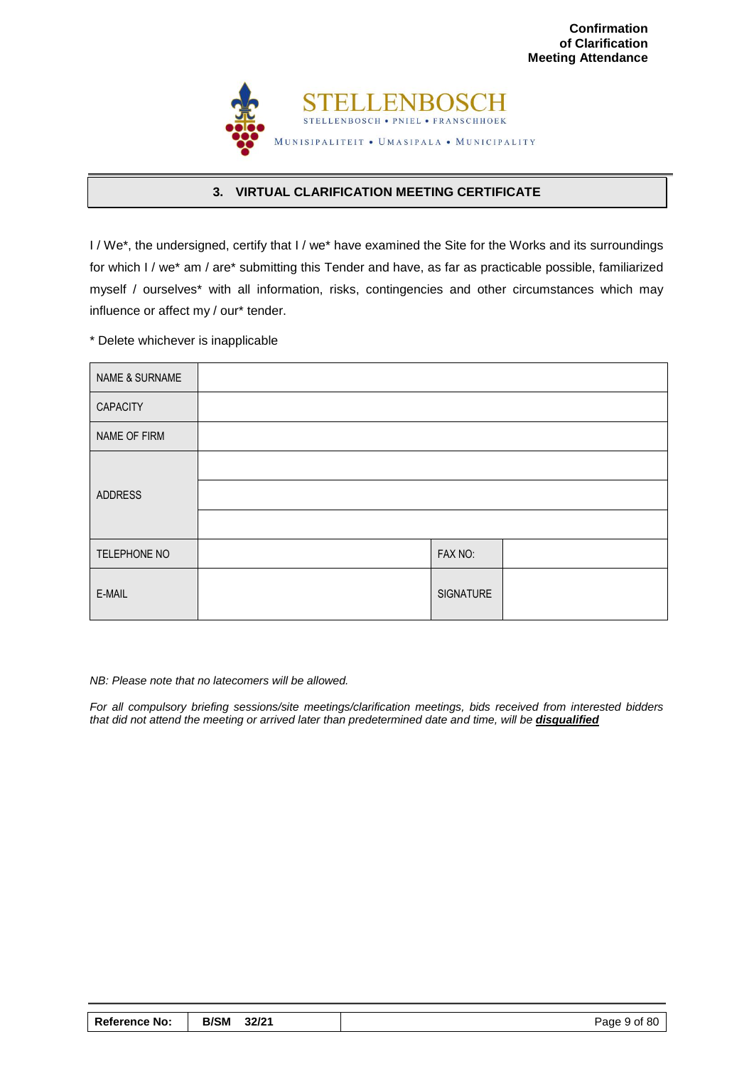

## **3. VIRTUAL CLARIFICATION MEETING CERTIFICATE**

<span id="page-10-0"></span>I / We\*, the undersigned, certify that I / we\* have examined the Site for the Works and its surroundings for which I / we\* am / are\* submitting this Tender and have, as far as practicable possible, familiarized myself / ourselves\* with all information, risks, contingencies and other circumstances which may influence or affect my / our\* tender.

\* Delete whichever is inapplicable

| NAME & SURNAME  |           |  |
|-----------------|-----------|--|
| <b>CAPACITY</b> |           |  |
| NAME OF FIRM    |           |  |
|                 |           |  |
| <b>ADDRESS</b>  |           |  |
|                 |           |  |
| TELEPHONE NO    | FAX NO:   |  |
| E-MAIL          | SIGNATURE |  |

#### *NB: Please note that no latecomers will be allowed.*

*For all compulsory briefing sessions/site meetings/clarification meetings, bids received from interested bidders that did not attend the meeting or arrived later than predetermined date and time, will be disqualified*

| <b>Reference No:</b> | B/SM 32/21 | Page 9 of 80 |
|----------------------|------------|--------------|
|----------------------|------------|--------------|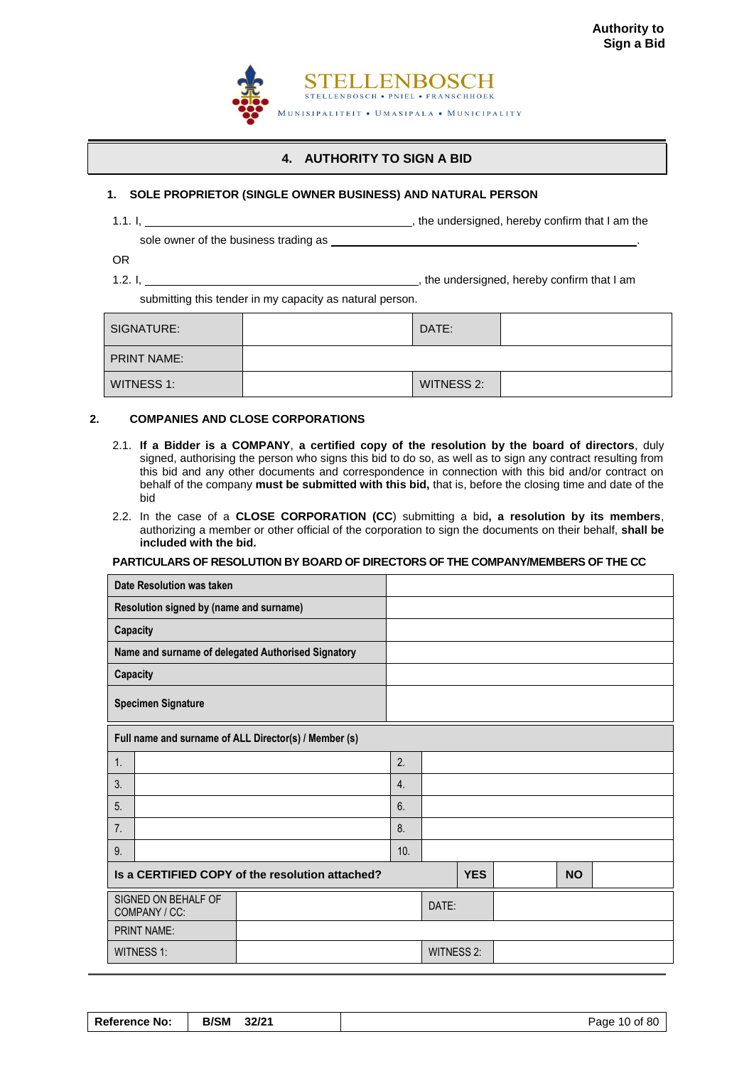

# **4. AUTHORITY TO SIGN A BID**

#### <span id="page-11-0"></span>**1. SOLE PROPRIETOR (SINGLE OWNER BUSINESS) AND NATURAL PERSON**

1.1. I,  $\frac{1}{1}$  am the undersigned, hereby confirm that I am the

sole owner of the business trading as \_\_\_\_\_

OR

1.2. I,  $\frac{1}{12}$  is the undersigned, hereby confirm that I am

submitting this tender in my capacity as natural person.

| SIGNATURE:         | DATE:      |  |
|--------------------|------------|--|
| <b>PRINT NAME:</b> |            |  |
| WITNESS 1:         | WITNESS 2: |  |

#### **2. COMPANIES AND CLOSE CORPORATIONS**

- 2.1. **If a Bidder is a COMPANY**, **a certified copy of the resolution by the board of directors**, duly signed, authorising the person who signs this bid to do so, as well as to sign any contract resulting from this bid and any other documents and correspondence in connection with this bid and/or contract on behalf of the company **must be submitted with this bid,** that is, before the closing time and date of the bid
- 2.2. In the case of a **CLOSE CORPORATION (CC**) submitting a bid**, a resolution by its members**, authorizing a member or other official of the corporation to sign the documents on their behalf, **shall be included with the bid.**

#### **PARTICULARS OF RESOLUTION BY BOARD OF DIRECTORS OF THE COMPANY/MEMBERS OF THE CC**

| Date Resolution was taken                       |                                                       |     |                   |            |  |           |  |
|-------------------------------------------------|-------------------------------------------------------|-----|-------------------|------------|--|-----------|--|
| Resolution signed by (name and surname)         |                                                       |     |                   |            |  |           |  |
| Capacity                                        |                                                       |     |                   |            |  |           |  |
|                                                 | Name and surname of delegated Authorised Signatory    |     |                   |            |  |           |  |
| Capacity                                        |                                                       |     |                   |            |  |           |  |
|                                                 | <b>Specimen Signature</b>                             |     |                   |            |  |           |  |
|                                                 | Full name and surname of ALL Director(s) / Member (s) |     |                   |            |  |           |  |
| 1.                                              |                                                       | 2.  |                   |            |  |           |  |
| 3.                                              |                                                       | 4.  |                   |            |  |           |  |
| 5.                                              |                                                       | 6.  |                   |            |  |           |  |
| 7 <sub>1</sub>                                  |                                                       | 8.  |                   |            |  |           |  |
| 9.                                              |                                                       | 10. |                   |            |  |           |  |
| Is a CERTIFIED COPY of the resolution attached? |                                                       |     |                   | <b>YES</b> |  | <b>NO</b> |  |
| SIGNED ON BEHALF OF<br>COMPANY / CC:            |                                                       |     | DATE:             |            |  |           |  |
| <b>PRINT NAME:</b>                              |                                                       |     |                   |            |  |           |  |
|                                                 | WITNESS 1:                                            |     | <b>WITNESS 2:</b> |            |  |           |  |

| <b>Reference No:</b> | <b>B/SM</b><br>32/21 | Page 10 of 80 |
|----------------------|----------------------|---------------|
|----------------------|----------------------|---------------|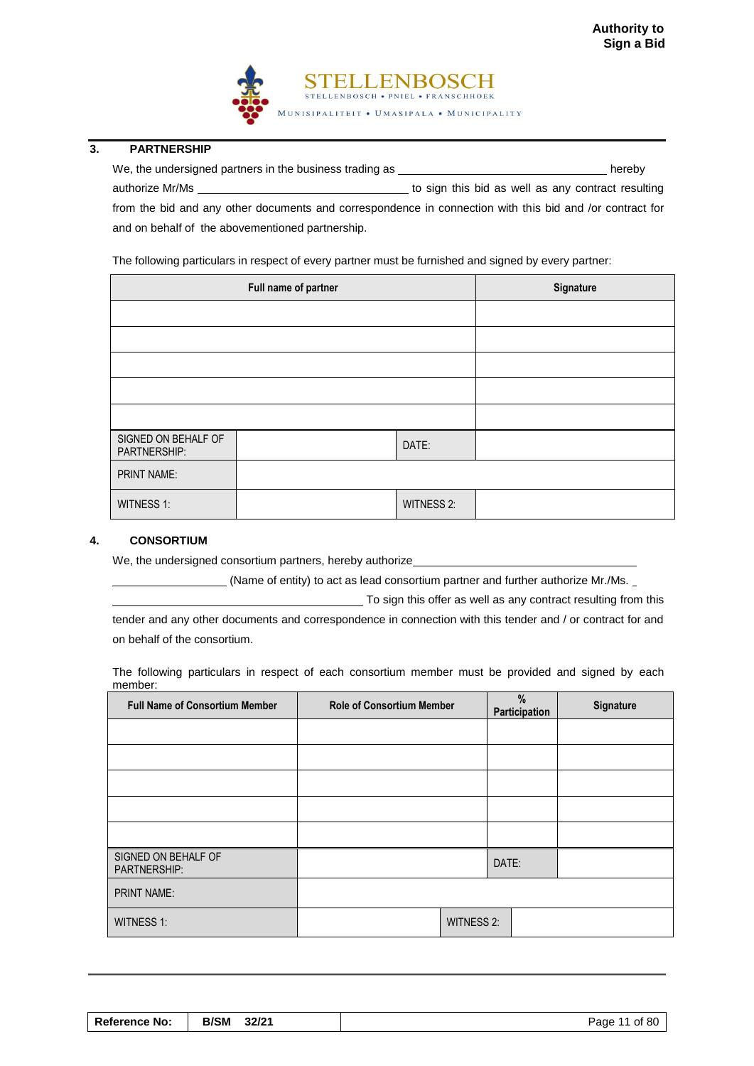

#### **3. PARTNERSHIP**

We, the undersigned partners in the business trading as **hereby** hereby authorize Mr/Ms **the Mr/Ms** to sign this bid as well as any contract resulting from the bid and any other documents and correspondence in connection with this bid and /or contract for and on behalf of the abovementioned partnership.

The following particulars in respect of every partner must be furnished and signed by every partner:

|                                     | Full name of partner | Signature         |  |
|-------------------------------------|----------------------|-------------------|--|
|                                     |                      |                   |  |
|                                     |                      |                   |  |
|                                     |                      |                   |  |
|                                     |                      |                   |  |
|                                     |                      |                   |  |
| SIGNED ON BEHALF OF<br>PARTNERSHIP: |                      | DATE:             |  |
| <b>PRINT NAME:</b>                  |                      |                   |  |
| <b>WITNESS 1:</b>                   |                      | <b>WITNESS 2:</b> |  |

#### **4. CONSORTIUM**

We, the undersigned consortium partners, hereby authorize\_

(Name of entity) to act as lead consortium partner and further authorize Mr./Ms.

To sign this offer as well as any contract resulting from this

tender and any other documents and correspondence in connection with this tender and / or contract for and on behalf of the consortium.

The following particulars in respect of each consortium member must be provided and signed by each member:

| <b>Full Name of Consortium Member</b> | <b>Role of Consortium Member</b> |                   | %<br><b>Participation</b> | Signature |
|---------------------------------------|----------------------------------|-------------------|---------------------------|-----------|
|                                       |                                  |                   |                           |           |
|                                       |                                  |                   |                           |           |
|                                       |                                  |                   |                           |           |
|                                       |                                  |                   |                           |           |
|                                       |                                  |                   |                           |           |
| SIGNED ON BEHALF OF<br>PARTNERSHIP:   |                                  |                   | DATE:                     |           |
| <b>PRINT NAME:</b>                    |                                  |                   |                           |           |
| <b>WITNESS 1:</b>                     |                                  | <b>WITNESS 2:</b> |                           |           |

| <b>Reference No:</b> | B/SM 32/21 | Page 11 of 80 |
|----------------------|------------|---------------|
|----------------------|------------|---------------|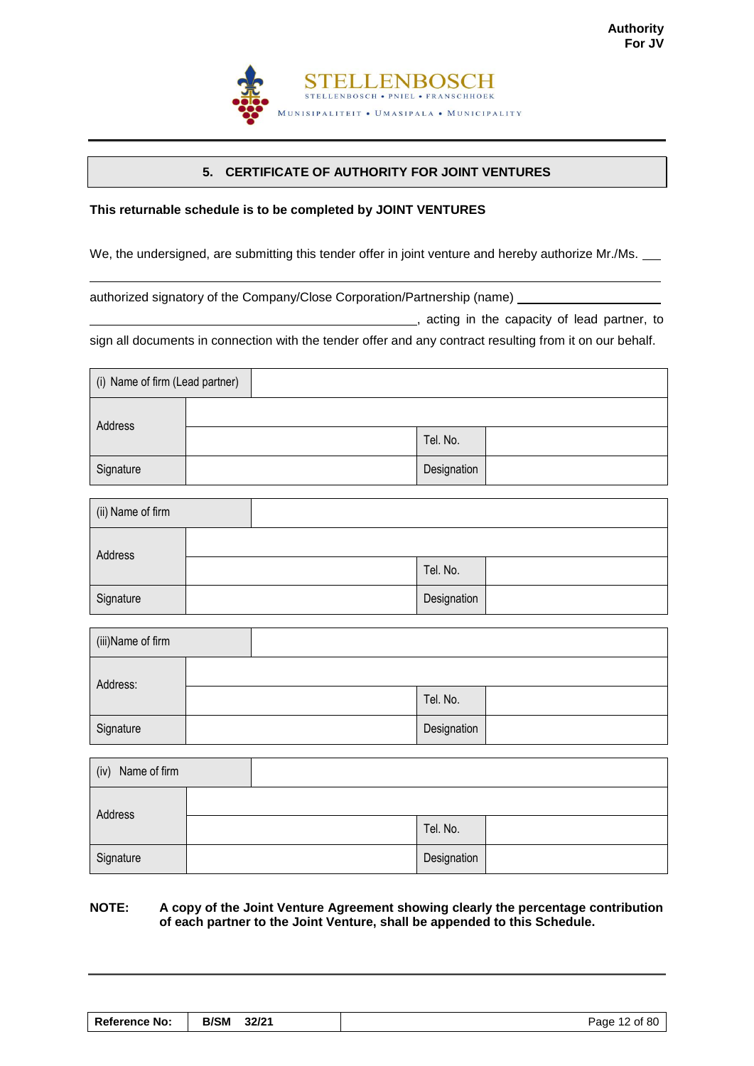

# **5. CERTIFICATE OF AUTHORITY FOR JOINT VENTURES**

#### <span id="page-13-0"></span>**This returnable schedule is to be completed by JOINT VENTURES**

We, the undersigned, are submitting this tender offer in joint venture and hereby authorize Mr./Ms. \_\_

authorized signatory of the Company/Close Corporation/Partnership (name)

**1201**, acting in the capacity of lead partner, to

sign all documents in connection with the tender offer and any contract resulting from it on our behalf.

| (i) Name of firm (Lead partner) |  |             |  |
|---------------------------------|--|-------------|--|
| Address                         |  |             |  |
|                                 |  | Tel. No.    |  |
| Signature                       |  | Designation |  |

| (ii) Name of firm |  |             |  |
|-------------------|--|-------------|--|
| Address           |  |             |  |
|                   |  | Tel. No.    |  |
| Signature         |  | Designation |  |

| (iii)Name of firm |  |             |  |
|-------------------|--|-------------|--|
| Address:          |  |             |  |
|                   |  | Tel. No.    |  |
| Signature         |  | Designation |  |

| Name of firm<br>(iv) |  |             |  |
|----------------------|--|-------------|--|
| Address              |  |             |  |
|                      |  | Tel. No.    |  |
| Signature            |  | Designation |  |

#### **NOTE: A copy of the Joint Venture Agreement showing clearly the percentage contribution of each partner to the Joint Venture, shall be appended to this Schedule.**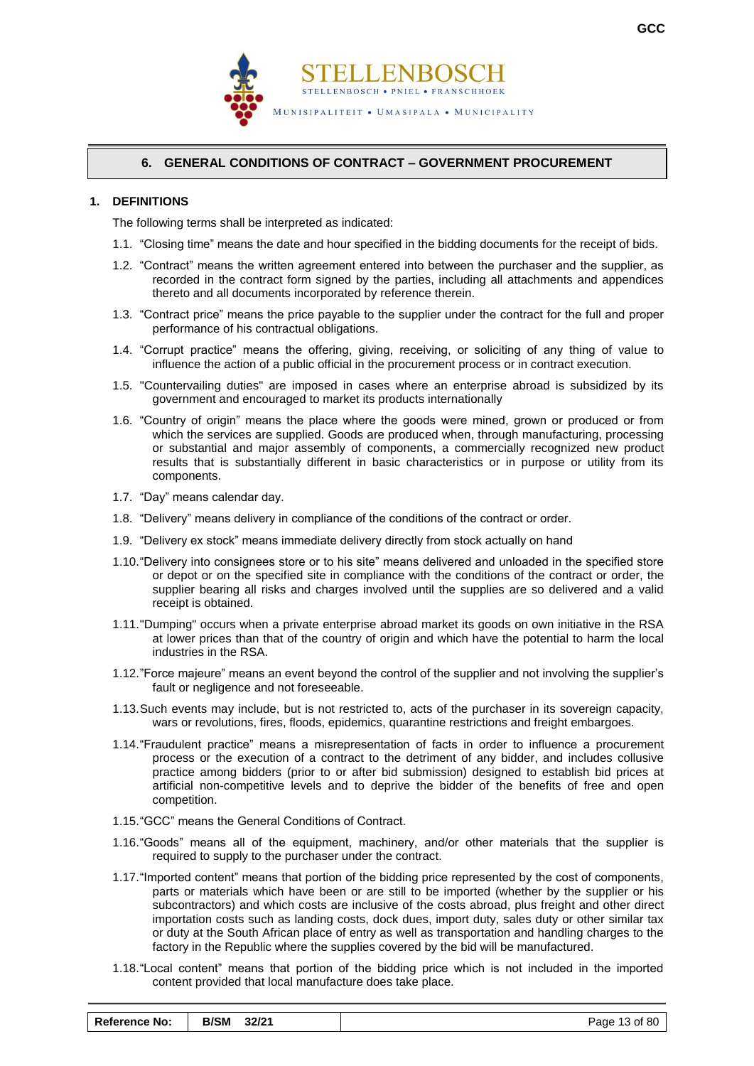



#### **6. GENERAL CONDITIONS OF CONTRACT – GOVERNMENT PROCUREMENT**

#### <span id="page-14-0"></span>**1. DEFINITIONS**

The following terms shall be interpreted as indicated:

- 1.1. "Closing time" means the date and hour specified in the bidding documents for the receipt of bids.
- 1.2. "Contract" means the written agreement entered into between the purchaser and the supplier, as recorded in the contract form signed by the parties, including all attachments and appendices thereto and all documents incorporated by reference therein.
- 1.3. "Contract price" means the price payable to the supplier under the contract for the full and proper performance of his contractual obligations.
- 1.4. "Corrupt practice" means the offering, giving, receiving, or soliciting of any thing of value to influence the action of a public official in the procurement process or in contract execution.
- 1.5. "Countervailing duties" are imposed in cases where an enterprise abroad is subsidized by its government and encouraged to market its products internationally
- 1.6. "Country of origin" means the place where the goods were mined, grown or produced or from which the services are supplied. Goods are produced when, through manufacturing, processing or substantial and major assembly of components, a commercially recognized new product results that is substantially different in basic characteristics or in purpose or utility from its components.
- 1.7. "Day" means calendar day.
- 1.8. "Delivery" means delivery in compliance of the conditions of the contract or order.
- 1.9. "Delivery ex stock" means immediate delivery directly from stock actually on hand
- 1.10."Delivery into consignees store or to his site" means delivered and unloaded in the specified store or depot or on the specified site in compliance with the conditions of the contract or order, the supplier bearing all risks and charges involved until the supplies are so delivered and a valid receipt is obtained.
- 1.11."Dumping" occurs when a private enterprise abroad market its goods on own initiative in the RSA at lower prices than that of the country of origin and which have the potential to harm the local industries in the RSA.
- 1.12."Force majeure" means an event beyond the control of the supplier and not involving the supplier's fault or negligence and not foreseeable.
- 1.13.Such events may include, but is not restricted to, acts of the purchaser in its sovereign capacity, wars or revolutions, fires, floods, epidemics, quarantine restrictions and freight embargoes.
- 1.14."Fraudulent practice" means a misrepresentation of facts in order to influence a procurement process or the execution of a contract to the detriment of any bidder, and includes collusive practice among bidders (prior to or after bid submission) designed to establish bid prices at artificial non-competitive levels and to deprive the bidder of the benefits of free and open competition.
- 1.15."GCC" means the General Conditions of Contract.
- 1.16."Goods" means all of the equipment, machinery, and/or other materials that the supplier is required to supply to the purchaser under the contract.
- 1.17."Imported content" means that portion of the bidding price represented by the cost of components, parts or materials which have been or are still to be imported (whether by the supplier or his subcontractors) and which costs are inclusive of the costs abroad, plus freight and other direct importation costs such as landing costs, dock dues, import duty, sales duty or other similar tax or duty at the South African place of entry as well as transportation and handling charges to the factory in the Republic where the supplies covered by the bid will be manufactured.
- 1.18."Local content" means that portion of the bidding price which is not included in the imported content provided that local manufacture does take place.

| <b>Reference No:</b> | B/SM 32/21 | Page 13 of 80 |
|----------------------|------------|---------------|
|----------------------|------------|---------------|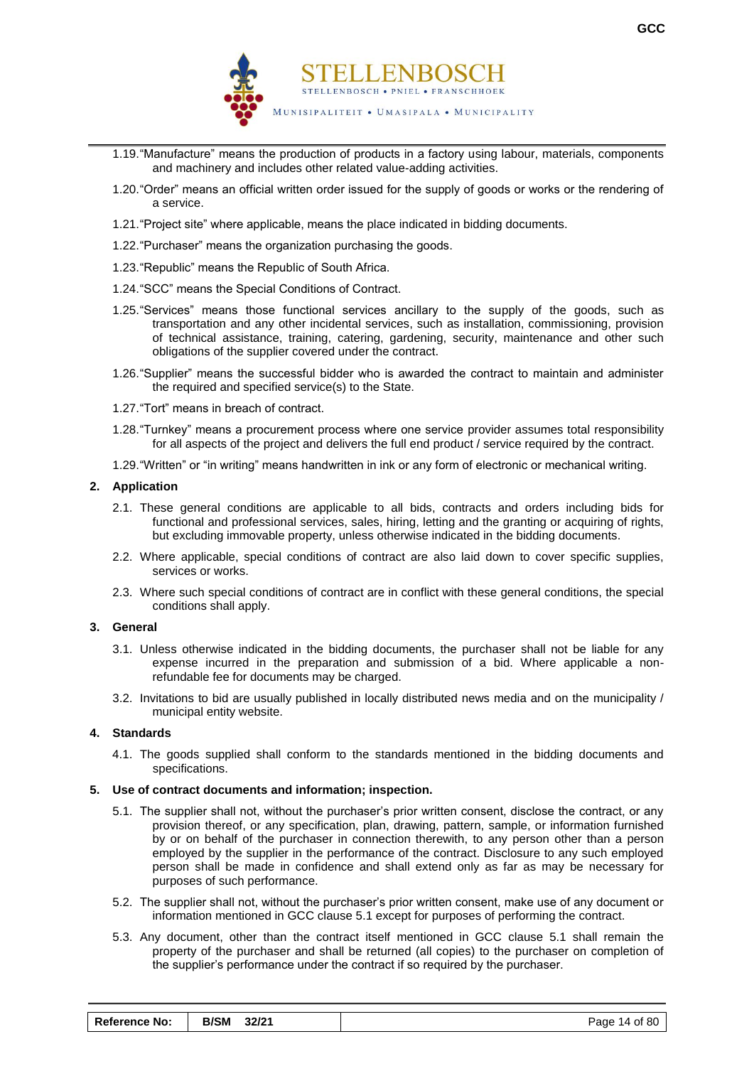

- 1.19."Manufacture" means the production of products in a factory using labour, materials, components and machinery and includes other related value-adding activities.
- 1.20."Order" means an official written order issued for the supply of goods or works or the rendering of a service.
- 1.21."Project site" where applicable, means the place indicated in bidding documents.
- 1.22."Purchaser" means the organization purchasing the goods.
- 1.23."Republic" means the Republic of South Africa.
- 1.24."SCC" means the Special Conditions of Contract.
- 1.25."Services" means those functional services ancillary to the supply of the goods, such as transportation and any other incidental services, such as installation, commissioning, provision of technical assistance, training, catering, gardening, security, maintenance and other such obligations of the supplier covered under the contract.
- 1.26."Supplier" means the successful bidder who is awarded the contract to maintain and administer the required and specified service(s) to the State.
- 1.27."Tort" means in breach of contract.
- 1.28."Turnkey" means a procurement process where one service provider assumes total responsibility for all aspects of the project and delivers the full end product / service required by the contract.
- 1.29."Written" or "in writing" means handwritten in ink or any form of electronic or mechanical writing.

#### **2. Application**

- 2.1. These general conditions are applicable to all bids, contracts and orders including bids for functional and professional services, sales, hiring, letting and the granting or acquiring of rights, but excluding immovable property, unless otherwise indicated in the bidding documents.
- 2.2. Where applicable, special conditions of contract are also laid down to cover specific supplies, services or works.
- 2.3. Where such special conditions of contract are in conflict with these general conditions, the special conditions shall apply.

#### **3. General**

- 3.1. Unless otherwise indicated in the bidding documents, the purchaser shall not be liable for any expense incurred in the preparation and submission of a bid. Where applicable a nonrefundable fee for documents may be charged.
- 3.2. Invitations to bid are usually published in locally distributed news media and on the municipality / municipal entity website.

#### **4. Standards**

4.1. The goods supplied shall conform to the standards mentioned in the bidding documents and specifications.

#### **5. Use of contract documents and information; inspection.**

- 5.1. The supplier shall not, without the purchaser's prior written consent, disclose the contract, or any provision thereof, or any specification, plan, drawing, pattern, sample, or information furnished by or on behalf of the purchaser in connection therewith, to any person other than a person employed by the supplier in the performance of the contract. Disclosure to any such employed person shall be made in confidence and shall extend only as far as may be necessary for purposes of such performance.
- 5.2. The supplier shall not, without the purchaser's prior written consent, make use of any document or information mentioned in GCC clause 5.1 except for purposes of performing the contract.
- 5.3. Any document, other than the contract itself mentioned in GCC clause 5.1 shall remain the property of the purchaser and shall be returned (all copies) to the purchaser on completion of the supplier's performance under the contract if so required by the purchaser.

| <b>Reference No:</b> | <b>B/SM</b><br>32/21 | Page 14 of 80 |
|----------------------|----------------------|---------------|
|----------------------|----------------------|---------------|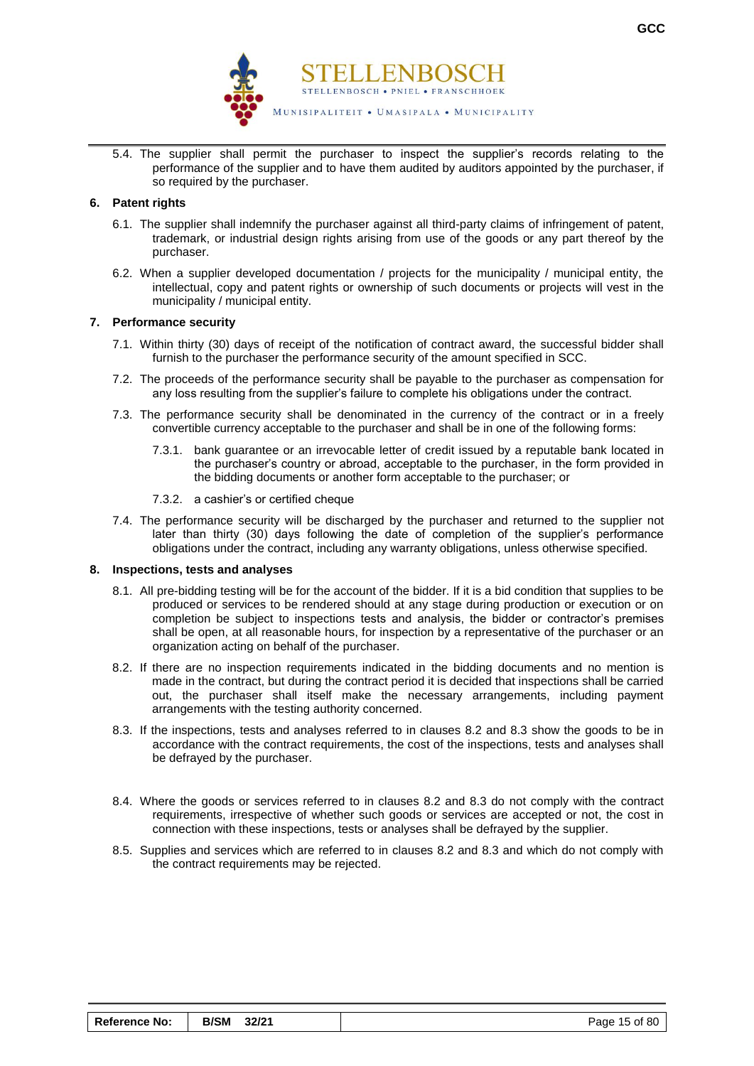

5.4. The supplier shall permit the purchaser to inspect the supplier's records relating to the performance of the supplier and to have them audited by auditors appointed by the purchaser, if so required by the purchaser.

#### **6. Patent rights**

- 6.1. The supplier shall indemnify the purchaser against all third-party claims of infringement of patent, trademark, or industrial design rights arising from use of the goods or any part thereof by the purchaser.
- 6.2. When a supplier developed documentation / projects for the municipality / municipal entity, the intellectual, copy and patent rights or ownership of such documents or projects will vest in the municipality / municipal entity.

#### **7. Performance security**

- 7.1. Within thirty (30) days of receipt of the notification of contract award, the successful bidder shall furnish to the purchaser the performance security of the amount specified in SCC.
- 7.2. The proceeds of the performance security shall be payable to the purchaser as compensation for any loss resulting from the supplier's failure to complete his obligations under the contract.
- 7.3. The performance security shall be denominated in the currency of the contract or in a freely convertible currency acceptable to the purchaser and shall be in one of the following forms:
	- 7.3.1. bank guarantee or an irrevocable letter of credit issued by a reputable bank located in the purchaser's country or abroad, acceptable to the purchaser, in the form provided in the bidding documents or another form acceptable to the purchaser; or
	- 7.3.2. a cashier's or certified cheque
- 7.4. The performance security will be discharged by the purchaser and returned to the supplier not later than thirty (30) days following the date of completion of the supplier's performance obligations under the contract, including any warranty obligations, unless otherwise specified.

#### **8. Inspections, tests and analyses**

- 8.1. All pre-bidding testing will be for the account of the bidder. If it is a bid condition that supplies to be produced or services to be rendered should at any stage during production or execution or on completion be subject to inspections tests and analysis, the bidder or contractor's premises shall be open, at all reasonable hours, for inspection by a representative of the purchaser or an organization acting on behalf of the purchaser.
- 8.2. If there are no inspection requirements indicated in the bidding documents and no mention is made in the contract, but during the contract period it is decided that inspections shall be carried out, the purchaser shall itself make the necessary arrangements, including payment arrangements with the testing authority concerned.
- 8.3. If the inspections, tests and analyses referred to in clauses 8.2 and 8.3 show the goods to be in accordance with the contract requirements, the cost of the inspections, tests and analyses shall be defrayed by the purchaser.
- 8.4. Where the goods or services referred to in clauses 8.2 and 8.3 do not comply with the contract requirements, irrespective of whether such goods or services are accepted or not, the cost in connection with these inspections, tests or analyses shall be defrayed by the supplier.
- 8.5. Supplies and services which are referred to in clauses 8.2 and 8.3 and which do not comply with the contract requirements may be rejected.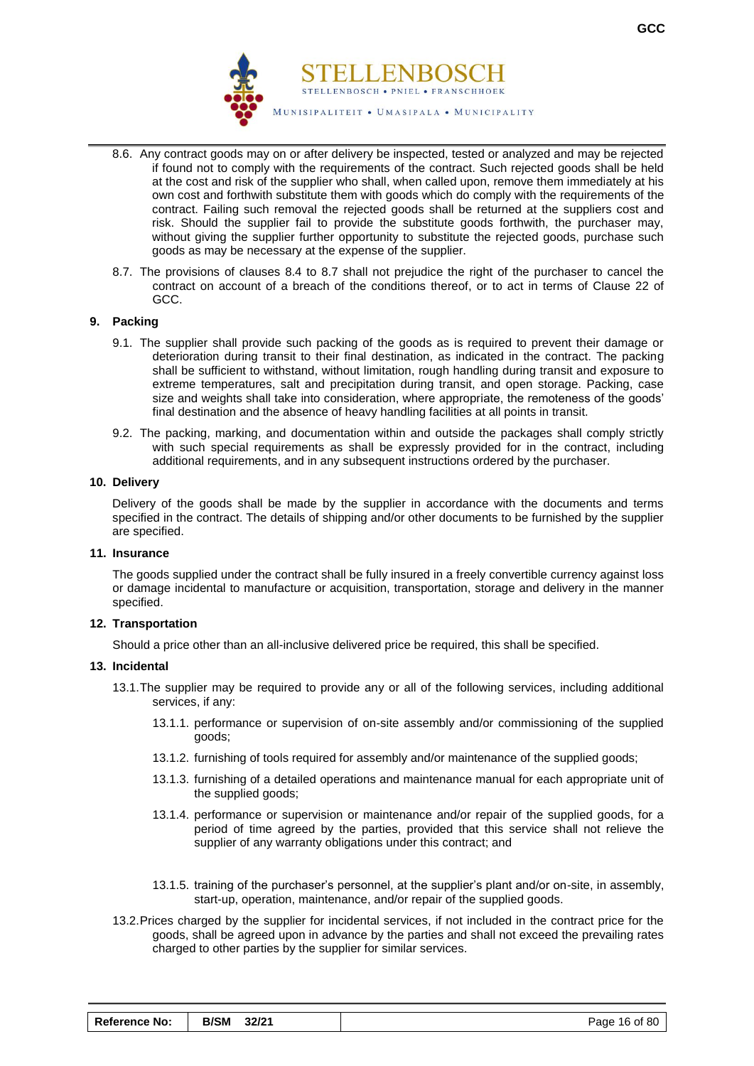

- 8.6. Any contract goods may on or after delivery be inspected, tested or analyzed and may be rejected if found not to comply with the requirements of the contract. Such rejected goods shall be held at the cost and risk of the supplier who shall, when called upon, remove them immediately at his own cost and forthwith substitute them with goods which do comply with the requirements of the contract. Failing such removal the rejected goods shall be returned at the suppliers cost and risk. Should the supplier fail to provide the substitute goods forthwith, the purchaser may, without giving the supplier further opportunity to substitute the rejected goods, purchase such goods as may be necessary at the expense of the supplier.
- 8.7. The provisions of clauses 8.4 to 8.7 shall not prejudice the right of the purchaser to cancel the contract on account of a breach of the conditions thereof, or to act in terms of Clause 22 of GCC.

#### **9. Packing**

- 9.1. The supplier shall provide such packing of the goods as is required to prevent their damage or deterioration during transit to their final destination, as indicated in the contract. The packing shall be sufficient to withstand, without limitation, rough handling during transit and exposure to extreme temperatures, salt and precipitation during transit, and open storage. Packing, case size and weights shall take into consideration, where appropriate, the remoteness of the goods' final destination and the absence of heavy handling facilities at all points in transit.
- 9.2. The packing, marking, and documentation within and outside the packages shall comply strictly with such special requirements as shall be expressly provided for in the contract, including additional requirements, and in any subsequent instructions ordered by the purchaser.

#### **10. Delivery**

Delivery of the goods shall be made by the supplier in accordance with the documents and terms specified in the contract. The details of shipping and/or other documents to be furnished by the supplier are specified.

#### **11. Insurance**

The goods supplied under the contract shall be fully insured in a freely convertible currency against loss or damage incidental to manufacture or acquisition, transportation, storage and delivery in the manner specified.

#### **12. Transportation**

Should a price other than an all-inclusive delivered price be required, this shall be specified.

#### **13. Incidental**

- 13.1.The supplier may be required to provide any or all of the following services, including additional services, if any:
	- 13.1.1. performance or supervision of on-site assembly and/or commissioning of the supplied goods;
	- 13.1.2. furnishing of tools required for assembly and/or maintenance of the supplied goods;
	- 13.1.3. furnishing of a detailed operations and maintenance manual for each appropriate unit of the supplied goods;
	- 13.1.4. performance or supervision or maintenance and/or repair of the supplied goods, for a period of time agreed by the parties, provided that this service shall not relieve the supplier of any warranty obligations under this contract; and
	- 13.1.5. training of the purchaser's personnel, at the supplier's plant and/or on-site, in assembly, start-up, operation, maintenance, and/or repair of the supplied goods.
- 13.2.Prices charged by the supplier for incidental services, if not included in the contract price for the goods, shall be agreed upon in advance by the parties and shall not exceed the prevailing rates charged to other parties by the supplier for similar services.

| <b>Reference No:</b> | B/SM 32/21 | Page 16 of 80 |
|----------------------|------------|---------------|
|----------------------|------------|---------------|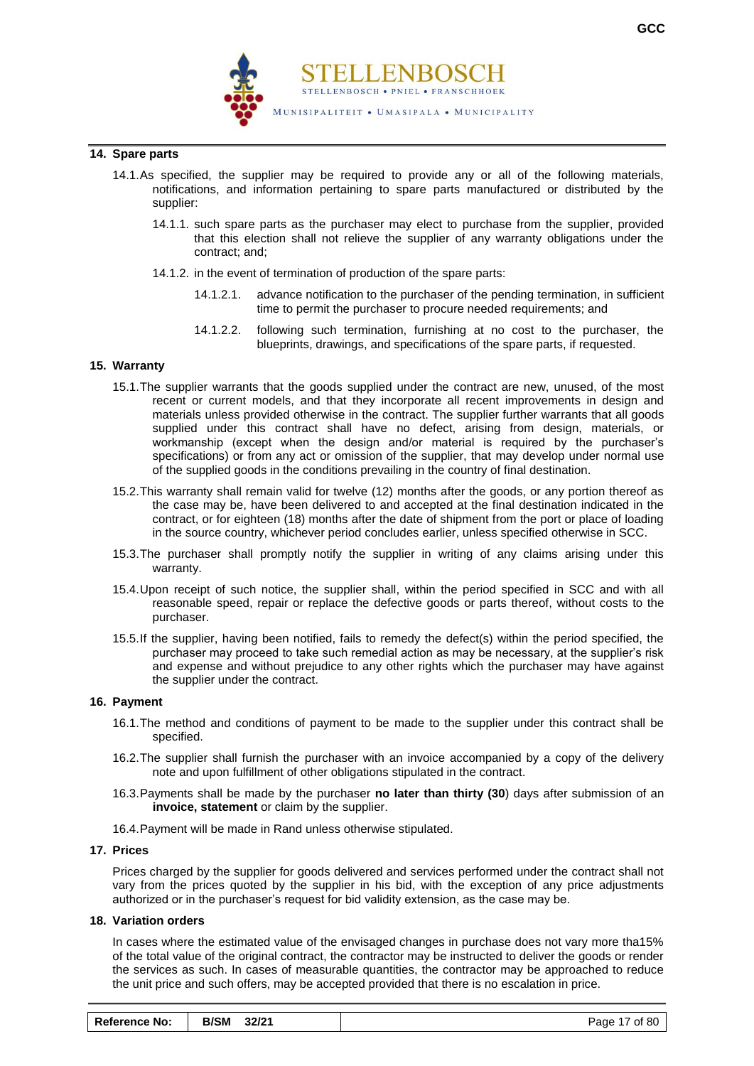

## **14. Spare parts**

- 14.1.As specified, the supplier may be required to provide any or all of the following materials, notifications, and information pertaining to spare parts manufactured or distributed by the supplier:
	- 14.1.1. such spare parts as the purchaser may elect to purchase from the supplier, provided that this election shall not relieve the supplier of any warranty obligations under the contract; and;
	- 14.1.2. in the event of termination of production of the spare parts:
		- 14.1.2.1. advance notification to the purchaser of the pending termination, in sufficient time to permit the purchaser to procure needed requirements; and
		- 14.1.2.2. following such termination, furnishing at no cost to the purchaser, the blueprints, drawings, and specifications of the spare parts, if requested.

#### **15. Warranty**

- 15.1.The supplier warrants that the goods supplied under the contract are new, unused, of the most recent or current models, and that they incorporate all recent improvements in design and materials unless provided otherwise in the contract. The supplier further warrants that all goods supplied under this contract shall have no defect, arising from design, materials, or workmanship (except when the design and/or material is required by the purchaser's specifications) or from any act or omission of the supplier, that may develop under normal use of the supplied goods in the conditions prevailing in the country of final destination.
- 15.2.This warranty shall remain valid for twelve (12) months after the goods, or any portion thereof as the case may be, have been delivered to and accepted at the final destination indicated in the contract, or for eighteen (18) months after the date of shipment from the port or place of loading in the source country, whichever period concludes earlier, unless specified otherwise in SCC.
- 15.3.The purchaser shall promptly notify the supplier in writing of any claims arising under this warranty.
- 15.4.Upon receipt of such notice, the supplier shall, within the period specified in SCC and with all reasonable speed, repair or replace the defective goods or parts thereof, without costs to the purchaser.
- 15.5.If the supplier, having been notified, fails to remedy the defect(s) within the period specified, the purchaser may proceed to take such remedial action as may be necessary, at the supplier's risk and expense and without prejudice to any other rights which the purchaser may have against the supplier under the contract.

#### **16. Payment**

- 16.1.The method and conditions of payment to be made to the supplier under this contract shall be specified.
- 16.2.The supplier shall furnish the purchaser with an invoice accompanied by a copy of the delivery note and upon fulfillment of other obligations stipulated in the contract.
- 16.3.Payments shall be made by the purchaser **no later than thirty (30**) days after submission of an **invoice, statement** or claim by the supplier.
- 16.4.Payment will be made in Rand unless otherwise stipulated.

#### **17. Prices**

Prices charged by the supplier for goods delivered and services performed under the contract shall not vary from the prices quoted by the supplier in his bid, with the exception of any price adjustments authorized or in the purchaser's request for bid validity extension, as the case may be.

#### **18. Variation orders**

In cases where the estimated value of the envisaged changes in purchase does not vary more tha15% of the total value of the original contract, the contractor may be instructed to deliver the goods or render the services as such. In cases of measurable quantities, the contractor may be approached to reduce the unit price and such offers, may be accepted provided that there is no escalation in price.

| <b>Reference No:</b> | B/SM 32/21 | Page 17 of 80 |
|----------------------|------------|---------------|
|----------------------|------------|---------------|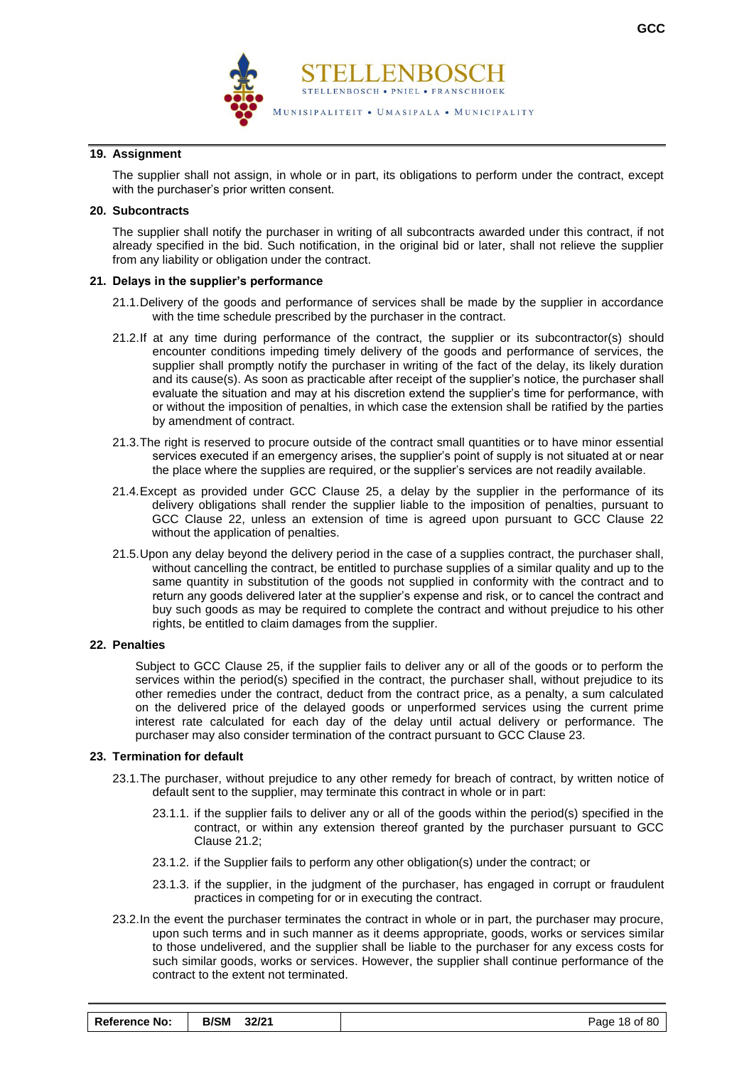

#### **19. Assignment**

The supplier shall not assign, in whole or in part, its obligations to perform under the contract, except with the purchaser's prior written consent.

#### **20. Subcontracts**

The supplier shall notify the purchaser in writing of all subcontracts awarded under this contract, if not already specified in the bid. Such notification, in the original bid or later, shall not relieve the supplier from any liability or obligation under the contract.

#### **21. Delays in the supplier's performance**

- 21.1.Delivery of the goods and performance of services shall be made by the supplier in accordance with the time schedule prescribed by the purchaser in the contract.
- 21.2.If at any time during performance of the contract, the supplier or its subcontractor(s) should encounter conditions impeding timely delivery of the goods and performance of services, the supplier shall promptly notify the purchaser in writing of the fact of the delay, its likely duration and its cause(s). As soon as practicable after receipt of the supplier's notice, the purchaser shall evaluate the situation and may at his discretion extend the supplier's time for performance, with or without the imposition of penalties, in which case the extension shall be ratified by the parties by amendment of contract.
- 21.3.The right is reserved to procure outside of the contract small quantities or to have minor essential services executed if an emergency arises, the supplier's point of supply is not situated at or near the place where the supplies are required, or the supplier's services are not readily available.
- 21.4.Except as provided under GCC Clause 25, a delay by the supplier in the performance of its delivery obligations shall render the supplier liable to the imposition of penalties, pursuant to GCC Clause 22, unless an extension of time is agreed upon pursuant to GCC Clause 22 without the application of penalties.
- 21.5.Upon any delay beyond the delivery period in the case of a supplies contract, the purchaser shall, without cancelling the contract, be entitled to purchase supplies of a similar quality and up to the same quantity in substitution of the goods not supplied in conformity with the contract and to return any goods delivered later at the supplier's expense and risk, or to cancel the contract and buy such goods as may be required to complete the contract and without prejudice to his other rights, be entitled to claim damages from the supplier.

#### **22. Penalties**

Subject to GCC Clause 25, if the supplier fails to deliver any or all of the goods or to perform the services within the period(s) specified in the contract, the purchaser shall, without prejudice to its other remedies under the contract, deduct from the contract price, as a penalty, a sum calculated on the delivered price of the delayed goods or unperformed services using the current prime interest rate calculated for each day of the delay until actual delivery or performance. The purchaser may also consider termination of the contract pursuant to GCC Clause 23.

#### **23. Termination for default**

- 23.1.The purchaser, without prejudice to any other remedy for breach of contract, by written notice of default sent to the supplier, may terminate this contract in whole or in part:
	- 23.1.1. if the supplier fails to deliver any or all of the goods within the period(s) specified in the contract, or within any extension thereof granted by the purchaser pursuant to GCC Clause 21.2;
	- 23.1.2. if the Supplier fails to perform any other obligation(s) under the contract; or
	- 23.1.3. if the supplier, in the judgment of the purchaser, has engaged in corrupt or fraudulent practices in competing for or in executing the contract.
- 23.2.In the event the purchaser terminates the contract in whole or in part, the purchaser may procure, upon such terms and in such manner as it deems appropriate, goods, works or services similar to those undelivered, and the supplier shall be liable to the purchaser for any excess costs for such similar goods, works or services. However, the supplier shall continue performance of the contract to the extent not terminated.

| <b>Reference No:</b> | <b>B/SM</b><br>32/21 | Page 18 of 80 |
|----------------------|----------------------|---------------|
|----------------------|----------------------|---------------|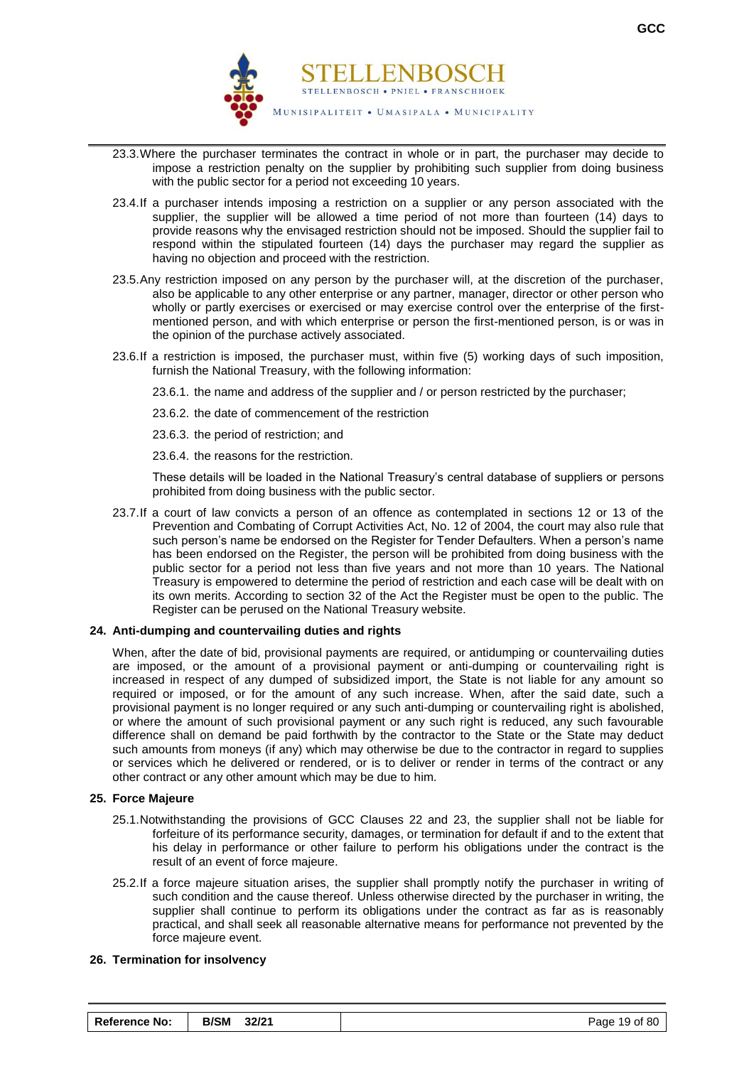

- 23.3.Where the purchaser terminates the contract in whole or in part, the purchaser may decide to impose a restriction penalty on the supplier by prohibiting such supplier from doing business with the public sector for a period not exceeding 10 years.
- 23.4.If a purchaser intends imposing a restriction on a supplier or any person associated with the supplier, the supplier will be allowed a time period of not more than fourteen (14) days to provide reasons why the envisaged restriction should not be imposed. Should the supplier fail to respond within the stipulated fourteen (14) days the purchaser may regard the supplier as having no objection and proceed with the restriction.
- 23.5.Any restriction imposed on any person by the purchaser will, at the discretion of the purchaser, also be applicable to any other enterprise or any partner, manager, director or other person who wholly or partly exercises or exercised or may exercise control over the enterprise of the firstmentioned person, and with which enterprise or person the first-mentioned person, is or was in the opinion of the purchase actively associated.
- 23.6.If a restriction is imposed, the purchaser must, within five (5) working days of such imposition, furnish the National Treasury, with the following information:
	- 23.6.1. the name and address of the supplier and / or person restricted by the purchaser;
	- 23.6.2. the date of commencement of the restriction
	- 23.6.3. the period of restriction; and
	- 23.6.4. the reasons for the restriction.

These details will be loaded in the National Treasury's central database of suppliers or persons prohibited from doing business with the public sector.

23.7.If a court of law convicts a person of an offence as contemplated in sections 12 or 13 of the Prevention and Combating of Corrupt Activities Act, No. 12 of 2004, the court may also rule that such person's name be endorsed on the Register for Tender Defaulters. When a person's name has been endorsed on the Register, the person will be prohibited from doing business with the public sector for a period not less than five years and not more than 10 years. The National Treasury is empowered to determine the period of restriction and each case will be dealt with on its own merits. According to section 32 of the Act the Register must be open to the public. The Register can be perused on the National Treasury website.

#### **24. Anti-dumping and countervailing duties and rights**

When, after the date of bid, provisional payments are required, or antidumping or countervailing duties are imposed, or the amount of a provisional payment or anti-dumping or countervailing right is increased in respect of any dumped of subsidized import, the State is not liable for any amount so required or imposed, or for the amount of any such increase. When, after the said date, such a provisional payment is no longer required or any such anti-dumping or countervailing right is abolished, or where the amount of such provisional payment or any such right is reduced, any such favourable difference shall on demand be paid forthwith by the contractor to the State or the State may deduct such amounts from moneys (if any) which may otherwise be due to the contractor in regard to supplies or services which he delivered or rendered, or is to deliver or render in terms of the contract or any other contract or any other amount which may be due to him.

#### **25. Force Majeure**

- 25.1.Notwithstanding the provisions of GCC Clauses 22 and 23, the supplier shall not be liable for forfeiture of its performance security, damages, or termination for default if and to the extent that his delay in performance or other failure to perform his obligations under the contract is the result of an event of force majeure.
- 25.2.If a force majeure situation arises, the supplier shall promptly notify the purchaser in writing of such condition and the cause thereof. Unless otherwise directed by the purchaser in writing, the supplier shall continue to perform its obligations under the contract as far as is reasonably practical, and shall seek all reasonable alternative means for performance not prevented by the force majeure event.

#### **26. Termination for insolvency**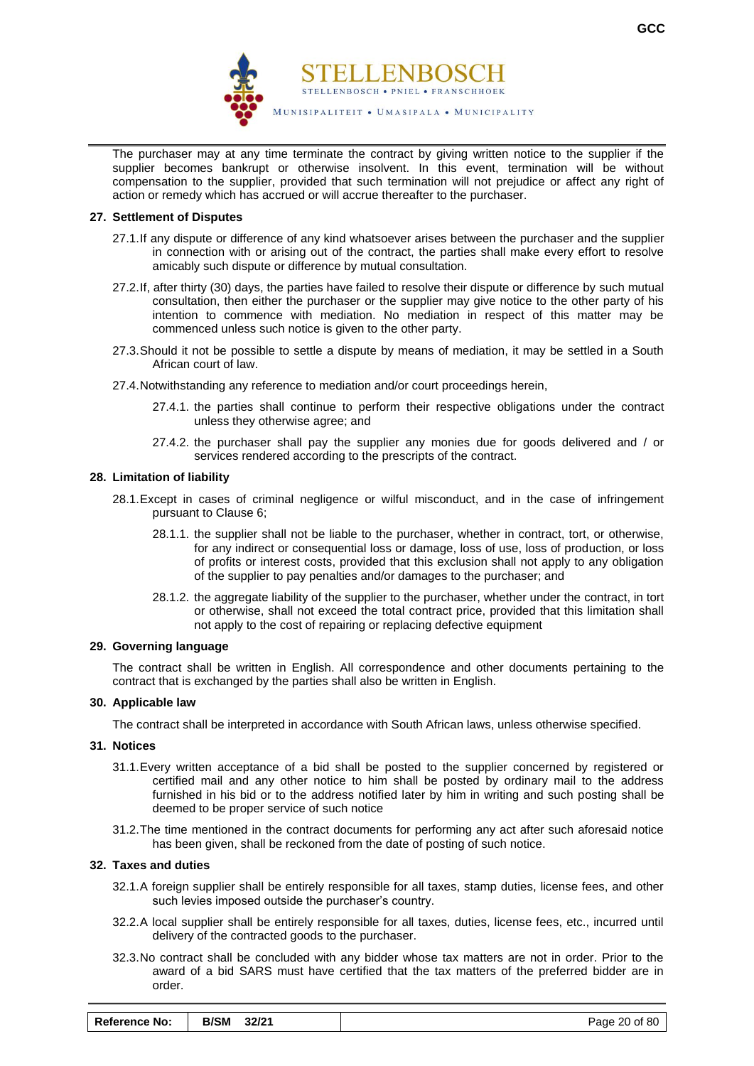

The purchaser may at any time terminate the contract by giving written notice to the supplier if the supplier becomes bankrupt or otherwise insolvent. In this event, termination will be without compensation to the supplier, provided that such termination will not prejudice or affect any right of action or remedy which has accrued or will accrue thereafter to the purchaser.

#### **27. Settlement of Disputes**

- 27.1.If any dispute or difference of any kind whatsoever arises between the purchaser and the supplier in connection with or arising out of the contract, the parties shall make every effort to resolve amicably such dispute or difference by mutual consultation.
- 27.2.If, after thirty (30) days, the parties have failed to resolve their dispute or difference by such mutual consultation, then either the purchaser or the supplier may give notice to the other party of his intention to commence with mediation. No mediation in respect of this matter may be commenced unless such notice is given to the other party.
- 27.3.Should it not be possible to settle a dispute by means of mediation, it may be settled in a South African court of law.
- 27.4.Notwithstanding any reference to mediation and/or court proceedings herein,
	- 27.4.1. the parties shall continue to perform their respective obligations under the contract unless they otherwise agree; and
	- 27.4.2. the purchaser shall pay the supplier any monies due for goods delivered and / or services rendered according to the prescripts of the contract.

#### **28. Limitation of liability**

- 28.1.Except in cases of criminal negligence or wilful misconduct, and in the case of infringement pursuant to Clause 6;
	- 28.1.1. the supplier shall not be liable to the purchaser, whether in contract, tort, or otherwise, for any indirect or consequential loss or damage, loss of use, loss of production, or loss of profits or interest costs, provided that this exclusion shall not apply to any obligation of the supplier to pay penalties and/or damages to the purchaser; and
	- 28.1.2. the aggregate liability of the supplier to the purchaser, whether under the contract, in tort or otherwise, shall not exceed the total contract price, provided that this limitation shall not apply to the cost of repairing or replacing defective equipment

#### **29. Governing language**

The contract shall be written in English. All correspondence and other documents pertaining to the contract that is exchanged by the parties shall also be written in English.

#### **30. Applicable law**

The contract shall be interpreted in accordance with South African laws, unless otherwise specified.

#### **31. Notices**

- 31.1.Every written acceptance of a bid shall be posted to the supplier concerned by registered or certified mail and any other notice to him shall be posted by ordinary mail to the address furnished in his bid or to the address notified later by him in writing and such posting shall be deemed to be proper service of such notice
- 31.2.The time mentioned in the contract documents for performing any act after such aforesaid notice has been given, shall be reckoned from the date of posting of such notice.

#### **32. Taxes and duties**

- 32.1.A foreign supplier shall be entirely responsible for all taxes, stamp duties, license fees, and other such levies imposed outside the purchaser's country.
- 32.2.A local supplier shall be entirely responsible for all taxes, duties, license fees, etc., incurred until delivery of the contracted goods to the purchaser.
- 32.3.No contract shall be concluded with any bidder whose tax matters are not in order. Prior to the award of a bid SARS must have certified that the tax matters of the preferred bidder are in order.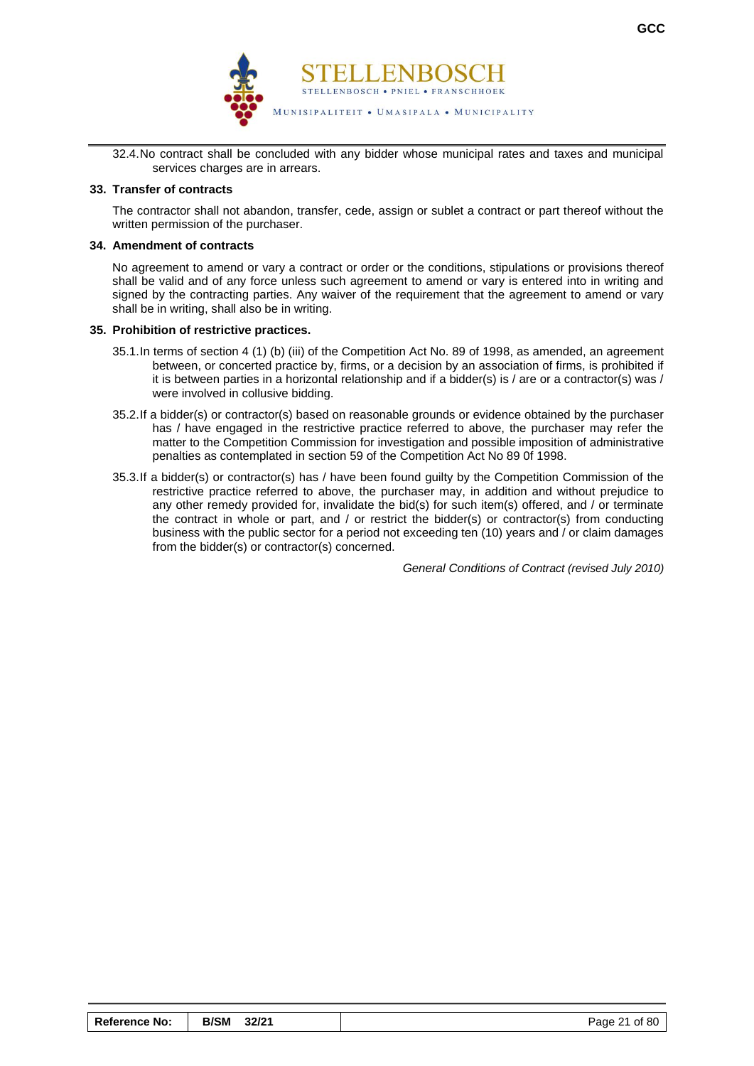

32.4.No contract shall be concluded with any bidder whose municipal rates and taxes and municipal services charges are in arrears.

#### **33. Transfer of contracts**

The contractor shall not abandon, transfer, cede, assign or sublet a contract or part thereof without the written permission of the purchaser.

#### **34. Amendment of contracts**

No agreement to amend or vary a contract or order or the conditions, stipulations or provisions thereof shall be valid and of any force unless such agreement to amend or vary is entered into in writing and signed by the contracting parties. Any waiver of the requirement that the agreement to amend or vary shall be in writing, shall also be in writing.

#### **35. Prohibition of restrictive practices.**

- 35.1.In terms of section 4 (1) (b) (iii) of the Competition Act No. 89 of 1998, as amended, an agreement between, or concerted practice by, firms, or a decision by an association of firms, is prohibited if it is between parties in a horizontal relationship and if a bidder(s) is / are or a contractor(s) was / were involved in collusive bidding.
- 35.2.If a bidder(s) or contractor(s) based on reasonable grounds or evidence obtained by the purchaser has / have engaged in the restrictive practice referred to above, the purchaser may refer the matter to the Competition Commission for investigation and possible imposition of administrative penalties as contemplated in section 59 of the Competition Act No 89 0f 1998.
- 35.3.If a bidder(s) or contractor(s) has / have been found guilty by the Competition Commission of the restrictive practice referred to above, the purchaser may, in addition and without prejudice to any other remedy provided for, invalidate the bid(s) for such item(s) offered, and / or terminate the contract in whole or part, and / or restrict the bidder(s) or contractor(s) from conducting business with the public sector for a period not exceeding ten (10) years and / or claim damages from the bidder(s) or contractor(s) concerned.

*General Conditions of Contract (revised July 2010)*

| <b>Reference No:</b> | B/SM 32/21 | Page 21 of 80 |
|----------------------|------------|---------------|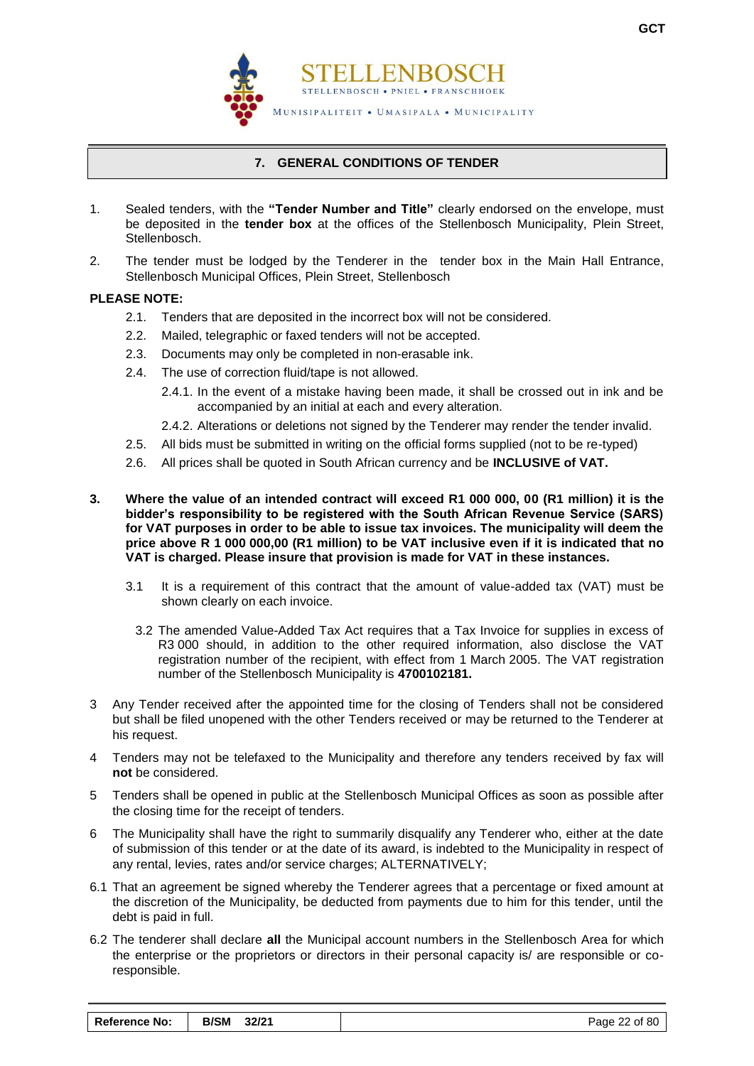

#### **7. GENERAL CONDITIONS OF TENDER**

- <span id="page-23-0"></span>1. Sealed tenders, with the **"Tender Number and Title"** clearly endorsed on the envelope, must be deposited in the **tender box** at the offices of the Stellenbosch Municipality, Plein Street, Stellenbosch.
- 2. The tender must be lodged by the Tenderer in the tender box in the Main Hall Entrance, Stellenbosch Municipal Offices, Plein Street, Stellenbosch

#### **PLEASE NOTE:**

- 2.1. Tenders that are deposited in the incorrect box will not be considered.
- 2.2. Mailed, telegraphic or faxed tenders will not be accepted.
- 2.3. Documents may only be completed in non-erasable ink.
- 2.4. The use of correction fluid/tape is not allowed.
	- 2.4.1. In the event of a mistake having been made, it shall be crossed out in ink and be accompanied by an initial at each and every alteration.
	- 2.4.2. Alterations or deletions not signed by the Tenderer may render the tender invalid.
- 2.5. All bids must be submitted in writing on the official forms supplied (not to be re-typed)
- 2.6. All prices shall be quoted in South African currency and be **INCLUSIVE of VAT.**
- **3. Where the value of an intended contract will exceed R1 000 000, 00 (R1 million) it is the bidder's responsibility to be registered with the South African Revenue Service (SARS) for VAT purposes in order to be able to issue tax invoices. The municipality will deem the price above R 1 000 000,00 (R1 million) to be VAT inclusive even if it is indicated that no VAT is charged. Please insure that provision is made for VAT in these instances.**
	- 3.1 It is a requirement of this contract that the amount of value-added tax (VAT) must be shown clearly on each invoice.
		- 3.2 The amended Value-Added Tax Act requires that a Tax Invoice for supplies in excess of R3 000 should, in addition to the other required information, also disclose the VAT registration number of the recipient, with effect from 1 March 2005. The VAT registration number of the Stellenbosch Municipality is **4700102181.**
- 3 Any Tender received after the appointed time for the closing of Tenders shall not be considered but shall be filed unopened with the other Tenders received or may be returned to the Tenderer at his request.
- 4 Tenders may not be telefaxed to the Municipality and therefore any tenders received by fax will **not** be considered.
- 5 Tenders shall be opened in public at the Stellenbosch Municipal Offices as soon as possible after the closing time for the receipt of tenders.
- 6 The Municipality shall have the right to summarily disqualify any Tenderer who, either at the date of submission of this tender or at the date of its award, is indebted to the Municipality in respect of any rental, levies, rates and/or service charges; ALTERNATIVELY;
- 6.1 That an agreement be signed whereby the Tenderer agrees that a percentage or fixed amount at the discretion of the Municipality, be deducted from payments due to him for this tender, until the debt is paid in full.
- 6.2 The tenderer shall declare **all** the Municipal account numbers in the Stellenbosch Area for which the enterprise or the proprietors or directors in their personal capacity is/ are responsible or coresponsible.

| <b>Reference No:</b> | <b>B/SM</b> | 32/21 | Page 22 of 80 |
|----------------------|-------------|-------|---------------|
|                      |             |       |               |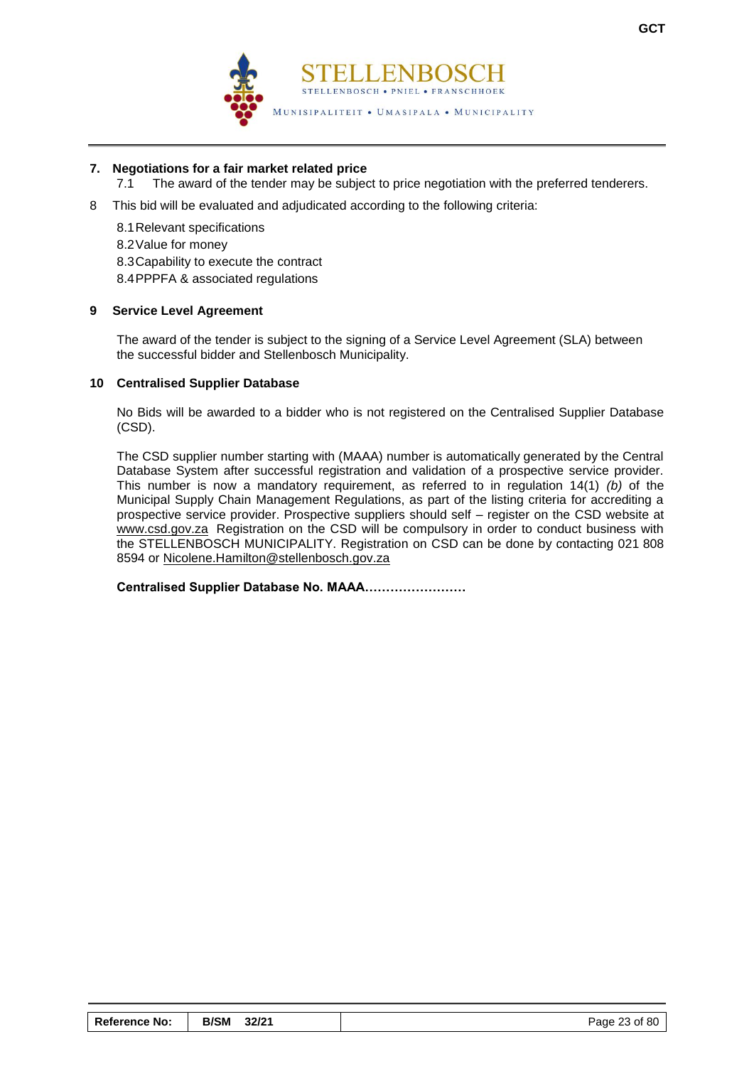

#### **7. Negotiations for a fair market related price**

- 7.1 The award of the tender may be subject to price negotiation with the preferred tenderers.
- 8 This bid will be evaluated and adjudicated according to the following criteria:
	- 8.1Relevant specifications 8.2Value for money 8.3Capability to execute the contract 8.4PPPFA & associated regulations

#### **9 Service Level Agreement**

The award of the tender is subject to the signing of a Service Level Agreement (SLA) between the successful bidder and Stellenbosch Municipality.

#### **10 Centralised Supplier Database**

No Bids will be awarded to a bidder who is not registered on the Centralised Supplier Database (CSD).

The CSD supplier number starting with (MAAA) number is automatically generated by the Central Database System after successful registration and validation of a prospective service provider. This number is now a mandatory requirement, as referred to in regulation 14(1) *(b)* of the Municipal Supply Chain Management Regulations, as part of the listing criteria for accrediting a prospective service provider. Prospective suppliers should self – register on the CSD website at [www.csd.gov.za](http://www.csd.gov.za/) Registration on the CSD will be compulsory in order to conduct business with the STELLENBOSCH MUNICIPALITY. Registration on CSD can be done by contacting 021 808 8594 or [Nicolene.Hamilton@stellenbosch.gov.za](mailto:Nicolene.Hamilton@stellenbosch.gov.za)

**Centralised Supplier Database No. MAAA……………………**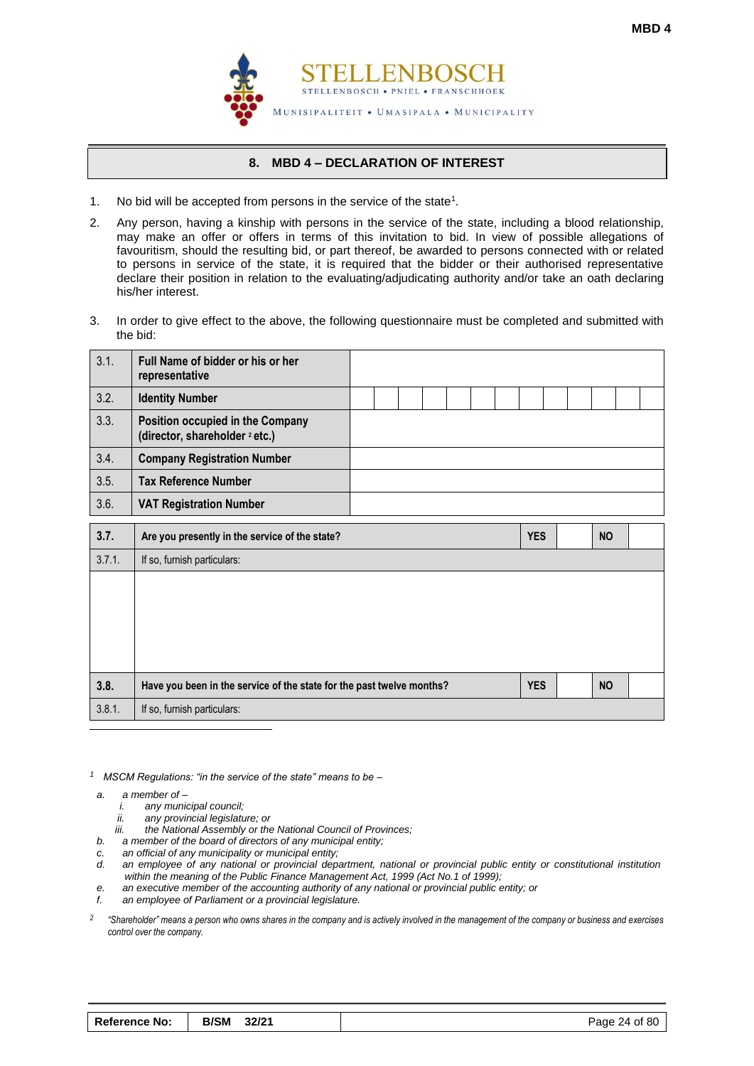

#### **8. MBD 4 – DECLARATION OF INTEREST**

- <span id="page-25-0"></span>1. No bid will be accepted from persons in the service of the state<sup>1</sup>.
- 2. Any person, having a kinship with persons in the service of the state, including a blood relationship, may make an offer or offers in terms of this invitation to bid. In view of possible allegations of favouritism, should the resulting bid, or part thereof, be awarded to persons connected with or related to persons in service of the state, it is required that the bidder or their authorised representative declare their position in relation to the evaluating/adjudicating authority and/or take an oath declaring his/her interest.
- 3. In order to give effect to the above, the following questionnaire must be completed and submitted with the bid:

| 3.1.   | Full Name of bidder or his or her<br>representative                           |  |  |  |            |  |           |  |
|--------|-------------------------------------------------------------------------------|--|--|--|------------|--|-----------|--|
| 3.2.   | <b>Identity Number</b>                                                        |  |  |  |            |  |           |  |
| 3.3.   | Position occupied in the Company<br>(director, shareholder <sup>2</sup> etc.) |  |  |  |            |  |           |  |
| 3.4.   | <b>Company Registration Number</b>                                            |  |  |  |            |  |           |  |
| 3.5.   | <b>Tax Reference Number</b>                                                   |  |  |  |            |  |           |  |
| 3.6.   | <b>VAT Registration Number</b>                                                |  |  |  |            |  |           |  |
| 3.7.   | Are you presently in the service of the state?                                |  |  |  | <b>YES</b> |  | <b>NO</b> |  |
| 3.7.1. | If so, furnish particulars:                                                   |  |  |  |            |  |           |  |
|        |                                                                               |  |  |  |            |  |           |  |
| 3.8.   | Have you been in the service of the state for the past twelve months?         |  |  |  | <b>YES</b> |  | <b>NO</b> |  |
|        |                                                                               |  |  |  |            |  |           |  |

*1 MSCM Regulations: "in the service of the state" means to be –*

*a. a member of –*

-

- *i. any municipal council;*
- *ii. any provincial legislature; or*
- *iii. the National Assembly or the National Council of Provinces;*
- *b. a member of the board of directors of any municipal entity;*
- *c. an official of any municipality or municipal entity;*
- *d. an employee of any national or provincial department, national or provincial public entity or constitutional institution within the meaning of the Public Finance Management Act, 1999 (Act No.1 of 1999);*
- *e. an executive member of the accounting authority of any national or provincial public entity; or*
- *f. an employee of Parliament or a provincial legislature.*
- *2 "Shareholder" means a person who owns shares in the company and is actively involved in the management of the company or business and exercises control over the company.*

| ∣ Reference No: | B/SM 32/21 | Page 24 of 80 |
|-----------------|------------|---------------|
|-----------------|------------|---------------|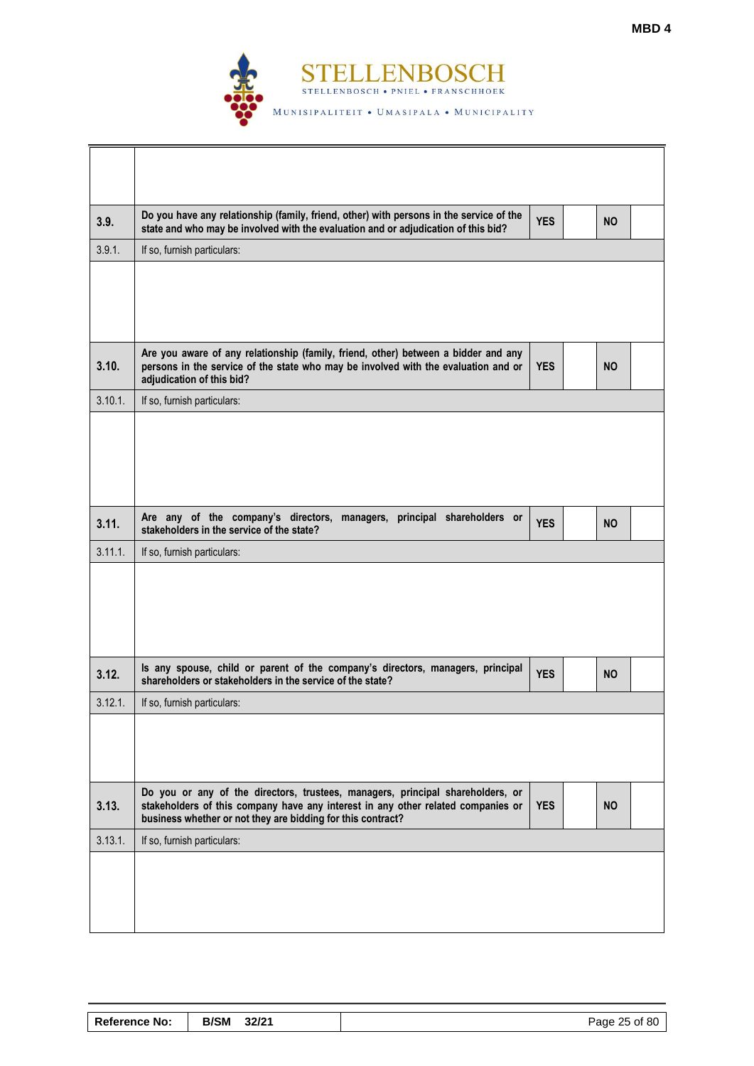

| 3.9.    | Do you have any relationship (family, friend, other) with persons in the service of the<br>state and who may be involved with the evaluation and or adjudication of this bid?                                                     | <b>YES</b> | <b>NO</b> |  |
|---------|-----------------------------------------------------------------------------------------------------------------------------------------------------------------------------------------------------------------------------------|------------|-----------|--|
| 3.9.1.  | If so, furnish particulars:                                                                                                                                                                                                       |            |           |  |
|         |                                                                                                                                                                                                                                   |            |           |  |
| 3.10.   | Are you aware of any relationship (family, friend, other) between a bidder and any<br>persons in the service of the state who may be involved with the evaluation and or<br>adjudication of this bid?                             | <b>YES</b> | <b>NO</b> |  |
| 3.10.1. | If so, furnish particulars:                                                                                                                                                                                                       |            |           |  |
|         |                                                                                                                                                                                                                                   |            |           |  |
| 3.11.   | Are any of the company's directors, managers, principal shareholders or<br>stakeholders in the service of the state?                                                                                                              | <b>YES</b> | <b>NO</b> |  |
| 3.11.1. | If so, furnish particulars:                                                                                                                                                                                                       |            |           |  |
|         |                                                                                                                                                                                                                                   |            |           |  |
| 3.12.   | Is any spouse, child or parent of the company's directors, managers, principal<br>shareholders or stakeholders in the service of the state?                                                                                       | <b>YES</b> | <b>NO</b> |  |
| 3.12.1. | If so, furnish particulars:                                                                                                                                                                                                       |            |           |  |
|         |                                                                                                                                                                                                                                   |            |           |  |
| 3.13.   | Do you or any of the directors, trustees, managers, principal shareholders, or<br>stakeholders of this company have any interest in any other related companies or<br>business whether or not they are bidding for this contract? | <b>YES</b> | <b>NO</b> |  |
| 3.13.1. | If so, furnish particulars:                                                                                                                                                                                                       |            |           |  |
|         |                                                                                                                                                                                                                                   |            |           |  |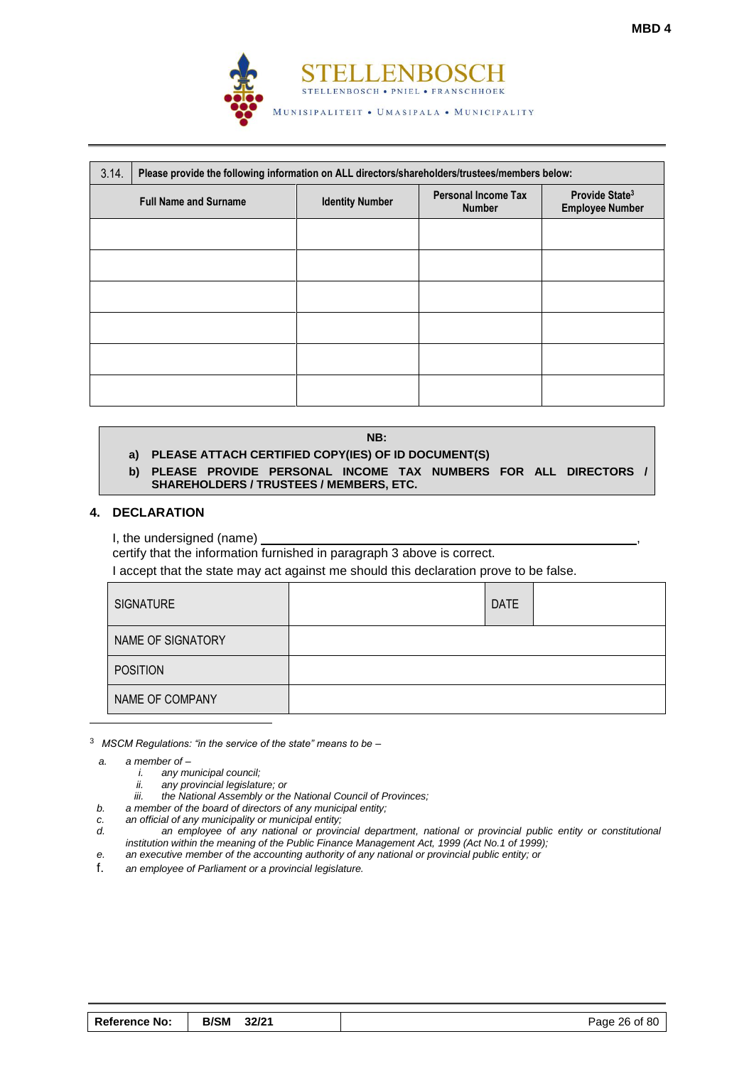

| 3.14. | Please provide the following information on ALL directors/shareholders/trustees/members below: |                                                                       |  |                                                      |  |  |  |  |
|-------|------------------------------------------------------------------------------------------------|-----------------------------------------------------------------------|--|------------------------------------------------------|--|--|--|--|
|       | <b>Full Name and Surname</b>                                                                   | <b>Personal Income Tax</b><br><b>Identity Number</b><br><b>Number</b> |  | Provide State <sup>3</sup><br><b>Employee Number</b> |  |  |  |  |
|       |                                                                                                |                                                                       |  |                                                      |  |  |  |  |
|       |                                                                                                |                                                                       |  |                                                      |  |  |  |  |
|       |                                                                                                |                                                                       |  |                                                      |  |  |  |  |
|       |                                                                                                |                                                                       |  |                                                      |  |  |  |  |
|       |                                                                                                |                                                                       |  |                                                      |  |  |  |  |
|       |                                                                                                |                                                                       |  |                                                      |  |  |  |  |

#### **NB:**

# **a) PLEASE ATTACH CERTIFIED COPY(IES) OF ID DOCUMENT(S)**

**b) PLEASE PROVIDE PERSONAL INCOME TAX NUMBERS FOR ALL DIRECTORS / SHAREHOLDERS / TRUSTEES / MEMBERS, ETC.**

#### **4. DECLARATION**

I, the undersigned (name)

certify that the information furnished in paragraph 3 above is correct.

I accept that the state may act against me should this declaration prove to be false.

| <b>SIGNATURE</b>  | <b>DATE</b> |  |
|-------------------|-------------|--|
| NAME OF SIGNATORY |             |  |
| <b>POSITION</b>   |             |  |
| NAME OF COMPANY   |             |  |

<sup>3</sup> *MSCM Regulations: "in the service of the state" means to be –*

*a. a member of –*

-

- *i. any municipal council;*
- *ii. any provincial legislature; or*
- *iii. the National Assembly or the National Council of Provinces;*
- *b. a member of the board of directors of any municipal entity;*
- *c. an official of any municipality or municipal entity;*
- *d. an employee of any national or provincial department, national or provincial public entity or constitutional institution within the meaning of the Public Finance Management Act, 1999 (Act No.1 of 1999);*
- *e. an executive member of the accounting authority of any national or provincial public entity; or*
- f. *an employee of Parliament or a provincial legislature.*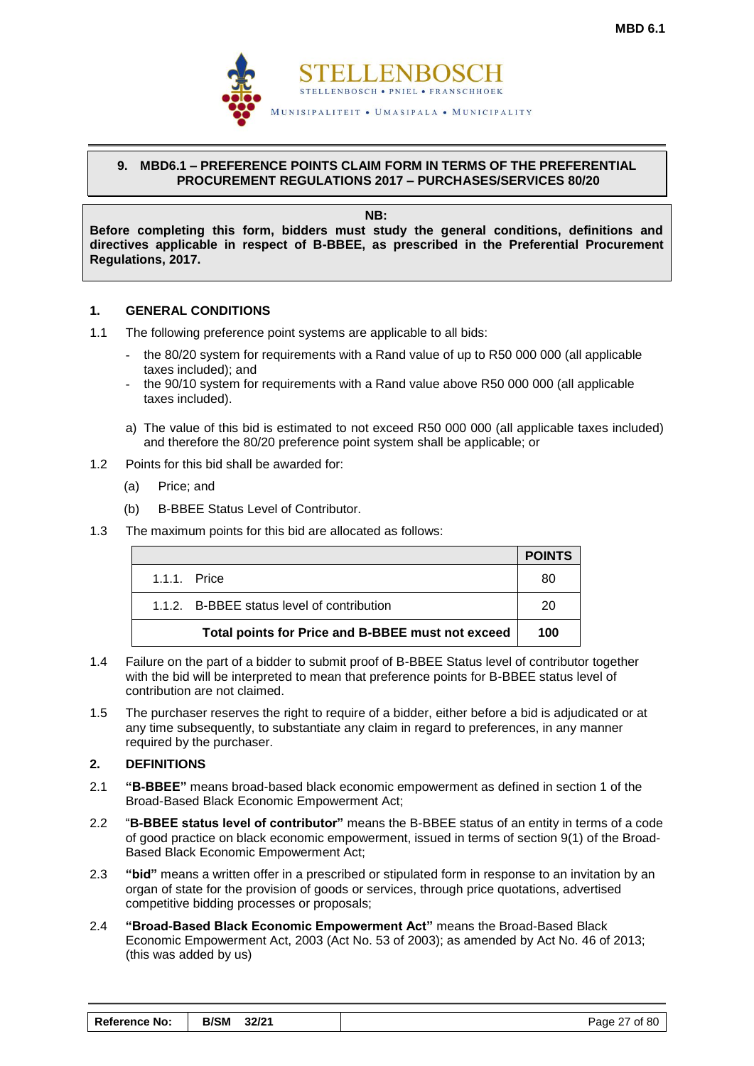

#### <span id="page-28-0"></span>**9. MBD6.1 – PREFERENCE POINTS CLAIM FORM IN TERMS OF THE PREFERENTIAL PROCUREMENT REGULATIONS 2017 – PURCHASES/SERVICES 80/20**

**NB:**

**Before completing this form, bidders must study the general conditions, definitions and directives applicable in respect of B-BBEE, as prescribed in the Preferential Procurement Regulations, 2017.** 

#### **1. GENERAL CONDITIONS**

- 1.1 The following preference point systems are applicable to all bids:
	- the 80/20 system for requirements with a Rand value of up to R50 000 000 (all applicable taxes included); and
	- the 90/10 system for requirements with a Rand value above R50 000 000 (all applicable taxes included).
	- a) The value of this bid is estimated to not exceed R50 000 000 (all applicable taxes included) and therefore the 80/20 preference point system shall be applicable; or
- 1.2 Points for this bid shall be awarded for:
	- (a) Price; and
	- (b) B-BBEE Status Level of Contributor.
- 1.3 The maximum points for this bid are allocated as follows:

|                                                   | <b>POINTS</b> |
|---------------------------------------------------|---------------|
| $1.1.1$ Price                                     | 80            |
| 1.1.2. B-BBEE status level of contribution        | 20            |
| Total points for Price and B-BBEE must not exceed | 100           |

- 1.4 Failure on the part of a bidder to submit proof of B-BBEE Status level of contributor together with the bid will be interpreted to mean that preference points for B-BBEE status level of contribution are not claimed.
- 1.5 The purchaser reserves the right to require of a bidder, either before a bid is adjudicated or at any time subsequently, to substantiate any claim in regard to preferences, in any manner required by the purchaser.

#### **2. DEFINITIONS**

- 2.1 **"B-BBEE"** means broad-based black economic empowerment as defined in section 1 of the Broad-Based Black Economic Empowerment Act;
- 2.2 "**B-BBEE status level of contributor"** means the B-BBEE status of an entity in terms of a code of good practice on black economic empowerment, issued in terms of section 9(1) of the Broad-Based Black Economic Empowerment Act;
- 2.3 **"bid"** means a written offer in a prescribed or stipulated form in response to an invitation by an organ of state for the provision of goods or services, through price quotations, advertised competitive bidding processes or proposals;
- 2.4 **"Broad-Based Black Economic Empowerment Act"** means the Broad-Based Black Economic Empowerment Act, 2003 (Act No. 53 of 2003); as amended by Act No. 46 of 2013; (this was added by us)

| <b>Reference No:</b> | B/SM 32/21 | Page 27 of 80 |
|----------------------|------------|---------------|
|----------------------|------------|---------------|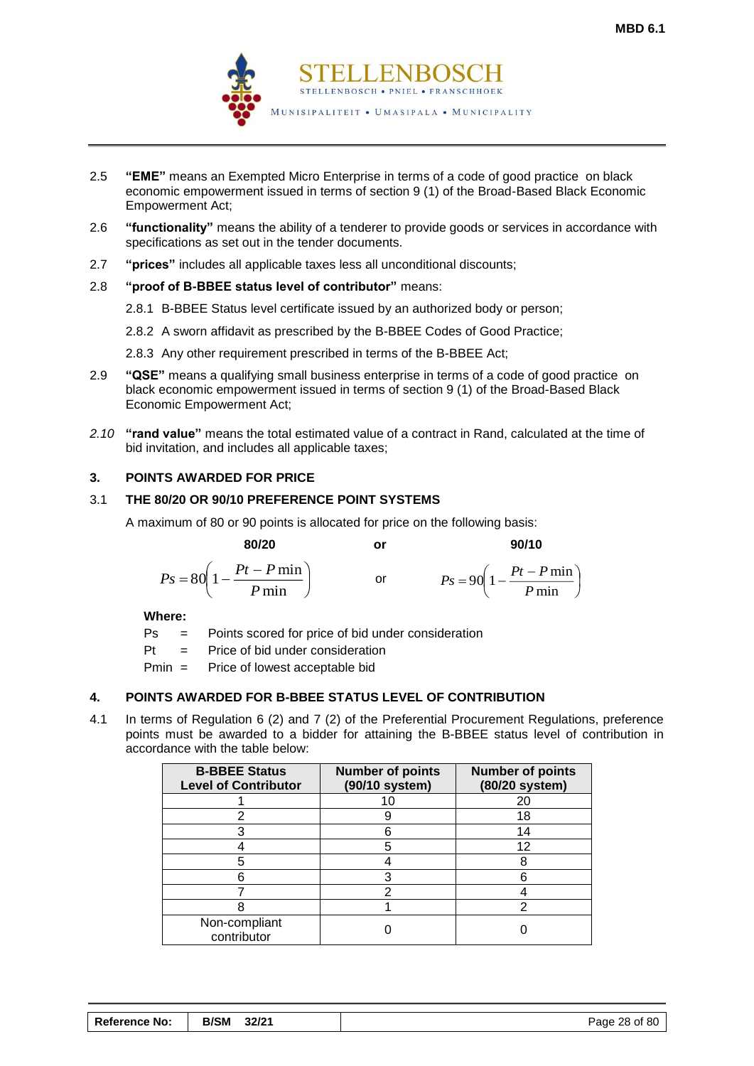

- 2.5 **"EME"** means an Exempted Micro Enterprise in terms of a code of good practice on black economic empowerment issued in terms of section 9 (1) of the Broad-Based Black Economic Empowerment Act;
- 2.6 **"functionality"** means the ability of a tenderer to provide goods or services in accordance with specifications as set out in the tender documents.
- 2.7 **"prices"** includes all applicable taxes less all unconditional discounts;

#### 2.8 **"proof of B-BBEE status level of contributor"** means:

- 2.8.1 B-BBEE Status level certificate issued by an authorized body or person;
- 2.8.2 A sworn affidavit as prescribed by the B-BBEE Codes of Good Practice;
- 2.8.3 Any other requirement prescribed in terms of the B-BBEE Act;
- 2.9 **"QSE"** means a qualifying small business enterprise in terms of a code of good practice on black economic empowerment issued in terms of section 9 (1) of the Broad-Based Black Economic Empowerment Act;
- *2.10* **"rand value"** means the total estimated value of a contract in Rand, calculated at the time of bid invitation, and includes all applicable taxes;

## **3. POINTS AWARDED FOR PRICE**

#### 3.1 **THE 80/20 OR 90/10 PREFERENCE POINT SYSTEMS**

A maximum of 80 or 90 points is allocated for price on the following basis:

 **80/20 or 90/10**

I

$$
Ps = 80\left(1 - \frac{Pt - P\min P}{\min}\right) \qquad \text{or} \qquad \qquad Ps = 90\left(1 - \frac{Pt - P\min P}{\min}\right)
$$

**Where:**

- Ps = Points scored for price of bid under consideration
- $Pt =$  Price of bid under consideration
- Pmin = Price of lowest acceptable bid

#### **4. POINTS AWARDED FOR B-BBEE STATUS LEVEL OF CONTRIBUTION**

4.1 In terms of Regulation 6 (2) and 7 (2) of the Preferential Procurement Regulations, preference points must be awarded to a bidder for attaining the B-BBEE status level of contribution in accordance with the table below:

| <b>B-BBEE Status</b><br><b>Level of Contributor</b> | <b>Number of points</b><br>(90/10 system) | <b>Number of points</b><br>(80/20 system) |
|-----------------------------------------------------|-------------------------------------------|-------------------------------------------|
|                                                     | 10                                        | 20                                        |
|                                                     |                                           | 18                                        |
|                                                     |                                           | 14                                        |
|                                                     |                                           | 12                                        |
|                                                     |                                           | 8                                         |
|                                                     |                                           | ิค                                        |
|                                                     |                                           |                                           |
|                                                     |                                           |                                           |
| Non-compliant<br>contributor                        |                                           |                                           |

| <b>B/SM</b><br>32/21<br><b>Reference No:</b> | Page 28 of 80 |
|----------------------------------------------|---------------|
|----------------------------------------------|---------------|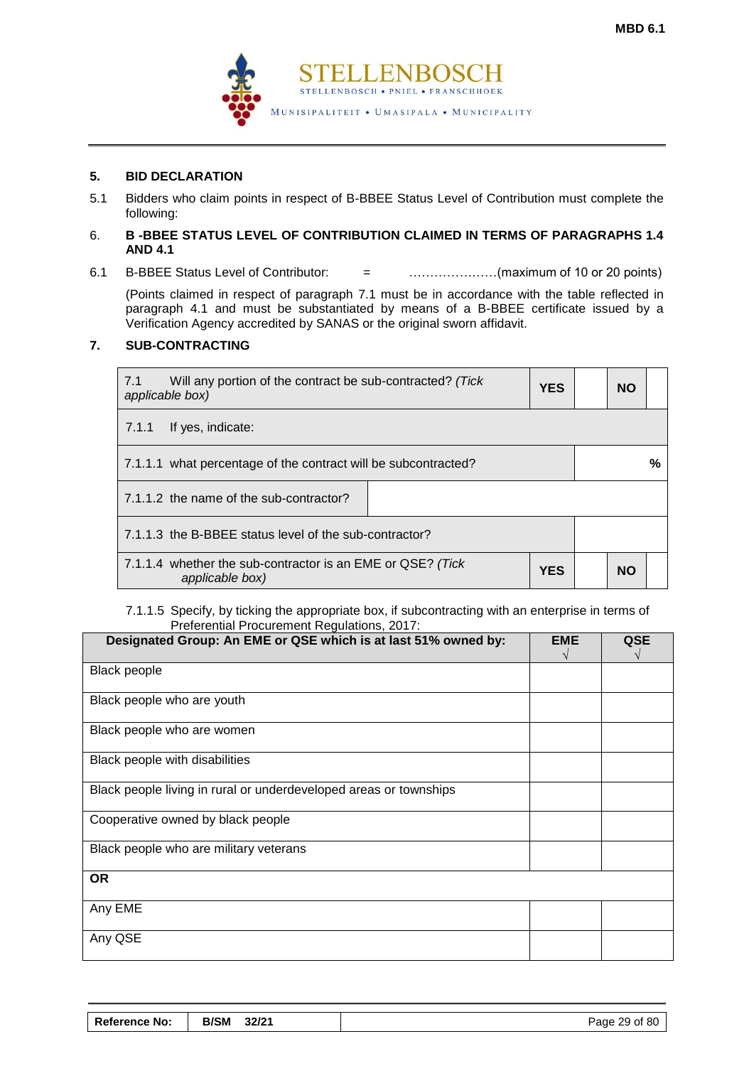

#### **5. BID DECLARATION**

5.1 Bidders who claim points in respect of B-BBEE Status Level of Contribution must complete the following:

#### 6. **B -BBEE STATUS LEVEL OF CONTRIBUTION CLAIMED IN TERMS OF PARAGRAPHS 1.4 AND 4.1**

6.1 B-BBEE Status Level of Contributor: = …………………(maximum of 10 or 20 points)

(Points claimed in respect of paragraph 7.1 must be in accordance with the table reflected in paragraph 4.1 and must be substantiated by means of a B-BBEE certificate issued by a Verification Agency accredited by SANAS or the original sworn affidavit.

#### **7. SUB-CONTRACTING**

| 7.1<br>Will any portion of the contract be sub-contracted? (Tick<br><b>YES</b><br>applicable box) |  |  |           |  |  |
|---------------------------------------------------------------------------------------------------|--|--|-----------|--|--|
| If yes, indicate:<br>7.1.1                                                                        |  |  |           |  |  |
| 7.1.1.1 what percentage of the contract will be subcontracted?                                    |  |  | %         |  |  |
| 7.1.1.2 the name of the sub-contractor?                                                           |  |  |           |  |  |
| 7.1.1.3 the B-BBEE status level of the sub-contractor?                                            |  |  |           |  |  |
| 7.1.1.4 whether the sub-contractor is an EME or QSE? (Tick<br><b>YES</b><br>applicable box)       |  |  | <b>NO</b> |  |  |

#### 7.1.1.5 Specify, by ticking the appropriate box, if subcontracting with an enterprise in terms of Preferential Procurement Regulations, 2017:

| Designated Group: An EME or QSE which is at last 51% owned by:    | <b>EME</b> | QSE |
|-------------------------------------------------------------------|------------|-----|
| <b>Black people</b>                                               |            |     |
| Black people who are youth                                        |            |     |
| Black people who are women                                        |            |     |
| Black people with disabilities                                    |            |     |
| Black people living in rural or underdeveloped areas or townships |            |     |
| Cooperative owned by black people                                 |            |     |
| Black people who are military veterans                            |            |     |
| OR.                                                               |            |     |
| Any EME                                                           |            |     |
| Any QSE                                                           |            |     |

| <b>Reference No:</b> | <b>B/SM</b><br>32/21 | Page 29 of 80 |
|----------------------|----------------------|---------------|
|----------------------|----------------------|---------------|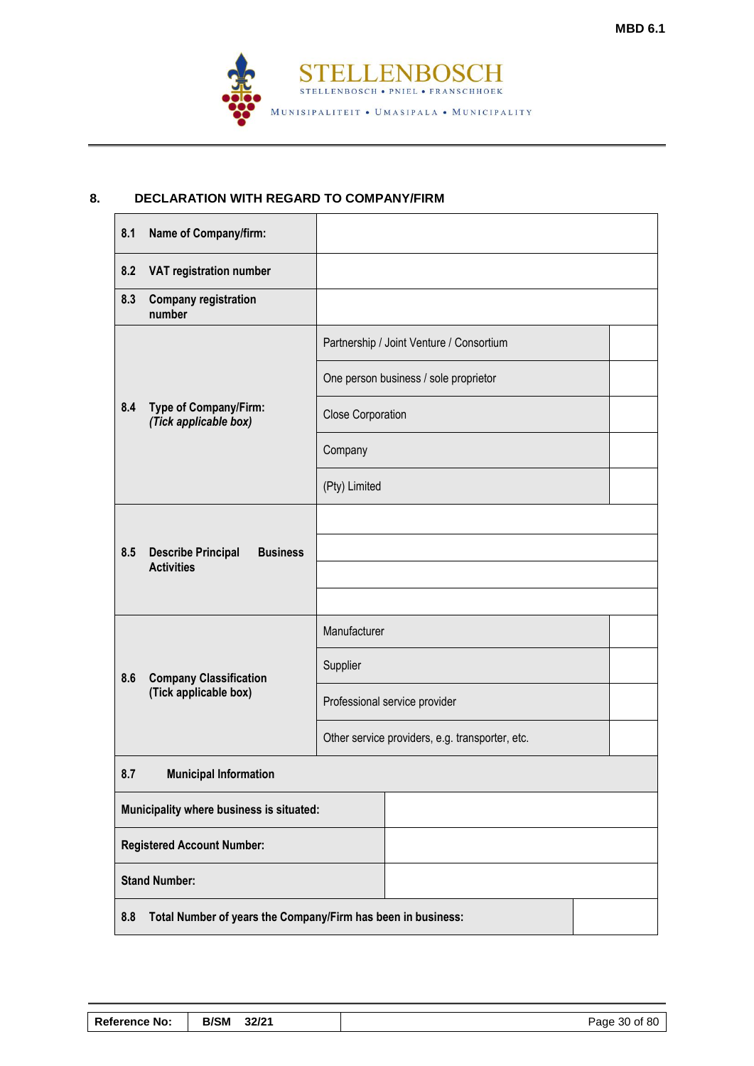

# **8. DECLARATION WITH REGARD TO COMPANY/FIRM**

 $\blacksquare$ 

| 8.1                                      | <b>Name of Company/firm:</b>                                      |                               |                                                 |  |
|------------------------------------------|-------------------------------------------------------------------|-------------------------------|-------------------------------------------------|--|
| 8.2                                      | VAT registration number                                           |                               |                                                 |  |
| 8.3                                      | <b>Company registration</b><br>number                             |                               |                                                 |  |
|                                          |                                                                   |                               | Partnership / Joint Venture / Consortium        |  |
|                                          |                                                                   |                               | One person business / sole proprietor           |  |
| 8.4                                      | Type of Company/Firm:<br>(Tick applicable box)                    | <b>Close Corporation</b>      |                                                 |  |
|                                          |                                                                   | Company                       |                                                 |  |
|                                          |                                                                   | (Pty) Limited                 |                                                 |  |
|                                          |                                                                   |                               |                                                 |  |
| 8.5                                      | <b>Describe Principal</b><br><b>Business</b><br><b>Activities</b> |                               |                                                 |  |
|                                          |                                                                   |                               |                                                 |  |
|                                          | <b>Company Classification</b><br>(Tick applicable box)            | Manufacturer                  |                                                 |  |
| 8.6                                      |                                                                   | Supplier                      |                                                 |  |
|                                          |                                                                   | Professional service provider |                                                 |  |
|                                          |                                                                   |                               | Other service providers, e.g. transporter, etc. |  |
| 8.7                                      | <b>Municipal Information</b>                                      |                               |                                                 |  |
| Municipality where business is situated: |                                                                   |                               |                                                 |  |
| <b>Registered Account Number:</b>        |                                                                   |                               |                                                 |  |
|                                          | <b>Stand Number:</b>                                              |                               |                                                 |  |
| 8.8                                      | Total Number of years the Company/Firm has been in business:      |                               |                                                 |  |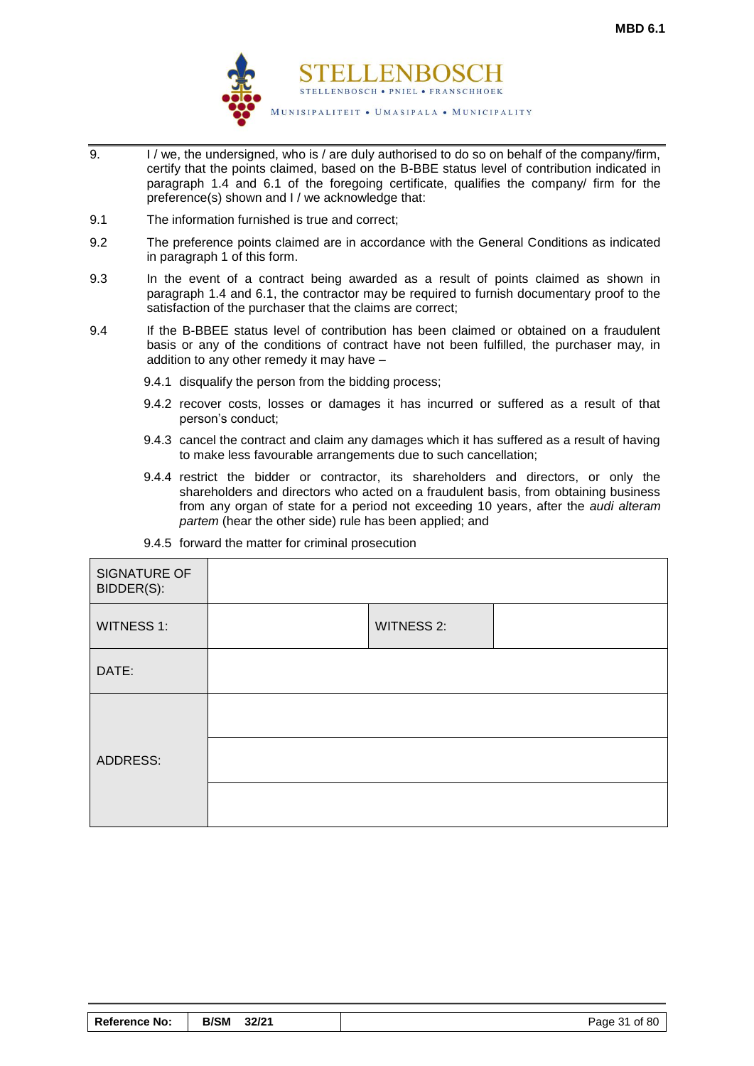

- 9. I / we, the undersigned, who is / are duly authorised to do so on behalf of the company/firm, certify that the points claimed, based on the B-BBE status level of contribution indicated in paragraph 1.4 and 6.1 of the foregoing certificate, qualifies the company/ firm for the preference(s) shown and I / we acknowledge that:
- 9.1 The information furnished is true and correct;
- 9.2 The preference points claimed are in accordance with the General Conditions as indicated in paragraph 1 of this form.
- 9.3 In the event of a contract being awarded as a result of points claimed as shown in paragraph 1.4 and 6.1, the contractor may be required to furnish documentary proof to the satisfaction of the purchaser that the claims are correct;
- 9.4 If the B-BBEE status level of contribution has been claimed or obtained on a fraudulent basis or any of the conditions of contract have not been fulfilled, the purchaser may, in addition to any other remedy it may have –
	- 9.4.1 disqualify the person from the bidding process;
	- 9.4.2 recover costs, losses or damages it has incurred or suffered as a result of that person's conduct;
	- 9.4.3 cancel the contract and claim any damages which it has suffered as a result of having to make less favourable arrangements due to such cancellation;
	- 9.4.4 restrict the bidder or contractor, its shareholders and directors, or only the shareholders and directors who acted on a fraudulent basis, from obtaining business from any organ of state for a period not exceeding 10 years, after the *audi alteram partem* (hear the other side) rule has been applied; and

| SIGNATURE OF<br>BIDDER(S): |                   |  |
|----------------------------|-------------------|--|
| <b>WITNESS 1:</b>          | <b>WITNESS 2:</b> |  |
| DATE:                      |                   |  |
| ADDRESS:                   |                   |  |
|                            |                   |  |
|                            |                   |  |

9.4.5 forward the matter for criminal prosecution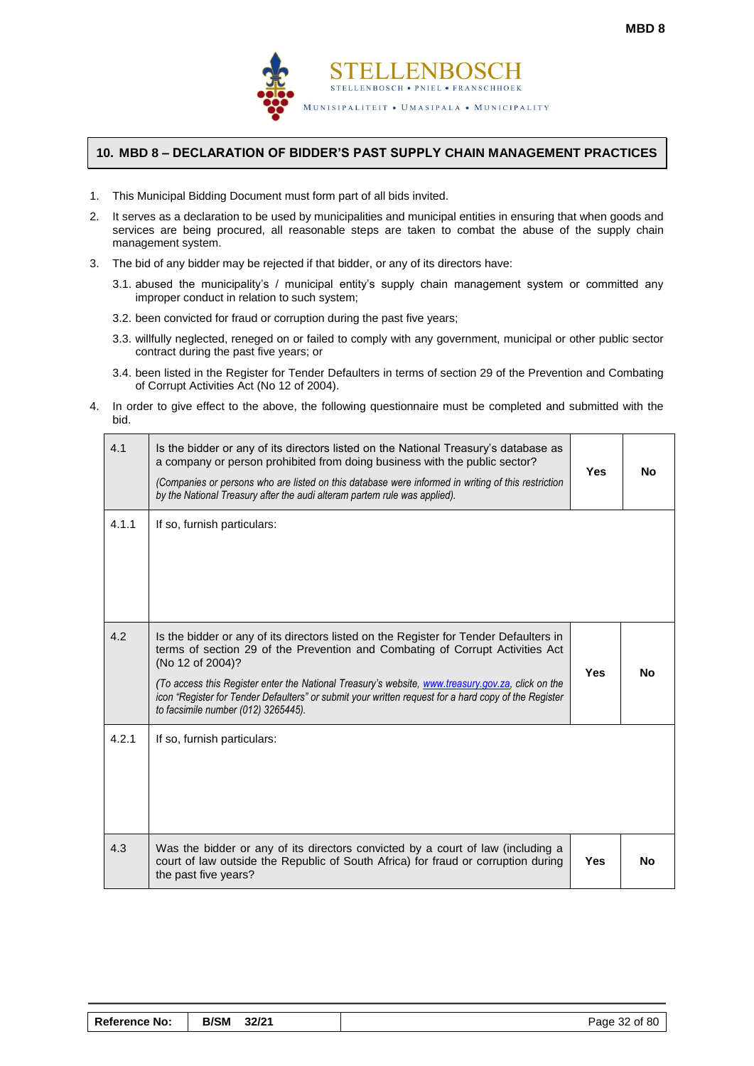

#### <span id="page-33-0"></span>**10. MBD 8 – DECLARATION OF BIDDER'S PAST SUPPLY CHAIN MANAGEMENT PRACTICES**

- 1. This Municipal Bidding Document must form part of all bids invited.
- 2. It serves as a declaration to be used by municipalities and municipal entities in ensuring that when goods and services are being procured, all reasonable steps are taken to combat the abuse of the supply chain management system.
- 3. The bid of any bidder may be rejected if that bidder, or any of its directors have:
	- 3.1. abused the municipality's / municipal entity's supply chain management system or committed any improper conduct in relation to such system;
	- 3.2. been convicted for fraud or corruption during the past five years;
	- 3.3. willfully neglected, reneged on or failed to comply with any government, municipal or other public sector contract during the past five years; or
	- 3.4. been listed in the Register for Tender Defaulters in terms of section 29 of the Prevention and Combating of Corrupt Activities Act (No 12 of 2004).
- 4. In order to give effect to the above, the following questionnaire must be completed and submitted with the bid.

| 4.1   | Is the bidder or any of its directors listed on the National Treasury's database as<br>a company or person prohibited from doing business with the public sector?<br>(Companies or persons who are listed on this database were informed in writing of this restriction<br>by the National Treasury after the audi alteram partem rule was applied).                                                                                           | <b>Yes</b> | No        |
|-------|------------------------------------------------------------------------------------------------------------------------------------------------------------------------------------------------------------------------------------------------------------------------------------------------------------------------------------------------------------------------------------------------------------------------------------------------|------------|-----------|
| 4.1.1 | If so, furnish particulars:                                                                                                                                                                                                                                                                                                                                                                                                                    |            |           |
| 4.2   | Is the bidder or any of its directors listed on the Register for Tender Defaulters in<br>terms of section 29 of the Prevention and Combating of Corrupt Activities Act<br>(No 12 of 2004)?<br>(To access this Register enter the National Treasury's website, www.treasury.gov.za, click on the<br>icon "Register for Tender Defaulters" or submit your written request for a hard copy of the Register<br>to facsimile number (012) 3265445). | <b>Yes</b> | <b>No</b> |
| 4.2.1 | If so, furnish particulars:                                                                                                                                                                                                                                                                                                                                                                                                                    |            |           |
| 4.3   | Was the bidder or any of its directors convicted by a court of law (including a<br>court of law outside the Republic of South Africa) for fraud or corruption during<br>the past five years?                                                                                                                                                                                                                                                   | <b>Yes</b> | <b>No</b> |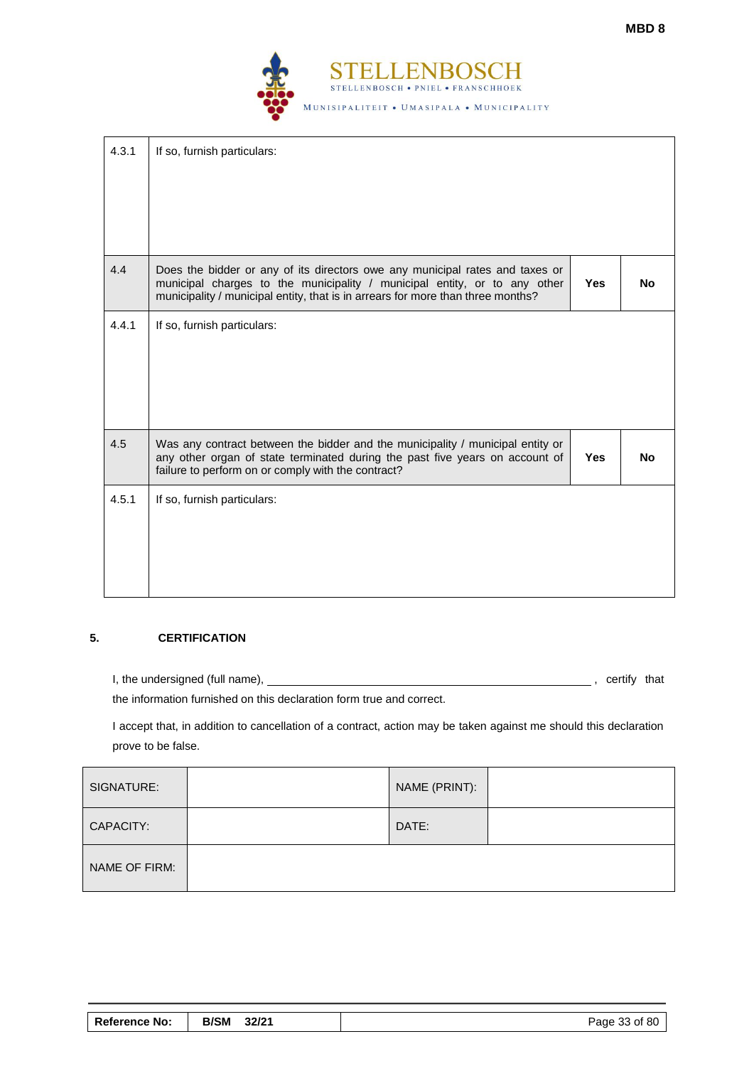

| 4.3.1 | If so, furnish particulars:                                                                                                                                                                                                                  |            |     |
|-------|----------------------------------------------------------------------------------------------------------------------------------------------------------------------------------------------------------------------------------------------|------------|-----|
| 4.4   | Does the bidder or any of its directors owe any municipal rates and taxes or<br>municipal charges to the municipality / municipal entity, or to any other<br>municipality / municipal entity, that is in arrears for more than three months? | <b>Yes</b> | No. |
| 4.4.1 | If so, furnish particulars:                                                                                                                                                                                                                  |            |     |
| 4.5   | Was any contract between the bidder and the municipality / municipal entity or<br>any other organ of state terminated during the past five years on account of<br>failure to perform on or comply with the contract?                         | <b>Yes</b> | No. |
| 4.5.1 | If so, furnish particulars:                                                                                                                                                                                                                  |            |     |

#### **5. CERTIFICATION**

I, the undersigned (full name), , certify that

the information furnished on this declaration form true and correct.

I accept that, in addition to cancellation of a contract, action may be taken against me should this declaration prove to be false.

| SIGNATURE:    | NAME (PRINT): |  |
|---------------|---------------|--|
| CAPACITY:     | DATE:         |  |
| NAME OF FIRM: |               |  |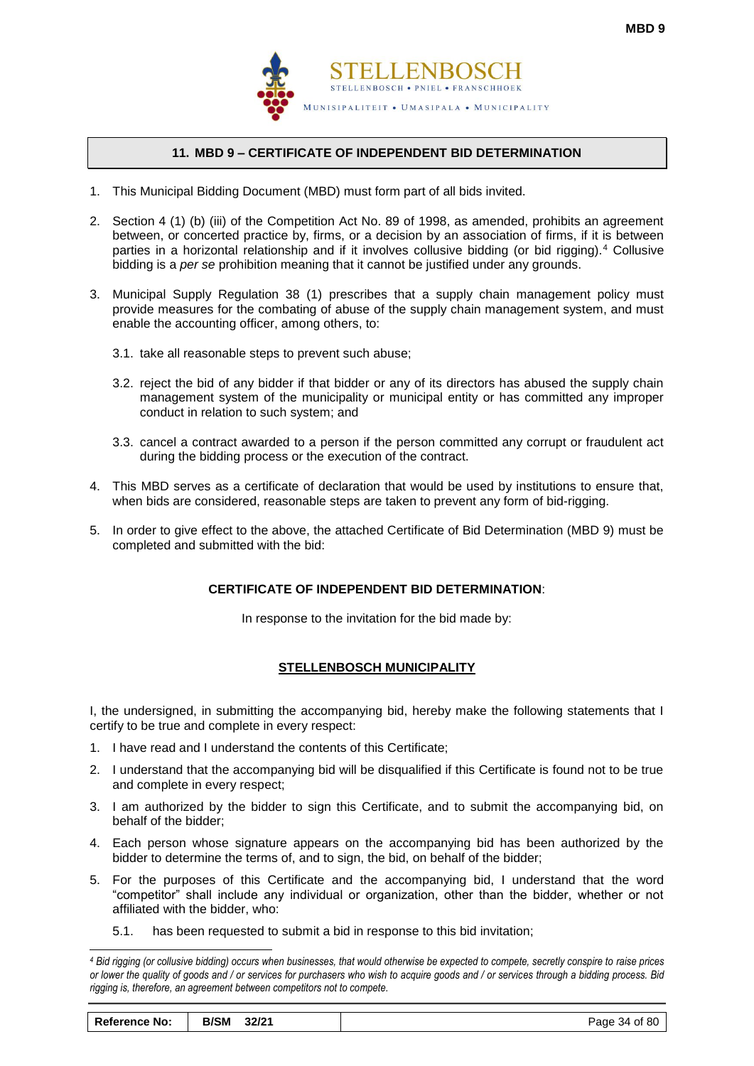

#### **11. MBD 9 – CERTIFICATE OF INDEPENDENT BID DETERMINATION**

- <span id="page-35-0"></span>1. This Municipal Bidding Document (MBD) must form part of all bids invited.
- 2. Section 4 (1) (b) (iii) of the Competition Act No. 89 of 1998, as amended, prohibits an agreement between, or concerted practice by, firms, or a decision by an association of firms, if it is between parties in a horizontal relationship and if it involves collusive bidding (or bid rigging).<sup>4</sup> Collusive bidding is a *per se* prohibition meaning that it cannot be justified under any grounds.
- 3. Municipal Supply Regulation 38 (1) prescribes that a supply chain management policy must provide measures for the combating of abuse of the supply chain management system, and must enable the accounting officer, among others, to:
	- 3.1. take all reasonable steps to prevent such abuse;
	- 3.2. reject the bid of any bidder if that bidder or any of its directors has abused the supply chain management system of the municipality or municipal entity or has committed any improper conduct in relation to such system; and
	- 3.3. cancel a contract awarded to a person if the person committed any corrupt or fraudulent act during the bidding process or the execution of the contract.
- 4. This MBD serves as a certificate of declaration that would be used by institutions to ensure that, when bids are considered, reasonable steps are taken to prevent any form of bid-rigging.
- 5. In order to give effect to the above, the attached Certificate of Bid Determination (MBD 9) must be completed and submitted with the bid:

#### **CERTIFICATE OF INDEPENDENT BID DETERMINATION**:

In response to the invitation for the bid made by:

#### **STELLENBOSCH MUNICIPALITY**

I, the undersigned, in submitting the accompanying bid, hereby make the following statements that I certify to be true and complete in every respect:

- 1. I have read and I understand the contents of this Certificate;
- 2. I understand that the accompanying bid will be disqualified if this Certificate is found not to be true and complete in every respect;
- 3. I am authorized by the bidder to sign this Certificate, and to submit the accompanying bid, on behalf of the bidder;
- 4. Each person whose signature appears on the accompanying bid has been authorized by the bidder to determine the terms of, and to sign, the bid, on behalf of the bidder;
- 5. For the purposes of this Certificate and the accompanying bid, I understand that the word "competitor" shall include any individual or organization, other than the bidder, whether or not affiliated with the bidder, who:
	- 5.1. has been requested to submit a bid in response to this bid invitation;

<sup>-</sup>*<sup>4</sup> Bid rigging (or collusive bidding) occurs when businesses, that would otherwise be expected to compete, secretly conspire to raise prices or lower the quality of goods and / or services for purchasers who wish to acquire goods and / or services through a bidding process. Bid rigging is, therefore, an agreement between competitors not to compete.*

| <b>Reference No:</b> | B/SM 32/21 | Page 34 of 80 |
|----------------------|------------|---------------|
|----------------------|------------|---------------|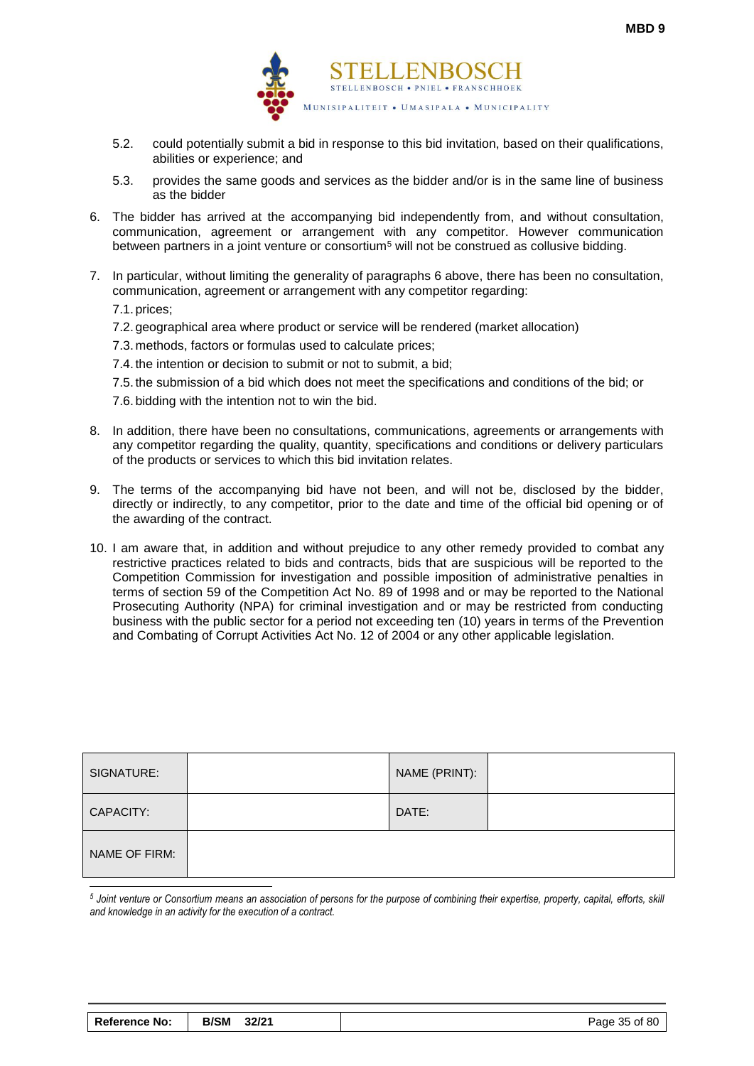

- 5.2. could potentially submit a bid in response to this bid invitation, based on their qualifications, abilities or experience; and
- 5.3. provides the same goods and services as the bidder and/or is in the same line of business as the bidder
- 6. The bidder has arrived at the accompanying bid independently from, and without consultation, communication, agreement or arrangement with any competitor. However communication between partners in a joint venture or consortium<sup>5</sup> will not be construed as collusive bidding.
- 7. In particular, without limiting the generality of paragraphs 6 above, there has been no consultation, communication, agreement or arrangement with any competitor regarding:

7.1. prices;

- 7.2. geographical area where product or service will be rendered (market allocation)
- 7.3. methods, factors or formulas used to calculate prices;
- 7.4. the intention or decision to submit or not to submit, a bid;
- 7.5. the submission of a bid which does not meet the specifications and conditions of the bid; or
- 7.6. bidding with the intention not to win the bid.
- 8. In addition, there have been no consultations, communications, agreements or arrangements with any competitor regarding the quality, quantity, specifications and conditions or delivery particulars of the products or services to which this bid invitation relates.
- 9. The terms of the accompanying bid have not been, and will not be, disclosed by the bidder, directly or indirectly, to any competitor, prior to the date and time of the official bid opening or of the awarding of the contract.
- 10. I am aware that, in addition and without prejudice to any other remedy provided to combat any restrictive practices related to bids and contracts, bids that are suspicious will be reported to the Competition Commission for investigation and possible imposition of administrative penalties in terms of section 59 of the Competition Act No. 89 of 1998 and or may be reported to the National Prosecuting Authority (NPA) for criminal investigation and or may be restricted from conducting business with the public sector for a period not exceeding ten (10) years in terms of the Prevention and Combating of Corrupt Activities Act No. 12 of 2004 or any other applicable legislation.

| SIGNATURE:    | NAME (PRINT): |  |
|---------------|---------------|--|
| CAPACITY:     | DATE:         |  |
| NAME OF FIRM: |               |  |
|               |               |  |

*<sup>5</sup> Joint venture or Consortium means an association of persons for the purpose of combining their expertise, property, capital, efforts, skill and knowledge in an activity for the execution of a contract.*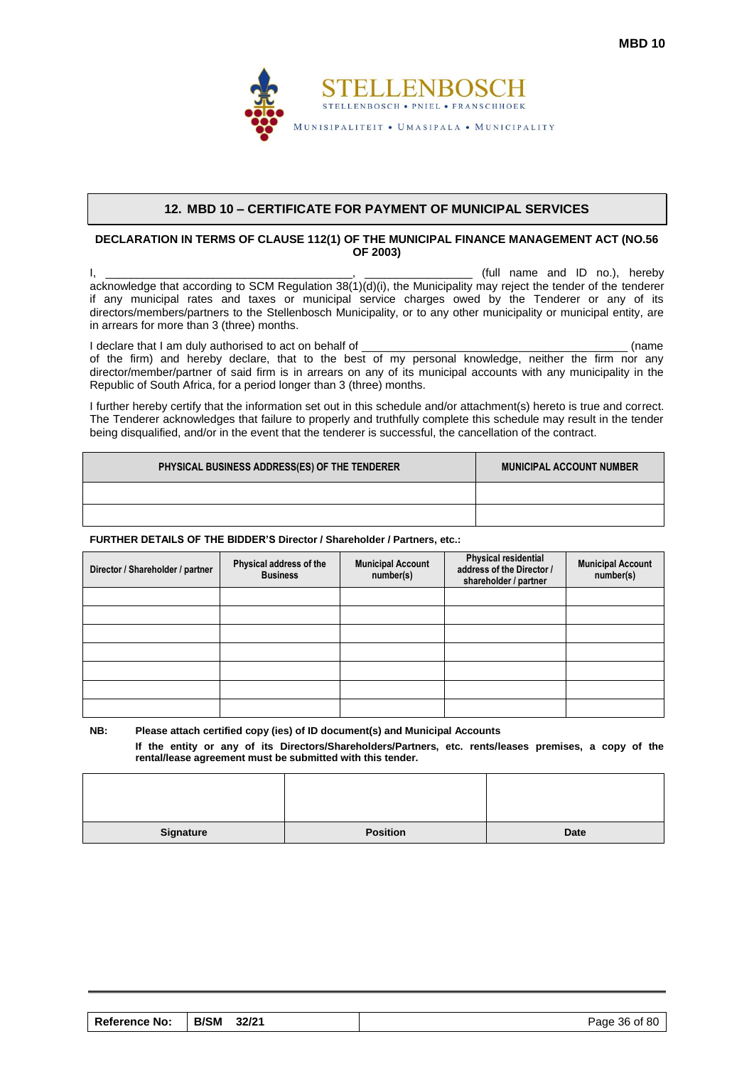

#### **12. MBD 10 – CERTIFICATE FOR PAYMENT OF MUNICIPAL SERVICES**

#### **DECLARATION IN TERMS OF CLAUSE 112(1) OF THE MUNICIPAL FINANCE MANAGEMENT ACT (NO.56 OF 2003)**

 $\mathsf{I}, \mathsf{I}, \mathsf{I}$ acknowledge that according to SCM Regulation 38(1)(d)(i), the Municipality may reject the tender of the tenderer if any municipal rates and taxes or municipal service charges owed by the Tenderer or any of its directors/members/partners to the Stellenbosch Municipality, or to any other municipality or municipal entity, are in arrears for more than 3 (three) months.

I declare that I am duly authorised to act on behalf of \_\_\_\_\_\_\_\_\_\_\_\_\_\_\_\_\_\_\_\_\_\_\_\_\_\_\_\_\_\_\_\_\_\_\_\_\_\_\_\_\_\_ (name of the firm) and hereby declare, that to the best of my personal knowledge, neither the firm nor any director/member/partner of said firm is in arrears on any of its municipal accounts with any municipality in the Republic of South Africa, for a period longer than 3 (three) months.

I further hereby certify that the information set out in this schedule and/or attachment(s) hereto is true and correct. The Tenderer acknowledges that failure to properly and truthfully complete this schedule may result in the tender being disqualified, and/or in the event that the tenderer is successful, the cancellation of the contract.

| PHYSICAL BUSINESS ADDRESS(ES) OF THE TENDERER | <b>MUNICIPAL ACCOUNT NUMBER</b> |
|-----------------------------------------------|---------------------------------|
|                                               |                                 |
|                                               |                                 |

#### **FURTHER DETAILS OF THE BIDDER'S Director / Shareholder / Partners, etc.:**

| Director / Shareholder / partner | Physical address of the<br><b>Municipal Account</b><br><b>Business</b><br>number(s) |  | <b>Physical residential</b><br>address of the Director /<br>shareholder / partner | <b>Municipal Account</b><br>number(s) |  |  |
|----------------------------------|-------------------------------------------------------------------------------------|--|-----------------------------------------------------------------------------------|---------------------------------------|--|--|
|                                  |                                                                                     |  |                                                                                   |                                       |  |  |
|                                  |                                                                                     |  |                                                                                   |                                       |  |  |
|                                  |                                                                                     |  |                                                                                   |                                       |  |  |
|                                  |                                                                                     |  |                                                                                   |                                       |  |  |
|                                  |                                                                                     |  |                                                                                   |                                       |  |  |
|                                  |                                                                                     |  |                                                                                   |                                       |  |  |
|                                  |                                                                                     |  |                                                                                   |                                       |  |  |

**NB: Please attach certified copy (ies) of ID document(s) and Municipal Accounts If the entity or any of its Directors/Shareholders/Partners, etc. rents/leases premises, a copy of the rental/lease agreement must be submitted with this tender.**

| <b>Reference No:</b> | <b>B/SM</b><br>32/21 | Page 36 of 80 |
|----------------------|----------------------|---------------|
|----------------------|----------------------|---------------|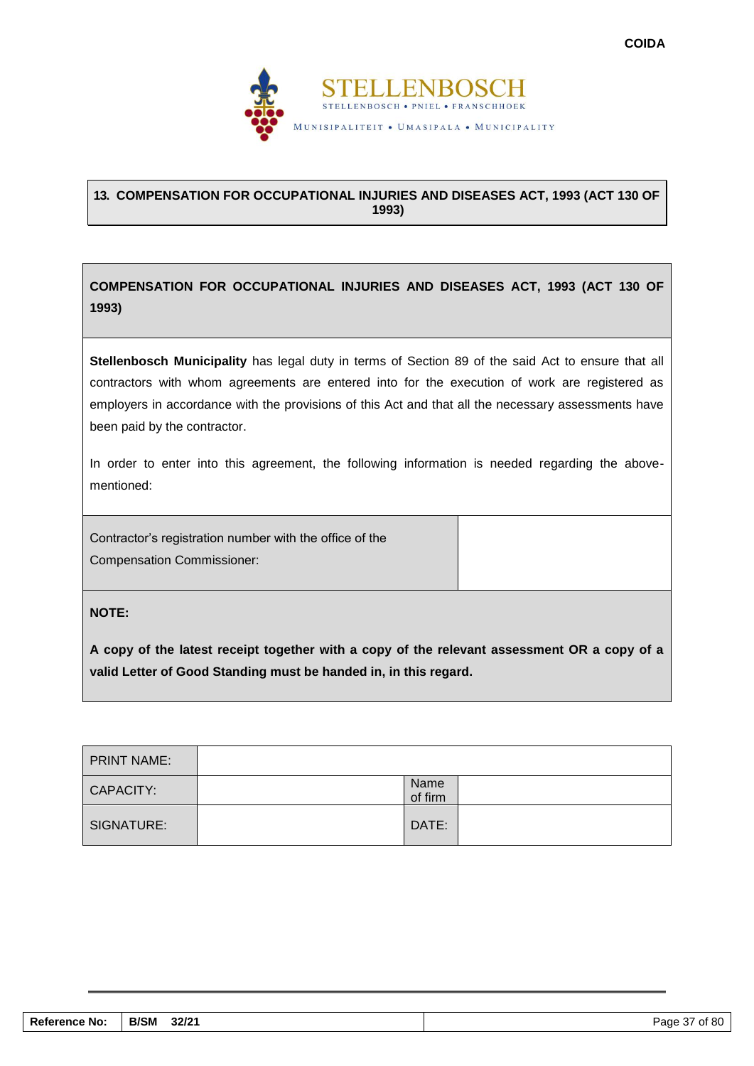

## **13. COMPENSATION FOR OCCUPATIONAL INJURIES AND DISEASES ACT, 1993 (ACT 130 OF 1993)**

**COMPENSATION FOR OCCUPATIONAL INJURIES AND DISEASES ACT, 1993 (ACT 130 OF 1993)**

**Stellenbosch Municipality** has legal duty in terms of Section 89 of the said Act to ensure that all contractors with whom agreements are entered into for the execution of work are registered as employers in accordance with the provisions of this Act and that all the necessary assessments have been paid by the contractor.

In order to enter into this agreement, the following information is needed regarding the abovementioned:

Contractor's registration number with the office of the Compensation Commissioner:

**NOTE:**

**A copy of the latest receipt together with a copy of the relevant assessment OR a copy of a valid Letter of Good Standing must be handed in, in this regard.**

| <b>PRINT NAME:</b> |                 |  |
|--------------------|-----------------|--|
| CAPACITY:          | Name<br>of firm |  |
| SIGNATURE:         | DATE:           |  |

| <b>Reference No:</b> | <b>B/SM</b><br>32/21 | 80<br>Page<br>∩t<br>$\cdot$ |
|----------------------|----------------------|-----------------------------|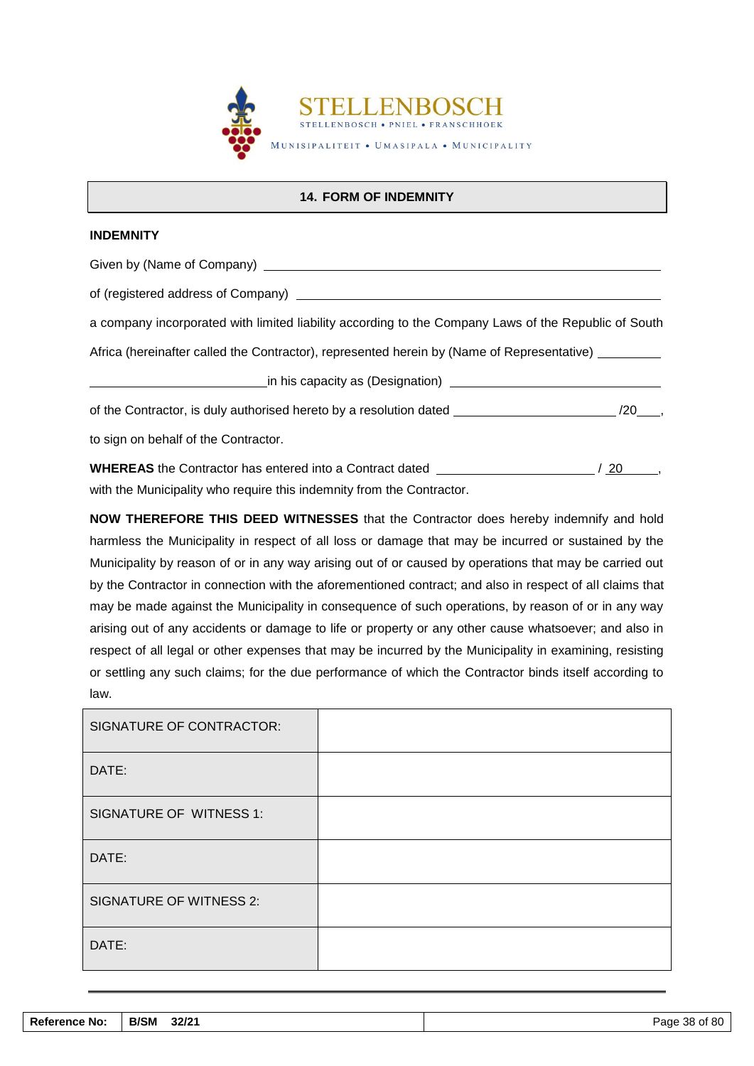

#### **14. FORM OF INDEMNITY**

#### **INDEMNITY**

Given by (Name of Company)

of (registered address of Company)

a company incorporated with limited liability according to the Company Laws of the Republic of South

Africa (hereinafter called the Contractor), represented herein by (Name of Representative) \_\_\_\_\_\_\_\_

in his capacity as (Designation)

of the Contractor, is duly authorised hereto by a resolution dated /20 /20 ,

to sign on behalf of the Contractor.

**WHEREAS** the Contractor has entered into a Contract dated  $/20$ , with the Municipality who require this indemnity from the Contractor.

**NOW THEREFORE THIS DEED WITNESSES** that the Contractor does hereby indemnify and hold harmless the Municipality in respect of all loss or damage that may be incurred or sustained by the Municipality by reason of or in any way arising out of or caused by operations that may be carried out by the Contractor in connection with the aforementioned contract; and also in respect of all claims that may be made against the Municipality in consequence of such operations, by reason of or in any way arising out of any accidents or damage to life or property or any other cause whatsoever; and also in respect of all legal or other expenses that may be incurred by the Municipality in examining, resisting or settling any such claims; for the due performance of which the Contractor binds itself according to law.

| <b>SIGNATURE OF CONTRACTOR:</b> |  |
|---------------------------------|--|
| DATE:                           |  |
| SIGNATURE OF WITNESS 1:         |  |
| DATE:                           |  |
| <b>SIGNATURE OF WITNESS 2:</b>  |  |
| DATE:                           |  |

| <b>Reference No:</b> | <b>B/SM</b><br>32/21 | 38 of 80<br>Paɑe |
|----------------------|----------------------|------------------|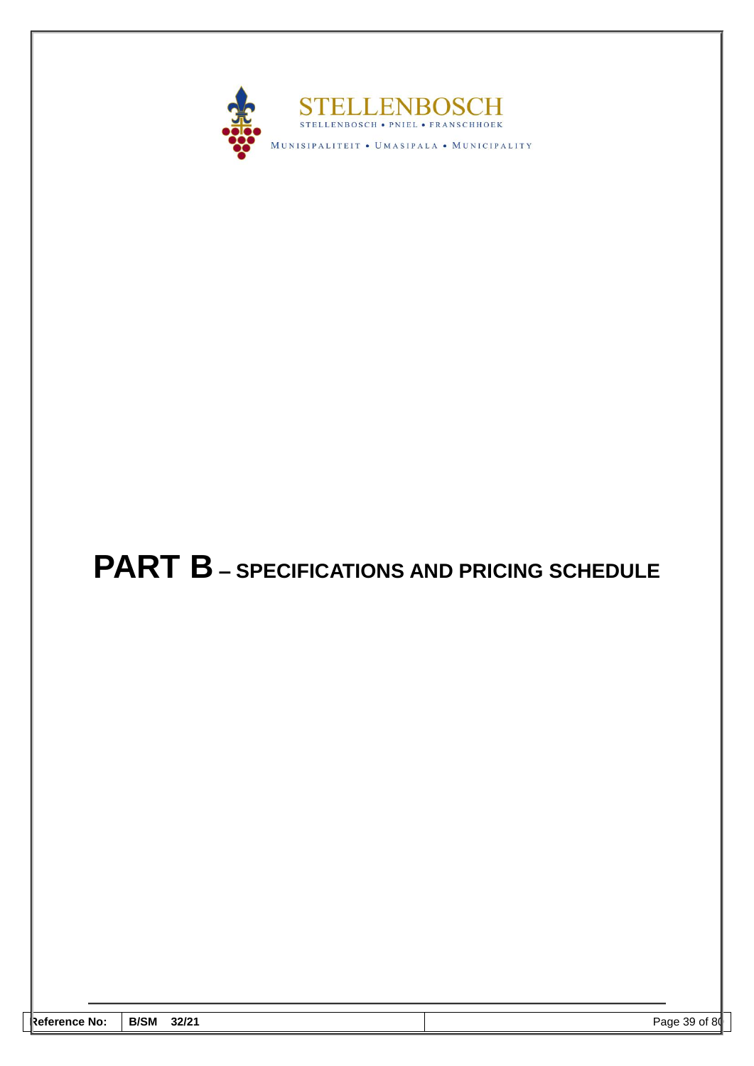

# **PART B – SPECIFICATIONS AND PRICING SCHEDULE**

| Reference No: | <b>B/SM</b><br>32/21 | 80<br>٩Q<br>Page<br>Οì<br>ີ |
|---------------|----------------------|-----------------------------|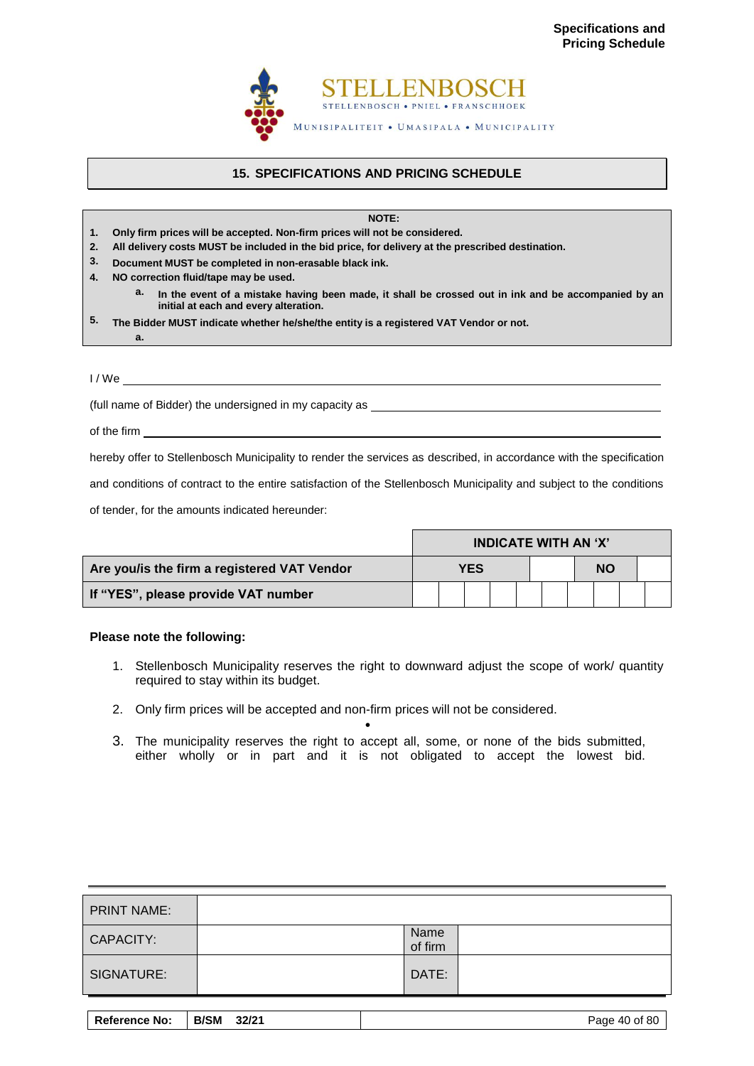

#### **15. SPECIFICATIONS AND PRICING SCHEDULE**

#### **NOTE:**

- **1. Only firm prices will be accepted. Non-firm prices will not be considered.**
- **2. All delivery costs MUST be included in the bid price, for delivery at the prescribed destination.**
- **3. Document MUST be completed in non-erasable black ink.**
- **4. NO correction fluid/tape may be used.**
	- **a. In the event of a mistake having been made, it shall be crossed out in ink and be accompanied by an initial at each and every alteration.**
- **5. The Bidder MUST indicate whether he/she/the entity is a registered VAT Vendor or not.**

 $I$  / We  $\rule{1em}{0.15mm}$ 

(full name of Bidder) the undersigned in my capacity as

of the firm

**a.**

hereby offer to Stellenbosch Municipality to render the services as described, in accordance with the specification

and conditions of contract to the entire satisfaction of the Stellenbosch Municipality and subject to the conditions

of tender, for the amounts indicated hereunder:

|                                             | <b>INDICATE WITH AN 'X'</b> |  |     |  |  |           |  |  |
|---------------------------------------------|-----------------------------|--|-----|--|--|-----------|--|--|
| Are you/is the firm a registered VAT Vendor |                             |  | YES |  |  | <b>NO</b> |  |  |
| If "YES", please provide VAT number         |                             |  |     |  |  |           |  |  |

#### **Please note the following:**

- 1. Stellenbosch Municipality reserves the right to downward adjust the scope of work/ quantity required to stay within its budget.
- 2. Only firm prices will be accepted and non-firm prices will not be considered.
- 3. The municipality reserves the right to accept all, some, or none of the bids submitted, either wholly or in part and it is not obligated to accept the lowest bid.

**•**

| <b>PRINT NAME:</b> |                 |  |
|--------------------|-----------------|--|
| CAPACITY:          | Name<br>of firm |  |
| SIGNATURE:         | DATE:           |  |

| <b>Reference No:</b> | 32/21<br><b>B/SM</b> | Page 40 of 80 |
|----------------------|----------------------|---------------|
|                      |                      |               |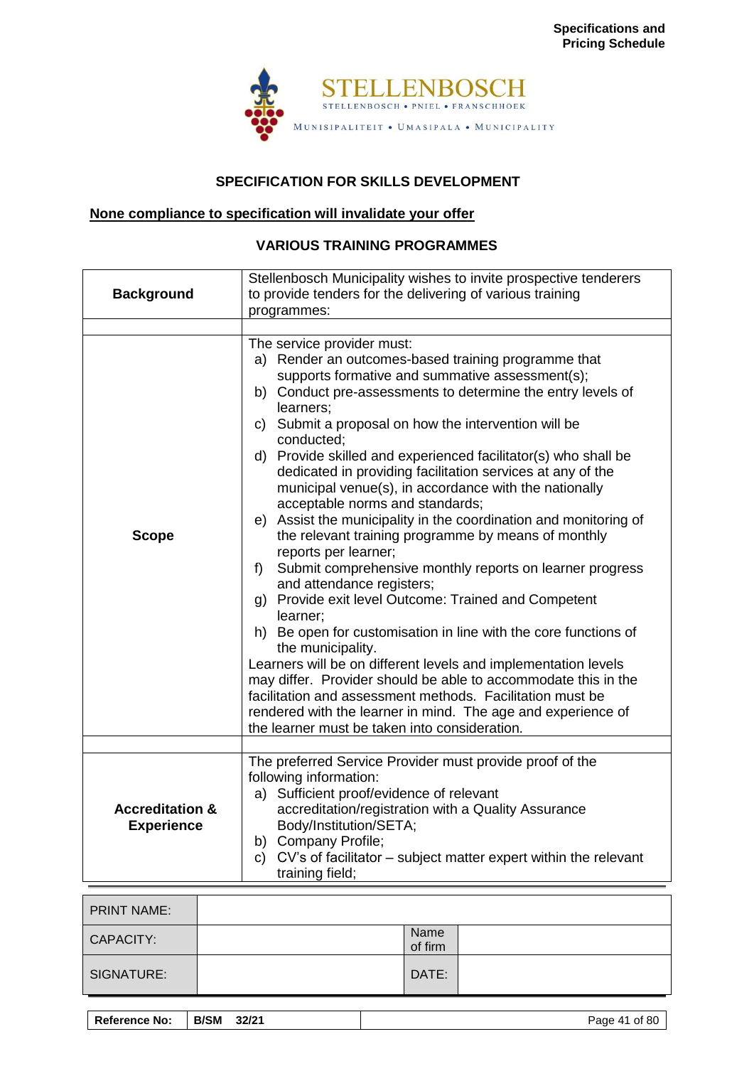

## **SPECIFICATION FOR SKILLS DEVELOPMENT**

# **None compliance to specification will invalidate your offer**

## **VARIOUS TRAINING PROGRAMMES**

|                                                 | Stellenbosch Municipality wishes to invite prospective tenderers                                                                                                                                                                                                                                                                                                                                                                                                                                                                                                                                                                                                                                                                                                                                                                                                                                                                                                                                                                                                                                                                                                                                                                                   |  |  |
|-------------------------------------------------|----------------------------------------------------------------------------------------------------------------------------------------------------------------------------------------------------------------------------------------------------------------------------------------------------------------------------------------------------------------------------------------------------------------------------------------------------------------------------------------------------------------------------------------------------------------------------------------------------------------------------------------------------------------------------------------------------------------------------------------------------------------------------------------------------------------------------------------------------------------------------------------------------------------------------------------------------------------------------------------------------------------------------------------------------------------------------------------------------------------------------------------------------------------------------------------------------------------------------------------------------|--|--|
| <b>Background</b>                               | to provide tenders for the delivering of various training                                                                                                                                                                                                                                                                                                                                                                                                                                                                                                                                                                                                                                                                                                                                                                                                                                                                                                                                                                                                                                                                                                                                                                                          |  |  |
|                                                 | programmes:                                                                                                                                                                                                                                                                                                                                                                                                                                                                                                                                                                                                                                                                                                                                                                                                                                                                                                                                                                                                                                                                                                                                                                                                                                        |  |  |
|                                                 |                                                                                                                                                                                                                                                                                                                                                                                                                                                                                                                                                                                                                                                                                                                                                                                                                                                                                                                                                                                                                                                                                                                                                                                                                                                    |  |  |
| <b>Scope</b>                                    | The service provider must:<br>a) Render an outcomes-based training programme that<br>supports formative and summative assessment(s);<br>b) Conduct pre-assessments to determine the entry levels of<br>learners;<br>c) Submit a proposal on how the intervention will be<br>conducted:<br>d) Provide skilled and experienced facilitator(s) who shall be<br>dedicated in providing facilitation services at any of the<br>municipal venue(s), in accordance with the nationally<br>acceptable norms and standards;<br>e) Assist the municipality in the coordination and monitoring of<br>the relevant training programme by means of monthly<br>reports per learner;<br>Submit comprehensive monthly reports on learner progress<br>f)<br>and attendance registers;<br>g) Provide exit level Outcome: Trained and Competent<br>learner:<br>h) Be open for customisation in line with the core functions of<br>the municipality.<br>Learners will be on different levels and implementation levels<br>may differ. Provider should be able to accommodate this in the<br>facilitation and assessment methods. Facilitation must be<br>rendered with the learner in mind. The age and experience of<br>the learner must be taken into consideration. |  |  |
|                                                 |                                                                                                                                                                                                                                                                                                                                                                                                                                                                                                                                                                                                                                                                                                                                                                                                                                                                                                                                                                                                                                                                                                                                                                                                                                                    |  |  |
| <b>Accreditation &amp;</b><br><b>Experience</b> | The preferred Service Provider must provide proof of the<br>following information:<br>a) Sufficient proof/evidence of relevant<br>accreditation/registration with a Quality Assurance<br>Body/Institution/SETA;<br>b) Company Profile;<br>c) CV's of facilitator – subject matter expert within the relevant<br>training field;                                                                                                                                                                                                                                                                                                                                                                                                                                                                                                                                                                                                                                                                                                                                                                                                                                                                                                                    |  |  |

| <b>PRINT NAME:</b> |                 |  |
|--------------------|-----------------|--|
| CAPACITY:          | Name<br>of firm |  |
| SIGNATURE:         | DATE:           |  |

| <b>Reference No:</b> | <b>B/SM</b><br>32/21 | Page 41 of 80 |
|----------------------|----------------------|---------------|
|                      |                      |               |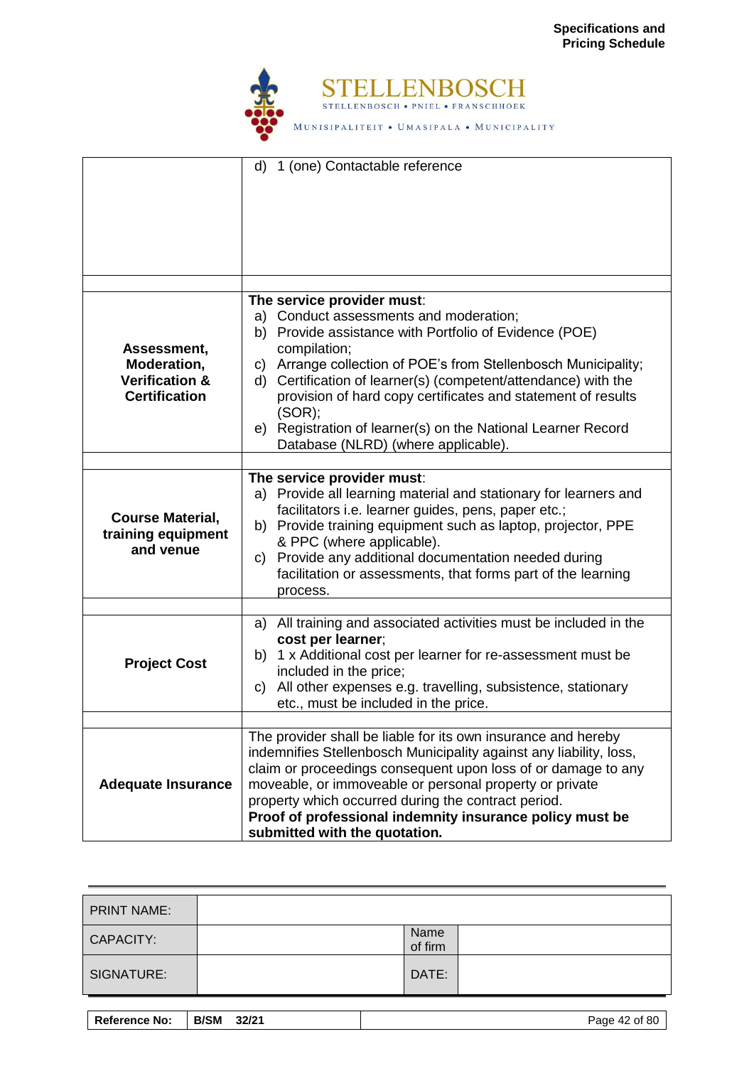

|                                                                                 | 1 (one) Contactable reference<br>d)                                                                                                                                                                                                                                                                                                                                                                                                                                       |
|---------------------------------------------------------------------------------|---------------------------------------------------------------------------------------------------------------------------------------------------------------------------------------------------------------------------------------------------------------------------------------------------------------------------------------------------------------------------------------------------------------------------------------------------------------------------|
|                                                                                 |                                                                                                                                                                                                                                                                                                                                                                                                                                                                           |
| Assessment,<br>Moderation,<br><b>Verification &amp;</b><br><b>Certification</b> | The service provider must:<br>a) Conduct assessments and moderation;<br>b) Provide assistance with Portfolio of Evidence (POE)<br>compilation;<br>c) Arrange collection of POE's from Stellenbosch Municipality;<br>d) Certification of learner(s) (competent/attendance) with the<br>provision of hard copy certificates and statement of results<br>$(SOR)$ ;<br>Registration of learner(s) on the National Learner Record<br>e)<br>Database (NLRD) (where applicable). |
|                                                                                 |                                                                                                                                                                                                                                                                                                                                                                                                                                                                           |
| <b>Course Material,</b><br>training equipment<br>and venue                      | The service provider must:<br>a) Provide all learning material and stationary for learners and<br>facilitators i.e. learner guides, pens, paper etc.;<br>b) Provide training equipment such as laptop, projector, PPE<br>& PPC (where applicable).<br>Provide any additional documentation needed during<br>C)<br>facilitation or assessments, that forms part of the learning<br>process.                                                                                |
|                                                                                 |                                                                                                                                                                                                                                                                                                                                                                                                                                                                           |
| <b>Project Cost</b>                                                             | a) All training and associated activities must be included in the<br>cost per learner;<br>b) 1 x Additional cost per learner for re-assessment must be<br>included in the price;<br>All other expenses e.g. travelling, subsistence, stationary<br>C)<br>etc., must be included in the price.                                                                                                                                                                             |
|                                                                                 |                                                                                                                                                                                                                                                                                                                                                                                                                                                                           |
| <b>Adequate Insurance</b>                                                       | The provider shall be liable for its own insurance and hereby<br>indemnifies Stellenbosch Municipality against any liability, loss,<br>claim or proceedings consequent upon loss of or damage to any<br>moveable, or immoveable or personal property or private<br>property which occurred during the contract period.<br>Proof of professional indemnity insurance policy must be<br>submitted with the quotation.                                                       |

| <b>PRINT NAME:</b> |                 |  |
|--------------------|-----------------|--|
| CAPACITY:          | Name<br>of firm |  |
| SIGNATURE:         | DATE:           |  |
|                    |                 |  |

| <b>Reference No:</b> | B/SM<br>32/21 | Page 42 of 80 |
|----------------------|---------------|---------------|
|                      |               |               |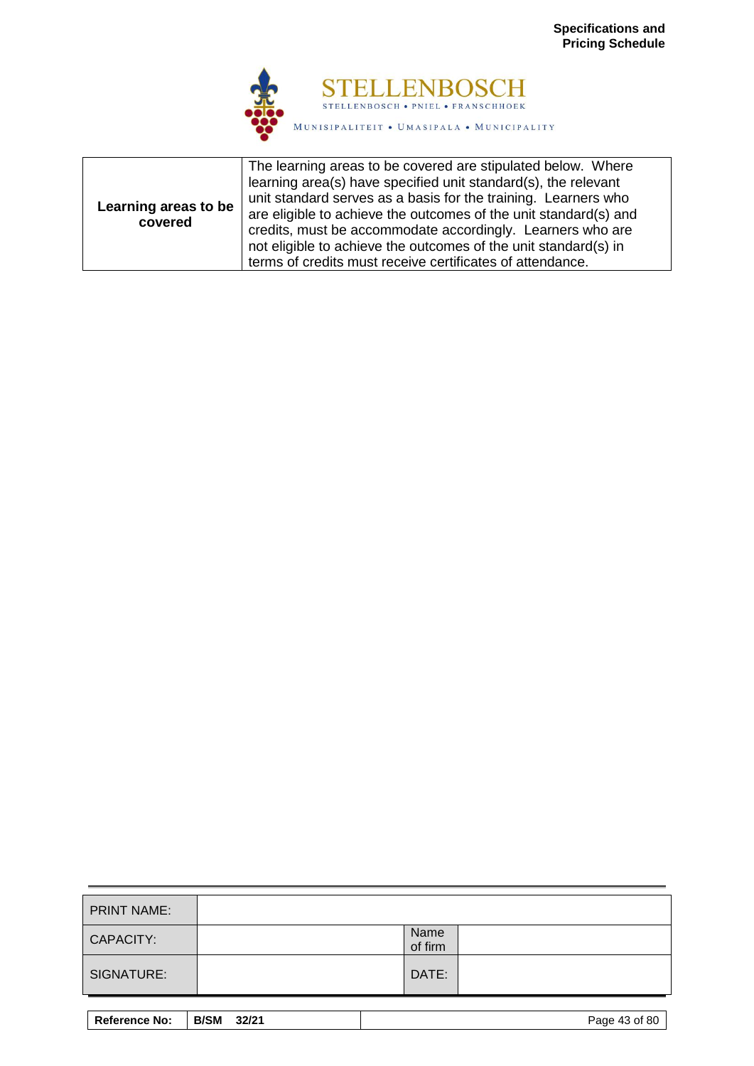

| Learning areas to be<br>covered | The learning areas to be covered are stipulated below. Where<br>learning area(s) have specified unit standard(s), the relevant<br>unit standard serves as a basis for the training. Learners who<br>are eligible to achieve the outcomes of the unit standard(s) and<br>credits, must be accommodate accordingly. Learners who are |
|---------------------------------|------------------------------------------------------------------------------------------------------------------------------------------------------------------------------------------------------------------------------------------------------------------------------------------------------------------------------------|
|                                 | not eligible to achieve the outcomes of the unit standard(s) in                                                                                                                                                                                                                                                                    |
|                                 | terms of credits must receive certificates of attendance.                                                                                                                                                                                                                                                                          |

| <b>PRINT NAME:</b>   |                      |                 |               |
|----------------------|----------------------|-----------------|---------------|
| CAPACITY:            |                      | Name<br>of firm |               |
| SIGNATURE:           |                      | DATE:           |               |
|                      |                      |                 |               |
| <b>Reference No:</b> | <b>B/SM</b><br>32/21 |                 | Page 43 of 80 |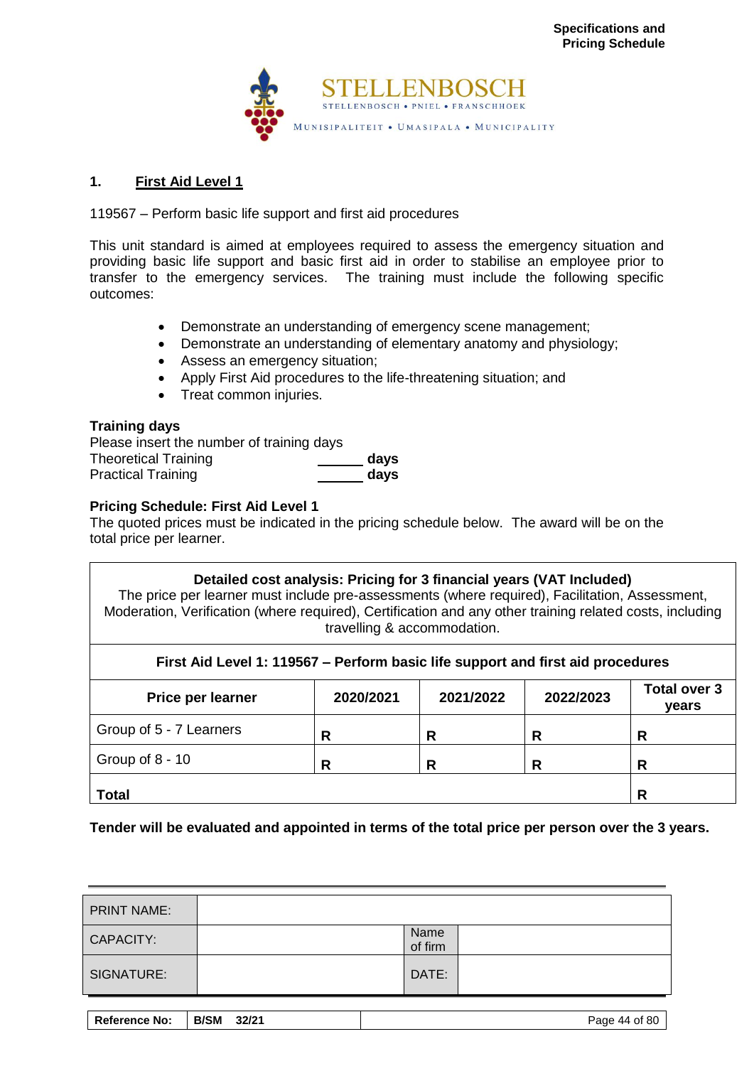

## **1. First Aid Level 1**

#### 119567 – Perform basic life support and first aid procedures

This unit standard is aimed at employees required to assess the emergency situation and providing basic life support and basic first aid in order to stabilise an employee prior to transfer to the emergency services. The training must include the following specific outcomes:

- Demonstrate an understanding of emergency scene management;
- Demonstrate an understanding of elementary anatomy and physiology;
- Assess an emergency situation;
- Apply First Aid procedures to the life-threatening situation; and
- Treat common injuries.

## **Training days**

Please insert the number of training days Theoretical Training **days** Practical Training **days** 

#### **Pricing Schedule: First Aid Level 1**

The quoted prices must be indicated in the pricing schedule below. The award will be on the total price per learner.

#### **Detailed cost analysis: Pricing for 3 financial years (VAT Included)**

The price per learner must include pre-assessments (where required), Facilitation, Assessment, Moderation, Verification (where required), Certification and any other training related costs, including travelling & accommodation.

| First Aid Level 1: 119567 - Perform basic life support and first aid procedures                 |   |  |   |   |  |
|-------------------------------------------------------------------------------------------------|---|--|---|---|--|
| <b>Total over 3</b><br>2022/2023<br>2021/2022<br>2020/2021<br><b>Price per learner</b><br>years |   |  |   |   |  |
| Group of 5 - 7 Learners                                                                         | R |  | R | R |  |
| Group of 8 - 10                                                                                 | R |  |   |   |  |
| <b>Total</b><br>R                                                                               |   |  |   |   |  |

| <b>PRINT NAME:</b>   |                      |                 |               |
|----------------------|----------------------|-----------------|---------------|
| <b>CAPACITY:</b>     |                      | Name<br>of firm |               |
| SIGNATURE:           |                      | DATE:           |               |
|                      |                      |                 |               |
| <b>Reference No:</b> | <b>B/SM</b><br>32/21 |                 | Page 44 of 80 |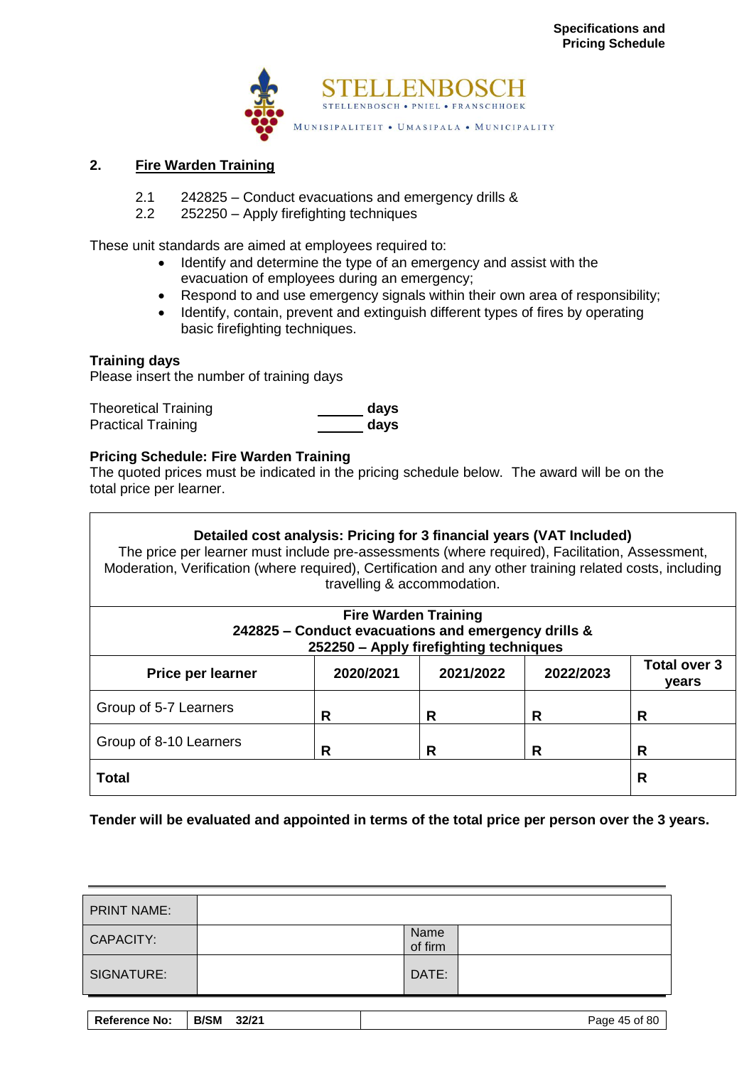

## **2. Fire Warden Training**

- 2.1 242825 Conduct evacuations and emergency drills &<br>2.2 252250 Apply firefighting techniques
- 252250 Apply firefighting techniques

These unit standards are aimed at employees required to:

- Identify and determine the type of an emergency and assist with the evacuation of employees during an emergency;
- Respond to and use emergency signals within their own area of responsibility;
- Identify, contain, prevent and extinguish different types of fires by operating basic firefighting techniques.

## **Training days**

 $\Gamma$ 

Please insert the number of training days

Theoretical Training **days**<br> **Practical Training days Practical Training** 

## **Pricing Schedule: Fire Warden Training**

The quoted prices must be indicated in the pricing schedule below. The award will be on the total price per learner.

| Detailed cost analysis: Pricing for 3 financial years (VAT Included)<br>The price per learner must include pre-assessments (where required), Facilitation, Assessment,<br>Moderation, Verification (where required), Certification and any other training related costs, including<br>travelling & accommodation. |                             |  |  |   |  |
|-------------------------------------------------------------------------------------------------------------------------------------------------------------------------------------------------------------------------------------------------------------------------------------------------------------------|-----------------------------|--|--|---|--|
|                                                                                                                                                                                                                                                                                                                   | <b>Fire Warden Training</b> |  |  |   |  |
| 242825 - Conduct evacuations and emergency drills &<br>252250 - Apply firefighting techniques                                                                                                                                                                                                                     |                             |  |  |   |  |
| <b>Total over 3</b><br>2021/2022<br>2022/2023<br><b>Price per learner</b><br>2020/2021<br>vears                                                                                                                                                                                                                   |                             |  |  |   |  |
| Group of 5-7 Learners                                                                                                                                                                                                                                                                                             | R                           |  |  |   |  |
| Group of 8-10 Learners                                                                                                                                                                                                                                                                                            | R                           |  |  |   |  |
| <b>Total</b>                                                                                                                                                                                                                                                                                                      |                             |  |  | R |  |

| <b>PRINT NAME:</b>   |                      |                 |               |
|----------------------|----------------------|-----------------|---------------|
| <b>CAPACITY:</b>     |                      | Name<br>of firm |               |
| SIGNATURE:           |                      | DATE:           |               |
|                      |                      |                 |               |
| <b>Reference No:</b> | <b>B/SM</b><br>32/21 |                 | Page 45 of 80 |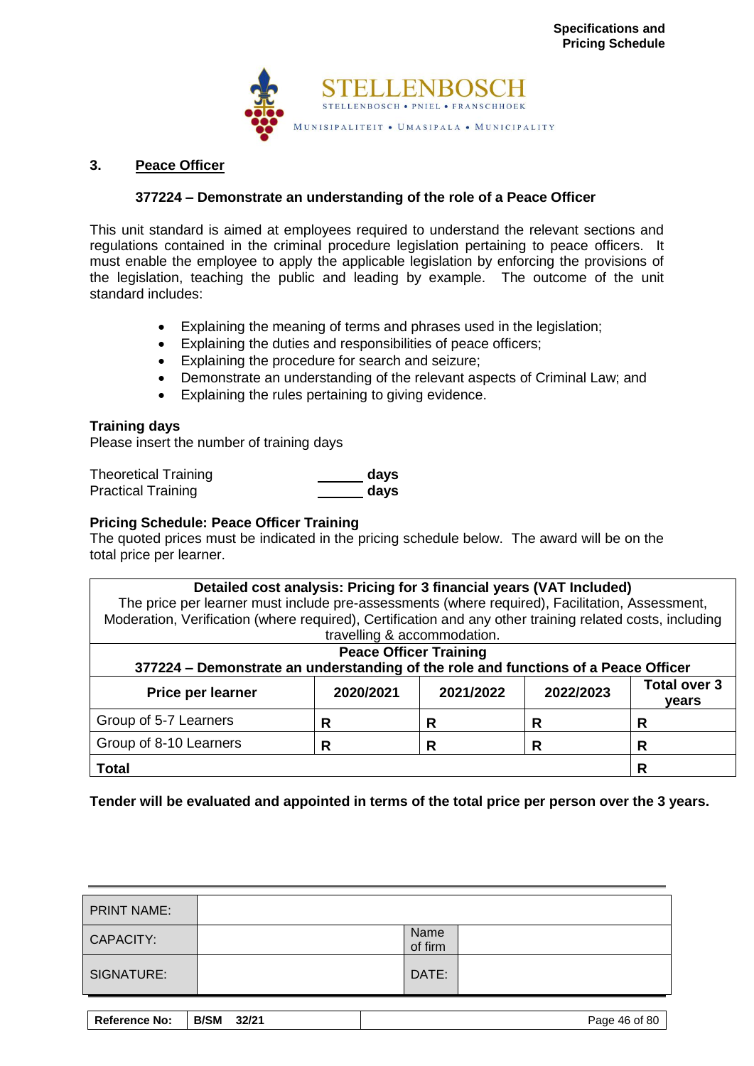

## **3. Peace Officer**

#### **377224 – Demonstrate an understanding of the role of a Peace Officer**

This unit standard is aimed at employees required to understand the relevant sections and regulations contained in the criminal procedure legislation pertaining to peace officers. It must enable the employee to apply the applicable legislation by enforcing the provisions of the legislation, teaching the public and leading by example. The outcome of the unit standard includes:

- Explaining the meaning of terms and phrases used in the legislation;
- Explaining the duties and responsibilities of peace officers;
- Explaining the procedure for search and seizure;
- Demonstrate an understanding of the relevant aspects of Criminal Law; and
- Explaining the rules pertaining to giving evidence.

#### **Training days**

Please insert the number of training days

Theoretical Training **days**<br> **Practical Training days**<br> **days Practical Training** 

#### **Pricing Schedule: Peace Officer Training**

The quoted prices must be indicated in the pricing schedule below. The award will be on the total price per learner.

| Detailed cost analysis: Pricing for 3 financial years (VAT Included)<br>The price per learner must include pre-assessments (where required), Facilitation, Assessment, |   |                             |   |   |  |
|------------------------------------------------------------------------------------------------------------------------------------------------------------------------|---|-----------------------------|---|---|--|
| Moderation, Verification (where required), Certification and any other training related costs, including                                                               |   |                             |   |   |  |
|                                                                                                                                                                        |   | travelling & accommodation. |   |   |  |
| <b>Peace Officer Training</b>                                                                                                                                          |   |                             |   |   |  |
| 377224 – Demonstrate an understanding of the role and functions of a Peace Officer                                                                                     |   |                             |   |   |  |
| <b>Total over 3</b><br>2022/2023<br>2020/2021<br>2021/2022<br><b>Price per learner</b><br>vears                                                                        |   |                             |   |   |  |
| Group of 5-7 Learners                                                                                                                                                  | R | R                           | R | R |  |
| Group of 8-10 Learners                                                                                                                                                 | R |                             |   |   |  |
| <b>Total</b><br>R                                                                                                                                                      |   |                             |   |   |  |

| <b>CAPACITY:</b>     |                      | Name<br>of firm |               |
|----------------------|----------------------|-----------------|---------------|
| SIGNATURE:           |                      | DATE:           |               |
| <b>Reference No:</b> | <b>B/SM</b><br>32/21 |                 | Page 46 of 80 |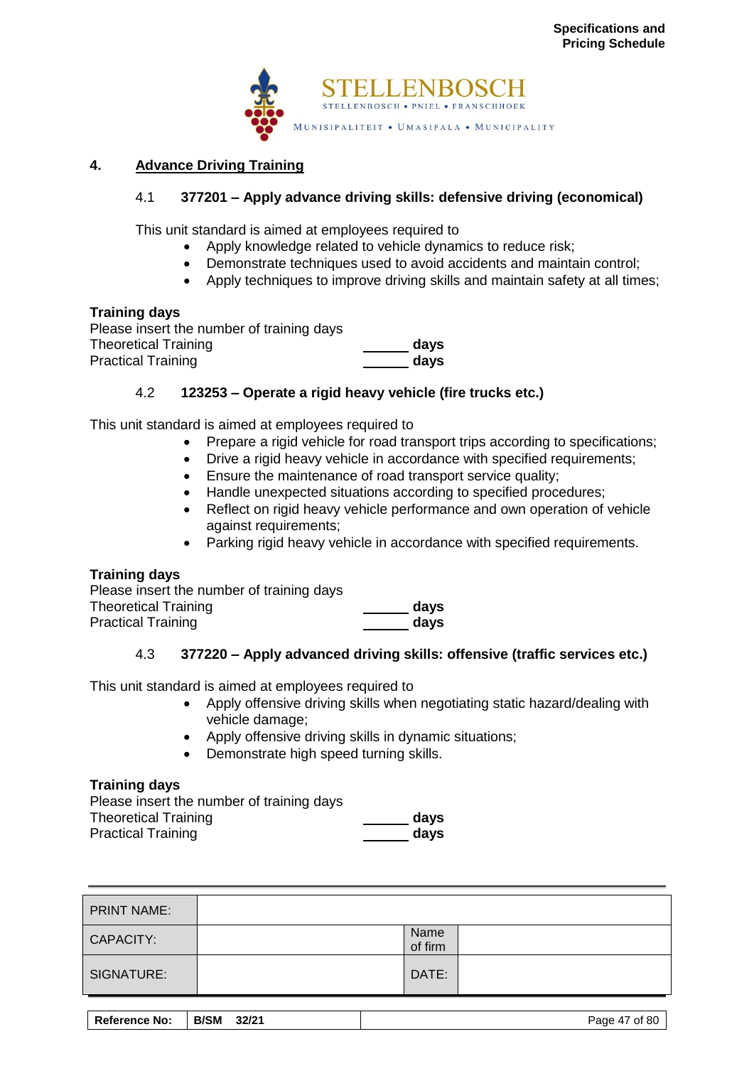

## **4. Advance Driving Training**

## 4.1 **377201 – Apply advance driving skills: defensive driving (economical)**

This unit standard is aimed at employees required to

- Apply knowledge related to vehicle dynamics to reduce risk;
- Demonstrate techniques used to avoid accidents and maintain control;
- Apply techniques to improve driving skills and maintain safety at all times;

## **Training days**

Please insert the number of training days Theoretical Training<br> **Practical Training**<br> **days**<br> **days Practical Training** 

## 4.2 **123253 – Operate a rigid heavy vehicle (fire trucks etc.)**

This unit standard is aimed at employees required to

- Prepare a rigid vehicle for road transport trips according to specifications;
- Drive a rigid heavy vehicle in accordance with specified requirements;
- Ensure the maintenance of road transport service quality;
- Handle unexpected situations according to specified procedures;
- Reflect on rigid heavy vehicle performance and own operation of vehicle against requirements;
- Parking rigid heavy vehicle in accordance with specified requirements.

## **Training days**

Please insert the number of training days Theoretical Training<br> **Practical Training**<br> **days**<br> **days Practical Training** 

## 4.3 **377220 – Apply advanced driving skills: offensive (traffic services etc.)**

This unit standard is aimed at employees required to

- Apply offensive driving skills when negotiating static hazard/dealing with vehicle damage;
- Apply offensive driving skills in dynamic situations;
- Demonstrate high speed turning skills.

## **Training days**

Please insert the number of training days Theoretical Training<br> **Practical Training**<br> **days**<br> **days Practical Training** 

| <b>PRINT NAME:</b> |                 |  |
|--------------------|-----------------|--|
| <b>CAPACITY:</b>   | Name<br>of firm |  |
| SIGNATURE:         | DATE:           |  |

| <b>Reference No:</b> | <b>B/SM</b><br>32/21 | Page 47 of 80 |
|----------------------|----------------------|---------------|
|                      |                      |               |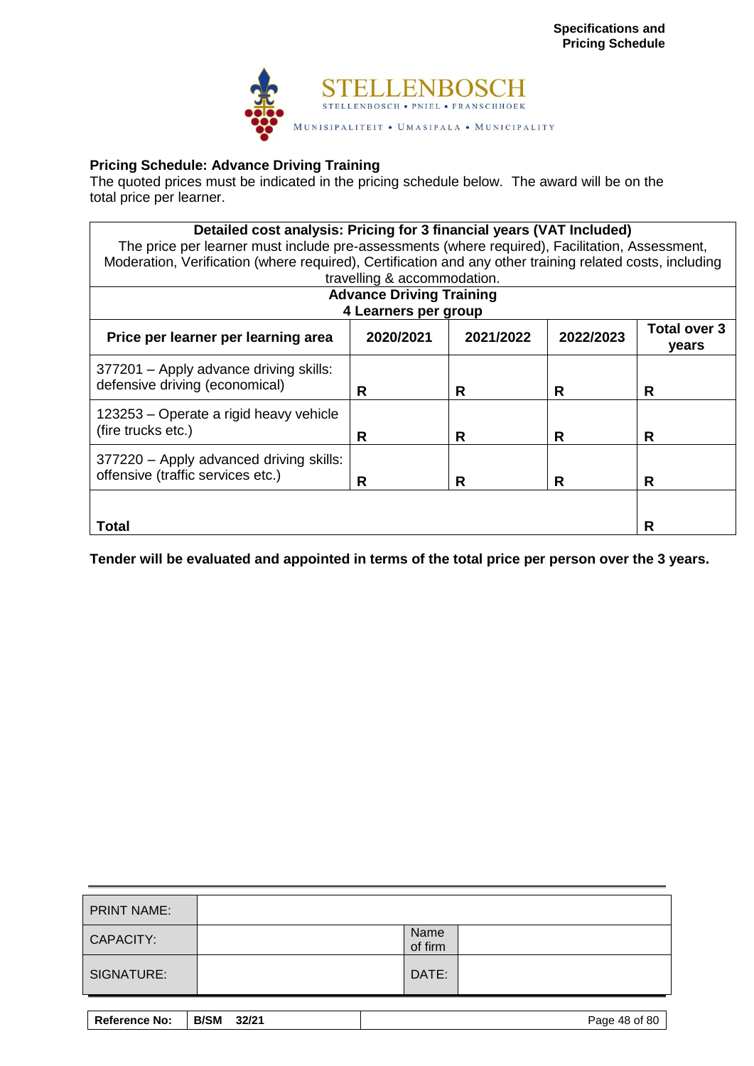

# **Pricing Schedule: Advance Driving Training**

The quoted prices must be indicated in the pricing schedule below. The award will be on the total price per learner.

#### **Detailed cost analysis: Pricing for 3 financial years (VAT Included)**

The price per learner must include pre-assessments (where required), Facilitation, Assessment, Moderation, Verification (where required), Certification and any other training related costs, including travelling & accommodation.

| <b>Advance Driving Training</b><br>4 Learners per group                      |           |           |           |                       |
|------------------------------------------------------------------------------|-----------|-----------|-----------|-----------------------|
| Price per learner per learning area                                          | 2020/2021 | 2021/2022 | 2022/2023 | Total over 3<br>years |
| 377201 - Apply advance driving skills:<br>defensive driving (economical)     | R         | R         | R         | R                     |
| 123253 – Operate a rigid heavy vehicle<br>(fire trucks etc.)                 | R         | R         | R         | R                     |
| 377220 - Apply advanced driving skills:<br>offensive (traffic services etc.) | R         | R         | R         | R                     |
| <b>Total</b>                                                                 |           |           |           | R                     |

| <b>PRINT NAME:</b>   |                      |                 |               |
|----------------------|----------------------|-----------------|---------------|
| <b>CAPACITY:</b>     |                      | Name<br>of firm |               |
| SIGNATURE:           |                      | DATE:           |               |
|                      |                      |                 |               |
| <b>Reference No:</b> | <b>B/SM</b><br>32/21 |                 | Page 48 of 80 |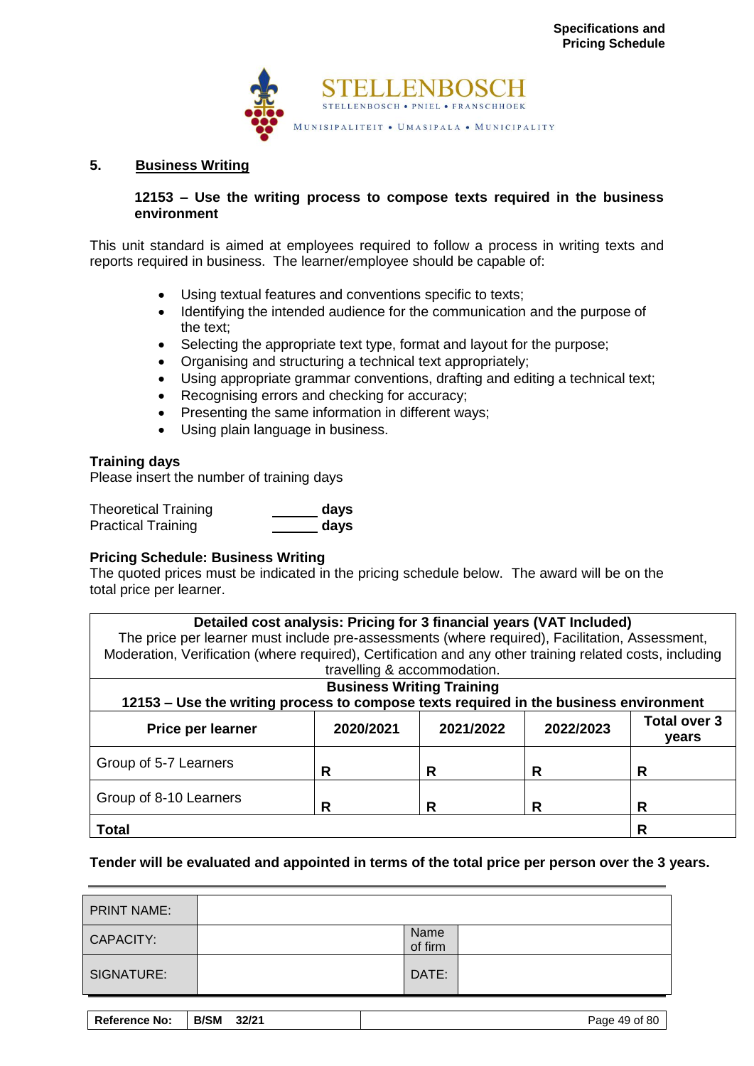

#### **5. Business Writing**

#### **12153 – Use the writing process to compose texts required in the business environment**

This unit standard is aimed at employees required to follow a process in writing texts and reports required in business. The learner/employee should be capable of:

- Using textual features and conventions specific to texts;
- Identifying the intended audience for the communication and the purpose of the text;
- Selecting the appropriate text type, format and layout for the purpose;
- Organising and structuring a technical text appropriately;
- Using appropriate grammar conventions, drafting and editing a technical text;
- Recognising errors and checking for accuracy;
- Presenting the same information in different ways;
- Using plain language in business.

#### **Training days**

Please insert the number of training days

| <b>Theoretical Training</b> | days |
|-----------------------------|------|
| <b>Practical Training</b>   | days |

#### **Pricing Schedule: Business Writing**

The quoted prices must be indicated in the pricing schedule below. The award will be on the total price per learner.

| Detailed cost analysis: Pricing for 3 financial years (VAT Included)<br>The price per learner must include pre-assessments (where required), Facilitation, Assessment, |           |           |           |                              |  |
|------------------------------------------------------------------------------------------------------------------------------------------------------------------------|-----------|-----------|-----------|------------------------------|--|
| Moderation, Verification (where required), Certification and any other training related costs, including<br>travelling & accommodation.                                |           |           |           |                              |  |
| <b>Business Writing Training</b>                                                                                                                                       |           |           |           |                              |  |
| 12153 – Use the writing process to compose texts required in the business environment                                                                                  |           |           |           |                              |  |
| Price per learner                                                                                                                                                      | 2020/2021 | 2021/2022 | 2022/2023 | <b>Total over 3</b><br>years |  |
| Group of 5-7 Learners                                                                                                                                                  | R         | R         | R         | R                            |  |
| Group of 8-10 Learners                                                                                                                                                 | R         | R         | R         | R                            |  |
| <b>Total</b>                                                                                                                                                           |           |           |           | R                            |  |

| <b>PRINT NAME:</b>   |                      |                 |               |
|----------------------|----------------------|-----------------|---------------|
| <b>CAPACITY:</b>     |                      | Name<br>of firm |               |
| SIGNATURE:           |                      | DATE:           |               |
|                      |                      |                 |               |
| <b>Reference No:</b> | <b>B/SM</b><br>32/21 |                 | Page 49 of 80 |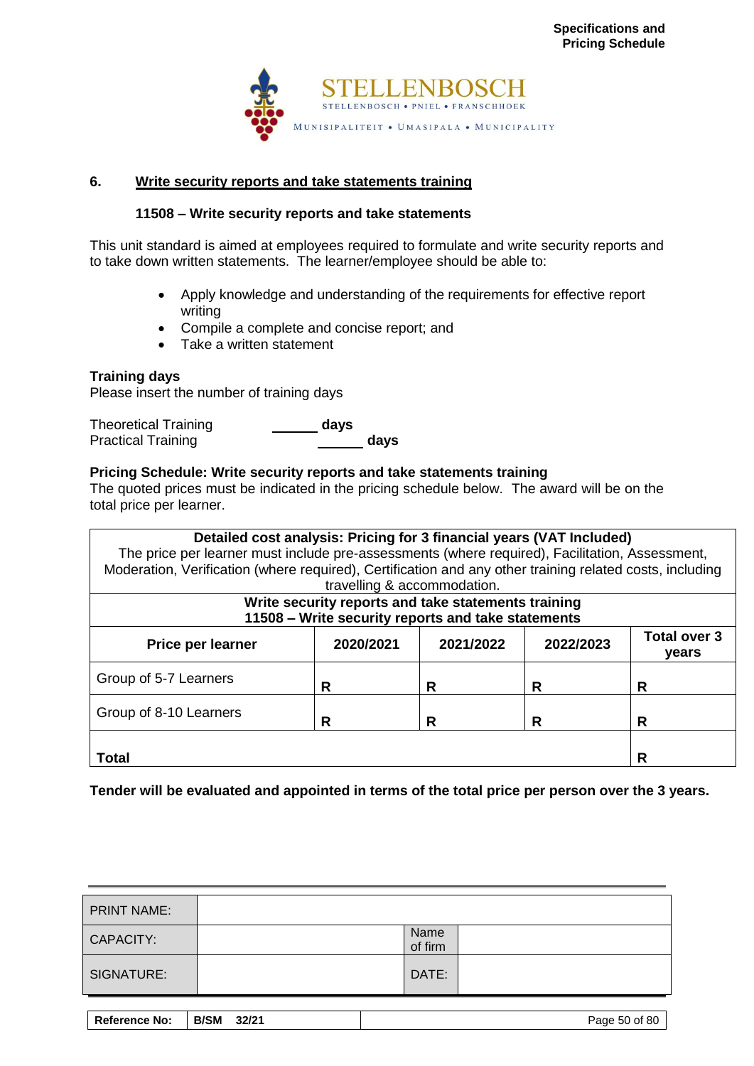

## **6. Write security reports and take statements training**

#### **11508 – Write security reports and take statements**

This unit standard is aimed at employees required to formulate and write security reports and to take down written statements. The learner/employee should be able to:

- Apply knowledge and understanding of the requirements for effective report writing
- Compile a complete and concise report; and
- Take a written statement

## **Training days**

Please insert the number of training days

Theoretical Training **days**<br>
Practical Training **days**<br> **days Practical Training** 

#### **Pricing Schedule: Write security reports and take statements training**

The quoted prices must be indicated in the pricing schedule below. The award will be on the total price per learner.

| Detailed cost analysis: Pricing for 3 financial years (VAT Included)                                     |                                                     |           |           |                              |  |
|----------------------------------------------------------------------------------------------------------|-----------------------------------------------------|-----------|-----------|------------------------------|--|
| The price per learner must include pre-assessments (where required), Facilitation, Assessment,           |                                                     |           |           |                              |  |
| Moderation, Verification (where required), Certification and any other training related costs, including |                                                     |           |           |                              |  |
|                                                                                                          | travelling & accommodation.                         |           |           |                              |  |
|                                                                                                          | Write security reports and take statements training |           |           |                              |  |
| 11508 - Write security reports and take statements                                                       |                                                     |           |           |                              |  |
| Price per learner                                                                                        | 2020/2021                                           | 2021/2022 | 2022/2023 | <b>Total over 3</b><br>years |  |
| Group of 5-7 Learners                                                                                    | R                                                   | R         | R         | R                            |  |
| Group of 8-10 Learners                                                                                   | R                                                   | R         | R         | R                            |  |
| Total<br>R                                                                                               |                                                     |           |           |                              |  |

| <b>CAPACITY:</b>                    |       | Name<br>of firm |               |
|-------------------------------------|-------|-----------------|---------------|
| SIGNATURE:                          |       | DATE:           |               |
| <b>Reference No:</b><br><b>B/SM</b> | 32/21 |                 | Page 50 of 80 |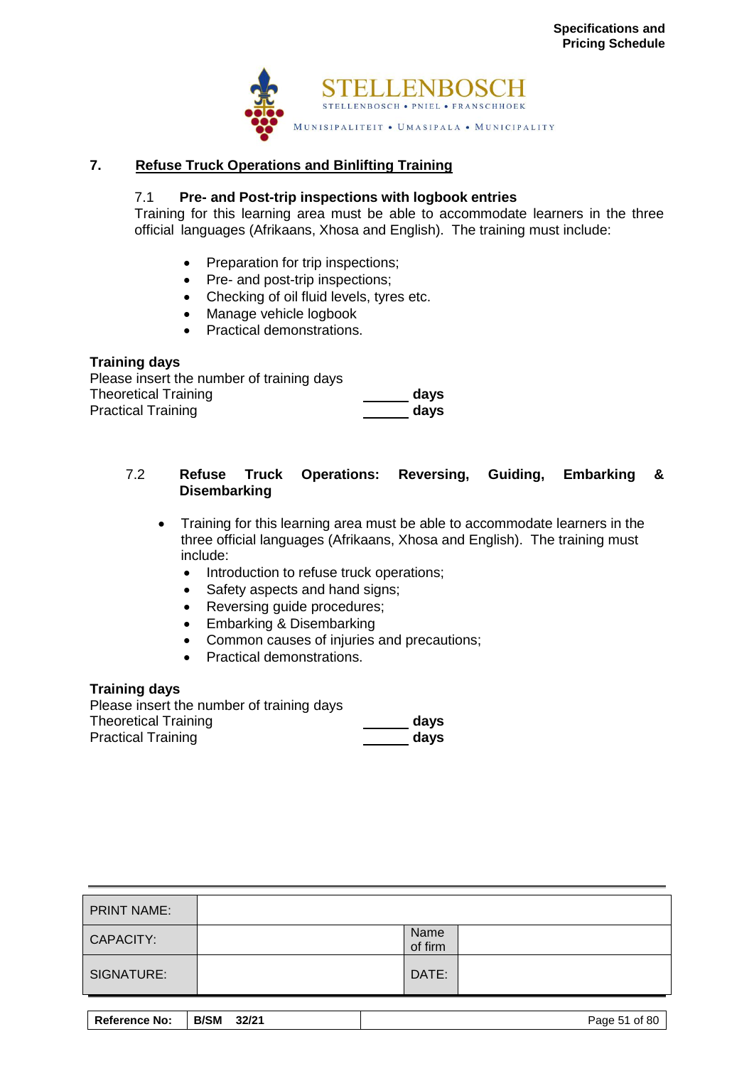

## **7. Refuse Truck Operations and Binlifting Training**

#### 7.1 **Pre- and Post-trip inspections with logbook entries**

Training for this learning area must be able to accommodate learners in the three official languages (Afrikaans, Xhosa and English). The training must include:

- Preparation for trip inspections;
- Pre- and post-trip inspections;
- Checking of oil fluid levels, tyres etc.
- Manage vehicle logbook
- Practical demonstrations.

#### **Training days**

Please insert the number of training days Theoretical Training **days Practical Training the Contract of the Contract of the Contract of the Contract of the Contract of the Contract of the Contract of the Contract of the Contract of the Contract of the Contract of the Contract of the Contra** 

## 7.2 **Refuse Truck Operations: Reversing, Guiding, Embarking & Disembarking**

- Training for this learning area must be able to accommodate learners in the three official languages (Afrikaans, Xhosa and English). The training must include:
	- Introduction to refuse truck operations;
	- Safety aspects and hand signs;
	- Reversing guide procedures;
	- Embarking & Disembarking
	- Common causes of injuries and precautions;
	- Practical demonstrations.

#### **Training days**

Please insert the number of training days Theoretical Training **days Practical Training days days** 

| <b>PRINT NAME:</b> |                 |  |
|--------------------|-----------------|--|
| CAPACITY:          | Name<br>of firm |  |
| SIGNATURE:         | DATE:           |  |
|                    |                 |  |

**Reference No: 8/SM 32/21 Page 51 of 80**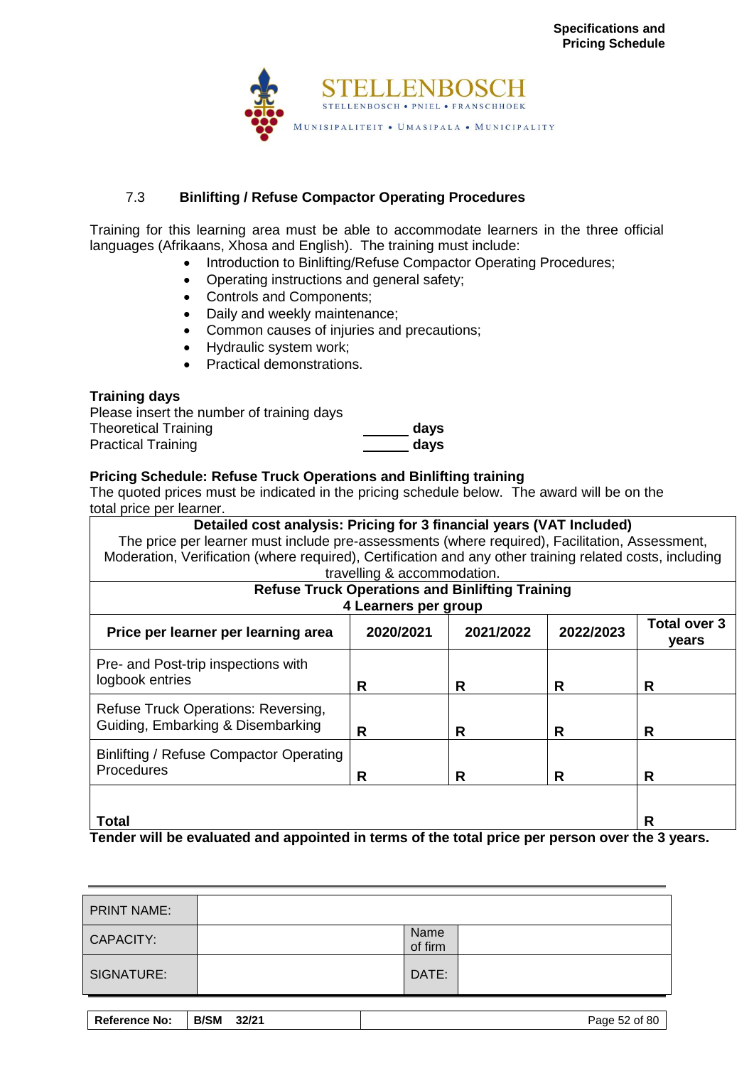

## 7.3 **Binlifting / Refuse Compactor Operating Procedures**

Training for this learning area must be able to accommodate learners in the three official languages (Afrikaans, Xhosa and English). The training must include:

- Introduction to Binlifting/Refuse Compactor Operating Procedures;
	- Operating instructions and general safety;
	- Controls and Components;
	- Daily and weekly maintenance;
	- Common causes of injuries and precautions;
	- Hydraulic system work;
	- Practical demonstrations.

## **Training days**

Please insert the number of training days Theoretical Training<br> **Practical Training**<br> **days**<br> **days Practical Training** 

## **Pricing Schedule: Refuse Truck Operations and Binlifting training**

The quoted prices must be indicated in the pricing schedule below. The award will be on the total price per learner.

## **Detailed cost analysis: Pricing for 3 financial years (VAT Included)**

The price per learner must include pre-assessments (where required), Facilitation, Assessment, Moderation, Verification (where required), Certification and any other training related costs, including travelling & accommodation.

| travelling a accommodation.                                              |                      |           |           |                              |
|--------------------------------------------------------------------------|----------------------|-----------|-----------|------------------------------|
| <b>Refuse Truck Operations and Binlifting Training</b>                   |                      |           |           |                              |
|                                                                          | 4 Learners per group |           |           |                              |
| Price per learner per learning area                                      | 2020/2021            | 2021/2022 | 2022/2023 | <b>Total over 3</b><br>years |
| Pre- and Post-trip inspections with<br>logbook entries                   | R                    | R         | R         | R                            |
| Refuse Truck Operations: Reversing,<br>Guiding, Embarking & Disembarking | R                    | R         | R         | R                            |
| Binlifting / Refuse Compactor Operating<br>Procedures                    | R                    | R         | R         | R                            |
| <b>Total</b>                                                             |                      |           |           | R                            |

| <b>PRINT NAME:</b>   |                      |                 |               |
|----------------------|----------------------|-----------------|---------------|
| <b>CAPACITY:</b>     |                      | Name<br>of firm |               |
| SIGNATURE:           |                      | DATE:           |               |
|                      |                      |                 |               |
| <b>Reference No:</b> | <b>B/SM</b><br>32/21 |                 | Page 52 of 80 |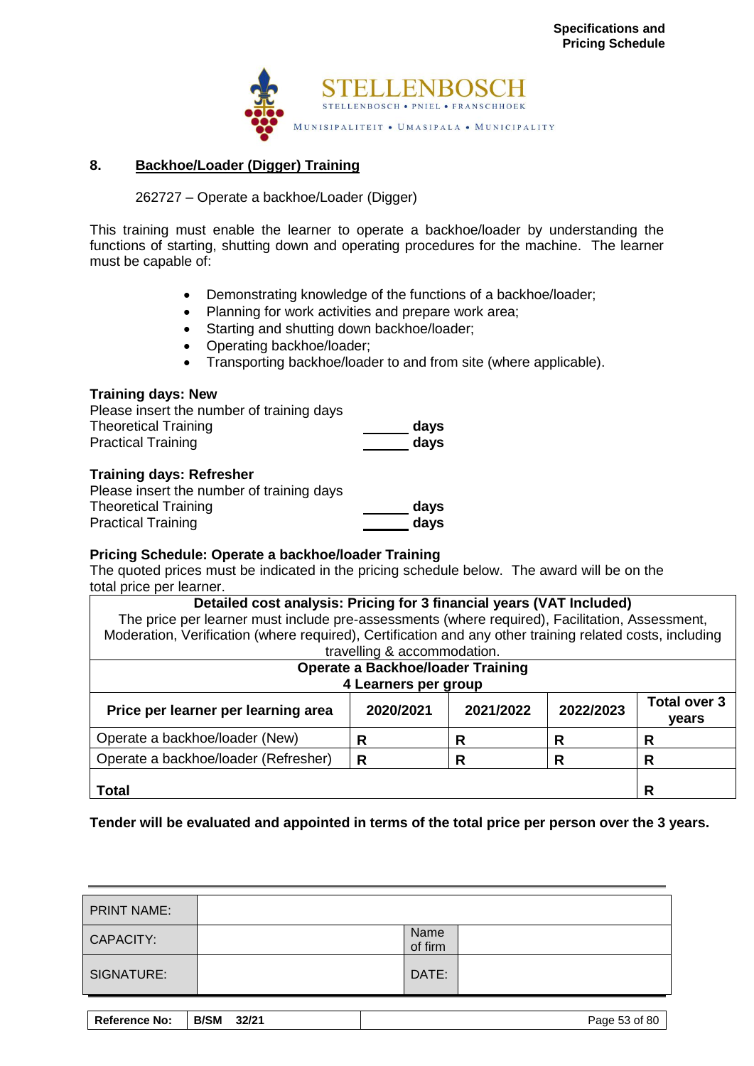

## **8. Backhoe/Loader (Digger) Training**

#### 262727 – Operate a backhoe/Loader (Digger)

This training must enable the learner to operate a backhoe/loader by understanding the functions of starting, shutting down and operating procedures for the machine. The learner must be capable of:

- Demonstrating knowledge of the functions of a backhoe/loader;
- Planning for work activities and prepare work area;
- Starting and shutting down backhoe/loader;
- Operating backhoe/loader;
- Transporting backhoe/loader to and from site (where applicable).

#### **Training days: New**

| Please insert the number of training days |      |
|-------------------------------------------|------|
| <b>Theoretical Training</b>               | days |
| <b>Practical Training</b>                 | days |

#### **Training days: Refresher**

| Please insert the number of training days |      |
|-------------------------------------------|------|
| <b>Theoretical Training</b>               | days |
| <b>Practical Training</b>                 | days |

#### **Pricing Schedule: Operate a backhoe/loader Training**

The quoted prices must be indicated in the pricing schedule below. The award will be on the total price per learner.

| Detailed cost analysis: Pricing for 3 financial years (VAT Included)<br>The price per learner must include pre-assessments (where required), Facilitation, Assessment,<br>Moderation, Verification (where required), Certification and any other training related costs, including |                                                                         |           |           |                              |
|------------------------------------------------------------------------------------------------------------------------------------------------------------------------------------------------------------------------------------------------------------------------------------|-------------------------------------------------------------------------|-----------|-----------|------------------------------|
|                                                                                                                                                                                                                                                                                    | travelling & accommodation.<br><b>Operate a Backhoe/loader Training</b> |           |           |                              |
| 4 Learners per group                                                                                                                                                                                                                                                               |                                                                         |           |           |                              |
| Price per learner per learning area                                                                                                                                                                                                                                                | 2020/2021                                                               | 2021/2022 | 2022/2023 | <b>Total over 3</b><br>years |
| Operate a backhoe/loader (New)                                                                                                                                                                                                                                                     | R                                                                       | R         | R         | R                            |
| Operate a backhoe/loader (Refresher)                                                                                                                                                                                                                                               | R                                                                       | R         | R         | R                            |
| <b>Total</b><br>R                                                                                                                                                                                                                                                                  |                                                                         |           |           |                              |

| <b>PRINT NAME:</b>   |                      |                 |               |
|----------------------|----------------------|-----------------|---------------|
| <b>CAPACITY:</b>     |                      | Name<br>of firm |               |
| SIGNATURE:           |                      | DATE:           |               |
|                      |                      |                 |               |
| <b>Reference No:</b> | <b>B/SM</b><br>32/21 |                 | Page 53 of 80 |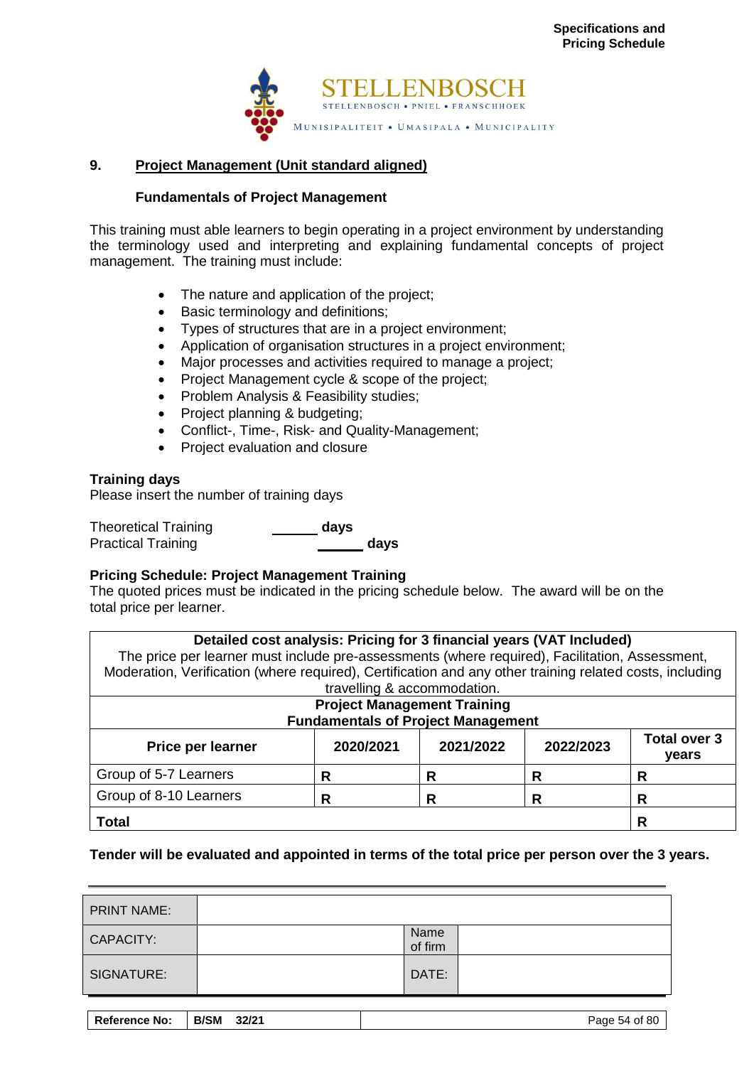

## **9. Project Management (Unit standard aligned)**

## **Fundamentals of Project Management**

This training must able learners to begin operating in a project environment by understanding the terminology used and interpreting and explaining fundamental concepts of project management. The training must include:

- The nature and application of the project;
- Basic terminology and definitions;
- Types of structures that are in a project environment;
- Application of organisation structures in a project environment;
- Major processes and activities required to manage a project;
- Project Management cycle & scope of the project;
- Problem Analysis & Feasibility studies;
- Project planning & budgeting;
- Conflict-, Time-, Risk- and Quality-Management;
- Project evaluation and closure

## **Training days**

Please insert the number of training days

Theoretical Training **days Practical Training Contract Contract Contract Contract Contract Contract Contract Contract Contract Contract Contract Contract Contract Contract Contract Contract Contract Contract Contract Contract Contract Contract Cont** 

## **Pricing Schedule: Project Management Training**

The quoted prices must be indicated in the pricing schedule below. The award will be on the total price per learner.

#### **Detailed cost analysis: Pricing for 3 financial years (VAT Included)**

The price per learner must include pre-assessments (where required), Facilitation, Assessment, Moderation, Verification (where required), Certification and any other training related costs, including

| travelling & accommodation.                                                                     |  |   |  |   |
|-------------------------------------------------------------------------------------------------|--|---|--|---|
| <b>Project Management Training</b><br><b>Fundamentals of Project Management</b>                 |  |   |  |   |
| <b>Total over 3</b><br>2022/2023<br>2021/2022<br>2020/2021<br>Price per learner<br><b>vears</b> |  |   |  |   |
| Group of 5-7 Learners                                                                           |  | R |  | R |
| Group of 8-10 Learners<br>R<br>R                                                                |  |   |  |   |
| <b>Total</b>                                                                                    |  |   |  | R |

| SIGNATURE:         | DATE:           |  |
|--------------------|-----------------|--|
| <b>CAPACITY:</b>   | Name<br>of firm |  |
| <b>PRINT NAME:</b> |                 |  |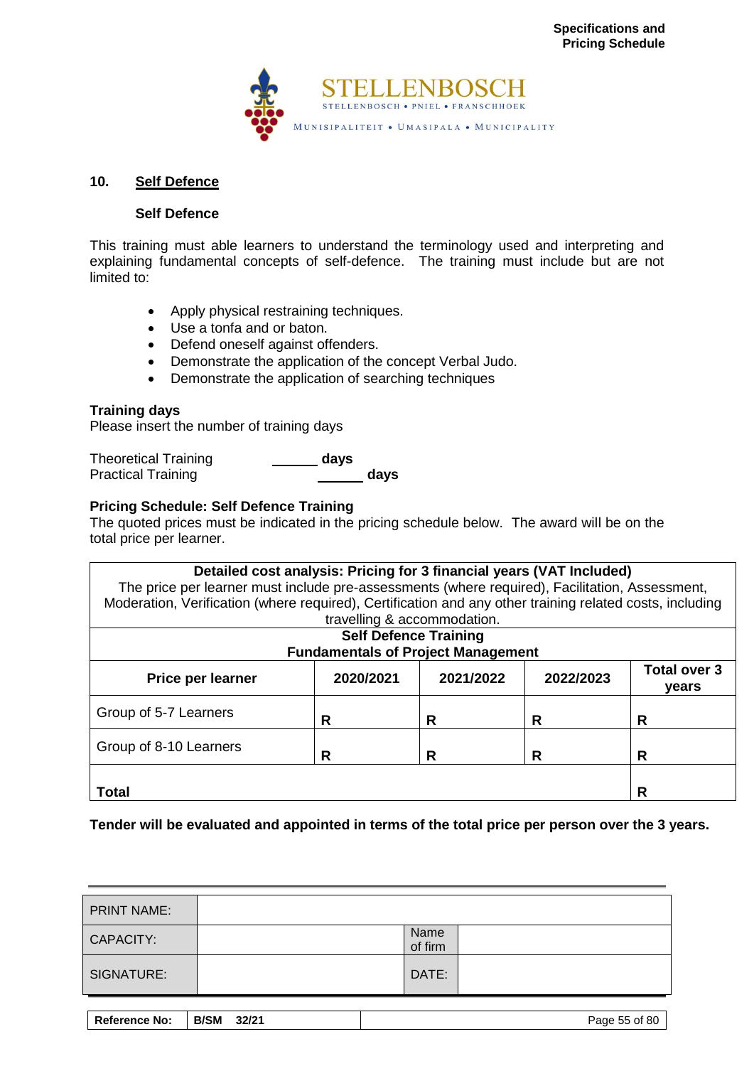

#### **10. Self Defence**

#### **Self Defence**

This training must able learners to understand the terminology used and interpreting and explaining fundamental concepts of self-defence. The training must include but are not limited to:

- Apply physical restraining techniques.
- Use a tonfa and or baton.
- Defend oneself against offenders.
- Demonstrate the application of the concept Verbal Judo.
- Demonstrate the application of searching techniques

#### **Training days**

Please insert the number of training days

Theoretical Training **days**<br>
Practical Training **days**<br> **days Practical Training** 

## **Pricing Schedule: Self Defence Training**

The quoted prices must be indicated in the pricing schedule below. The award will be on the total price per learner.

| Detailed cost analysis: Pricing for 3 financial years (VAT Included)<br>The price per learner must include pre-assessments (where required), Facilitation, Assessment,<br>Moderation, Verification (where required), Certification and any other training related costs, including |                             |           |           |                              |
|------------------------------------------------------------------------------------------------------------------------------------------------------------------------------------------------------------------------------------------------------------------------------------|-----------------------------|-----------|-----------|------------------------------|
|                                                                                                                                                                                                                                                                                    | travelling & accommodation. |           |           |                              |
| <b>Self Defence Training</b><br><b>Fundamentals of Project Management</b>                                                                                                                                                                                                          |                             |           |           |                              |
| <b>Price per learner</b>                                                                                                                                                                                                                                                           | 2020/2021                   | 2021/2022 | 2022/2023 | <b>Total over 3</b><br>years |
| Group of 5-7 Learners                                                                                                                                                                                                                                                              | R                           | R         | R         | R                            |
| Group of 8-10 Learners<br>R<br>R<br>R                                                                                                                                                                                                                                              |                             |           |           | R                            |
| <b>Total</b><br>R                                                                                                                                                                                                                                                                  |                             |           |           |                              |

| <b>PRINT NAME:</b>   |                      |                 |               |
|----------------------|----------------------|-----------------|---------------|
| <b>CAPACITY:</b>     |                      | Name<br>of firm |               |
| SIGNATURE:           |                      | DATE:           |               |
|                      |                      |                 |               |
| <b>Reference No:</b> | <b>B/SM</b><br>32/21 |                 | Page 55 of 80 |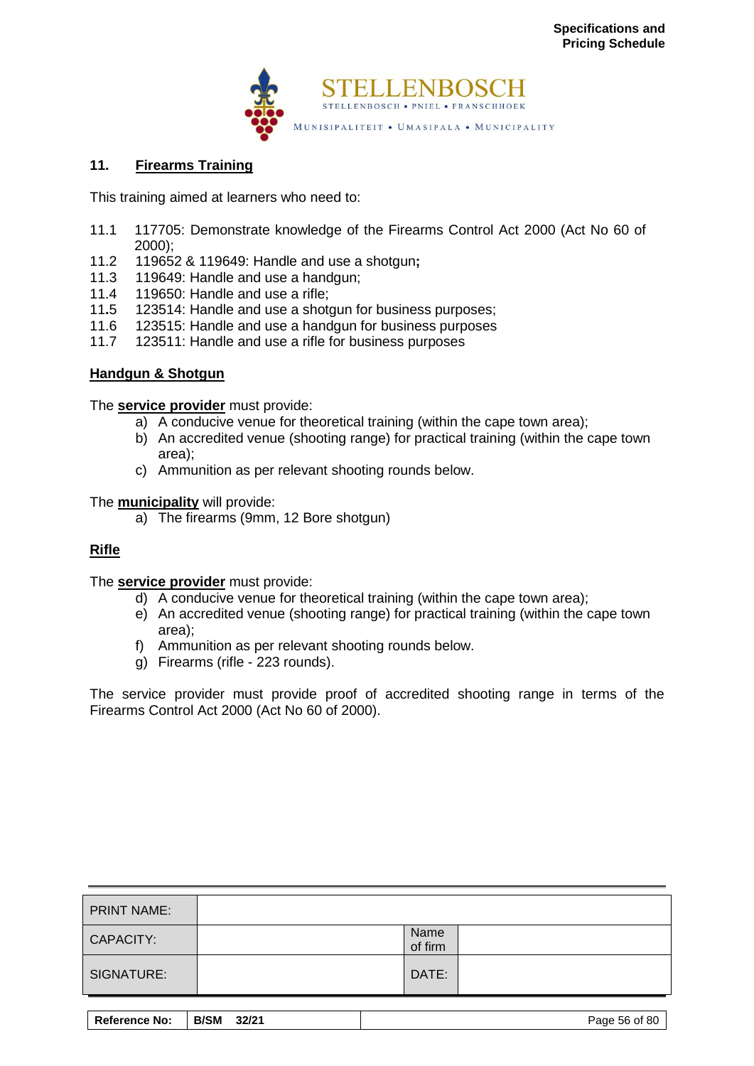

## **11. Firearms Training**

This training aimed at learners who need to:

- 11.1 117705: Demonstrate knowledge of the Firearms Control Act 2000 (Act No 60 of 2000);
- 11.2 119652 & 119649: Handle and use a shotgun**;**
- 11.3 119649: Handle and use a handgun;
- 11.4 119650: Handle and use a rifle;
- 11**.**5 123514: Handle and use a shotgun for business purposes;
- 123515: Handle and use a handgun for business purposes
- 11.7 123511: Handle and use a rifle for business purposes

## **Handgun & Shotgun**

The **service provider** must provide:

- a) A conducive venue for theoretical training (within the cape town area);
- b) An accredited venue (shooting range) for practical training (within the cape town area);
- c) Ammunition as per relevant shooting rounds below.

The **municipality** will provide:

a) The firearms (9mm, 12 Bore shotgun)

## **Rifle**

The **service provider** must provide:

- d) A conducive venue for theoretical training (within the cape town area);
- e) An accredited venue (shooting range) for practical training (within the cape town area);
- f) Ammunition as per relevant shooting rounds below.
- g) Firearms (rifle 223 rounds).

The service provider must provide proof of accredited shooting range in terms of the Firearms Control Act 2000 (Act No 60 of 2000).

| <b>PRINT NAME:</b> |                 |  |
|--------------------|-----------------|--|
| CAPACITY:          | Name<br>of firm |  |
| SIGNATURE:         | DATE:           |  |
|                    |                 |  |

| <b>Reference No:</b> | <b>B/SM</b><br>32/21 | Page 56 of 80 |
|----------------------|----------------------|---------------|
|                      |                      |               |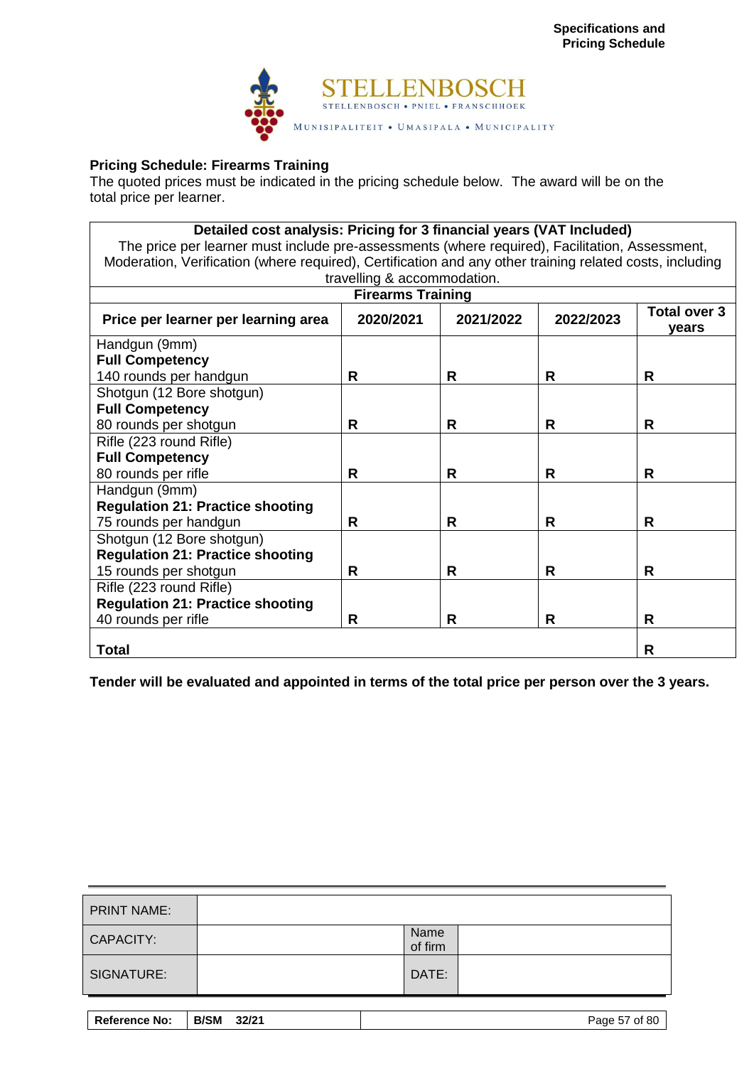

## **Pricing Schedule: Firearms Training**

The quoted prices must be indicated in the pricing schedule below. The award will be on the total price per learner.

## **Detailed cost analysis: Pricing for 3 financial years (VAT Included)**

The price per learner must include pre-assessments (where required), Facilitation, Assessment, Moderation, Verification (where required), Certification and any other training related costs, including travelling & accommodation.

| <b>Firearms Training</b>                |           |           |           |                              |
|-----------------------------------------|-----------|-----------|-----------|------------------------------|
| Price per learner per learning area     | 2020/2021 | 2021/2022 | 2022/2023 | <b>Total over 3</b><br>vears |
| Handgun (9mm)                           |           |           |           |                              |
| <b>Full Competency</b>                  |           |           |           |                              |
| 140 rounds per handgun                  | R         | R.        | R         | R                            |
| Shotgun (12 Bore shotgun)               |           |           |           |                              |
| <b>Full Competency</b>                  |           |           |           |                              |
| 80 rounds per shotgun                   | R         | R         | R         | R                            |
| Rifle (223 round Rifle)                 |           |           |           |                              |
| <b>Full Competency</b>                  |           |           |           |                              |
| 80 rounds per rifle                     | R         | R         | R         | R                            |
| Handgun (9mm)                           |           |           |           |                              |
| <b>Regulation 21: Practice shooting</b> |           |           |           |                              |
| 75 rounds per handgun                   | R         | R         | R         | R                            |
| Shotgun (12 Bore shotgun)               |           |           |           |                              |
| <b>Regulation 21: Practice shooting</b> |           |           |           |                              |
| 15 rounds per shotgun                   | R         | R         | R         | R                            |
| Rifle (223 round Rifle)                 |           |           |           |                              |
| <b>Regulation 21: Practice shooting</b> |           |           |           |                              |
| 40 rounds per rifle                     | R         | R         | R         | R                            |
| Total                                   |           |           |           | R                            |

| <b>PRINT NAME:</b>   |                      |                 |               |
|----------------------|----------------------|-----------------|---------------|
| CAPACITY:            |                      | Name<br>of firm |               |
| SIGNATURE:           |                      | DATE:           |               |
|                      |                      |                 |               |
| <b>Reference No:</b> | <b>B/SM</b><br>32/21 |                 | Page 57 of 80 |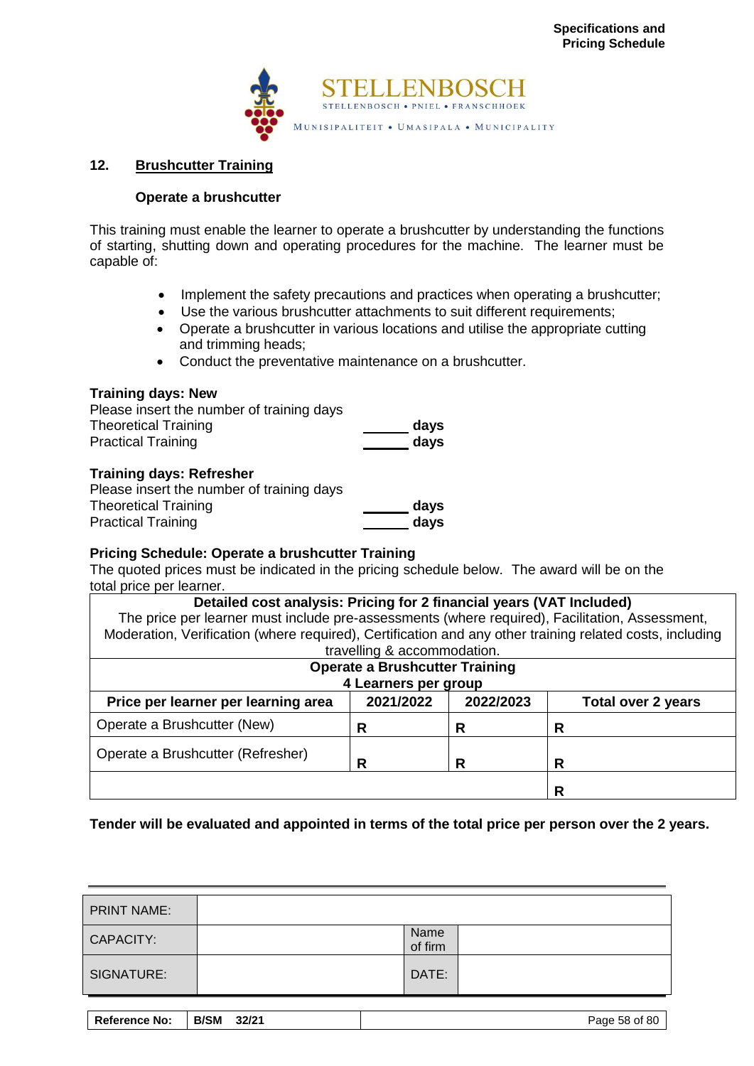

## **12. Brushcutter Training**

#### **Operate a brushcutter**

This training must enable the learner to operate a brushcutter by understanding the functions of starting, shutting down and operating procedures for the machine. The learner must be capable of:

- Implement the safety precautions and practices when operating a brushcutter;
- Use the various brushcutter attachments to suit different requirements;
- Operate a brushcutter in various locations and utilise the appropriate cutting and trimming heads;
- Conduct the preventative maintenance on a brushcutter.

#### **Training days: New**

| Please insert the number of training days |      |
|-------------------------------------------|------|
| <b>Theoretical Training</b>               | days |
| <b>Practical Training</b>                 | days |
|                                           |      |

#### **Training days: Refresher**

| Please insert the number of training days |      |
|-------------------------------------------|------|
| <b>Theoretical Training</b>               | days |
| <b>Practical Training</b>                 | days |

#### **Pricing Schedule: Operate a brushcutter Training**

The quoted prices must be indicated in the pricing schedule below. The award will be on the total price per learner.

| Detailed cost analysis: Pricing for 2 financial years (VAT Included)                                     |                                       |   |   |  |  |
|----------------------------------------------------------------------------------------------------------|---------------------------------------|---|---|--|--|
| The price per learner must include pre-assessments (where required), Facilitation, Assessment,           |                                       |   |   |  |  |
| Moderation, Verification (where required), Certification and any other training related costs, including |                                       |   |   |  |  |
|                                                                                                          | travelling & accommodation.           |   |   |  |  |
|                                                                                                          | <b>Operate a Brushcutter Training</b> |   |   |  |  |
| 4 Learners per group                                                                                     |                                       |   |   |  |  |
| 2021/2022<br>2022/2023<br>Price per learner per learning area<br><b>Total over 2 years</b>               |                                       |   |   |  |  |
| Operate a Brushcutter (New)                                                                              | R                                     | R | R |  |  |
| Operate a Brushcutter (Refresher)<br>R<br>R<br>R                                                         |                                       |   |   |  |  |
|                                                                                                          |                                       |   |   |  |  |
| R                                                                                                        |                                       |   |   |  |  |

| <b>PRINT NAME:</b>   |                      |                 |               |
|----------------------|----------------------|-----------------|---------------|
| <b>CAPACITY:</b>     |                      | Name<br>of firm |               |
| SIGNATURE:           |                      | DATE:           |               |
|                      |                      |                 |               |
| <b>Reference No:</b> | <b>B/SM</b><br>32/21 |                 | Page 58 of 80 |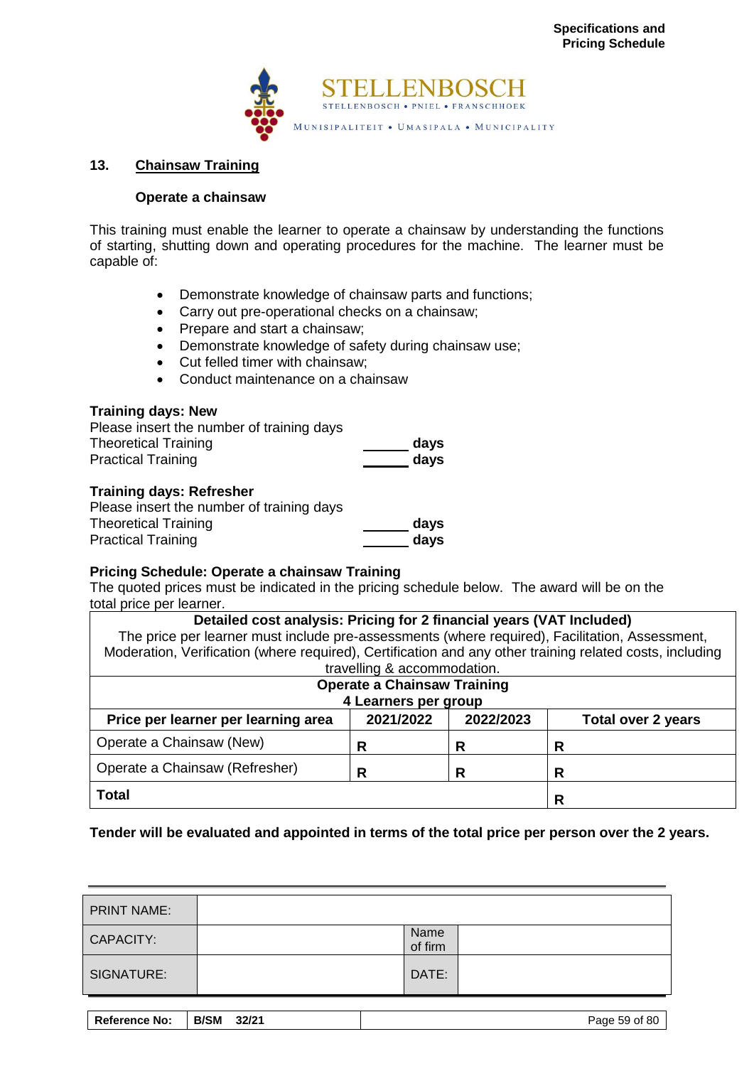

## **13. Chainsaw Training**

#### **Operate a chainsaw**

This training must enable the learner to operate a chainsaw by understanding the functions of starting, shutting down and operating procedures for the machine. The learner must be capable of:

- Demonstrate knowledge of chainsaw parts and functions;
- Carry out pre-operational checks on a chainsaw;
- Prepare and start a chainsaw;
- Demonstrate knowledge of safety during chainsaw use;
- Cut felled timer with chainsaw;
- Conduct maintenance on a chainsaw

#### **Training days: New**

| Please insert the number of training days |      |
|-------------------------------------------|------|
| <b>Theoretical Training</b>               | days |
| <b>Practical Training</b>                 | days |

#### **Training days: Refresher**

| Please insert the number of training days |      |
|-------------------------------------------|------|
| <b>Theoretical Training</b>               | days |
| <b>Practical Training</b>                 | days |

#### **Pricing Schedule: Operate a chainsaw Training**

The quoted prices must be indicated in the pricing schedule below. The award will be on the total price per learner.

## **Detailed cost analysis: Pricing for 2 financial years (VAT Included)**

The price per learner must include pre-assessments (where required), Facilitation, Assessment, Moderation, Verification (where required), Certification and any other training related costs, including

| travelling & accommodation.                                                         |   |   |  |  |  |
|-------------------------------------------------------------------------------------|---|---|--|--|--|
| <b>Operate a Chainsaw Training</b>                                                  |   |   |  |  |  |
| 4 Learners per group                                                                |   |   |  |  |  |
| 2021/2022<br>2022/2023<br>Price per learner per learning area<br>Total over 2 years |   |   |  |  |  |
| Operate a Chainsaw (New)                                                            | R | R |  |  |  |
| Operate a Chainsaw (Refresher)<br>R<br>R<br>R                                       |   |   |  |  |  |
| <b>Total</b><br>R                                                                   |   |   |  |  |  |

| <b>PRINT NAME:</b>   |                      |                 |               |
|----------------------|----------------------|-----------------|---------------|
| <b>CAPACITY:</b>     |                      | Name<br>of firm |               |
| SIGNATURE:           |                      | DATE:           |               |
|                      |                      |                 |               |
| <b>Reference No:</b> | <b>B/SM</b><br>32/21 |                 | Page 59 of 80 |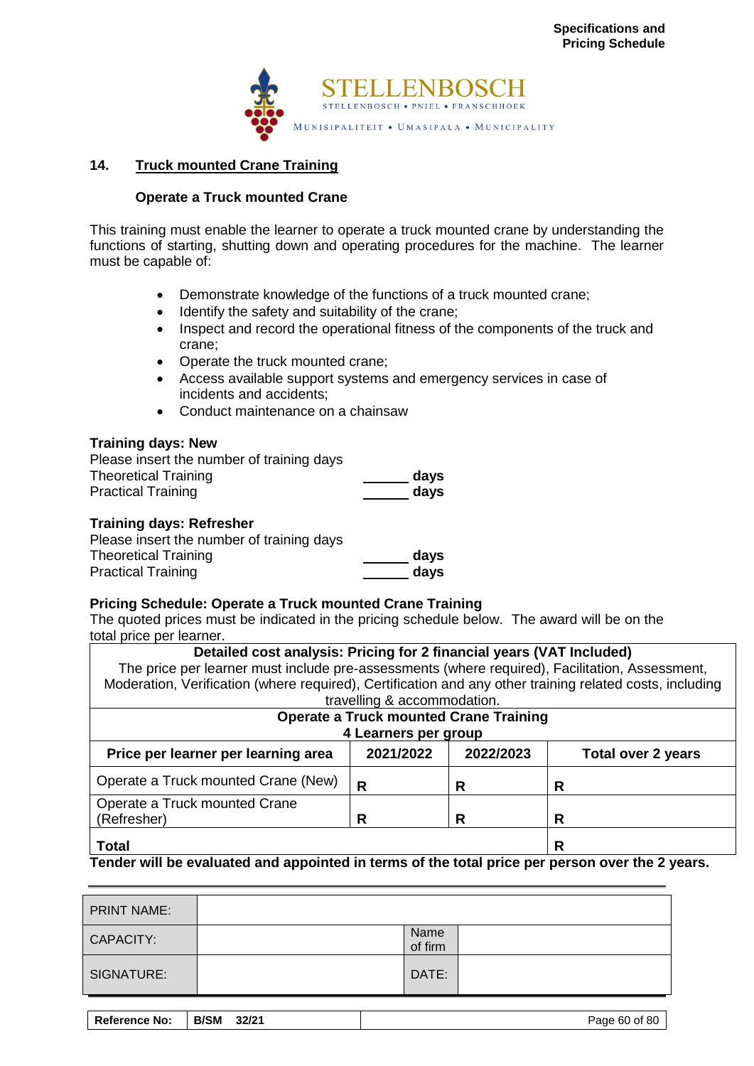

## **14. Truck mounted Crane Training**

#### **Operate a Truck mounted Crane**

This training must enable the learner to operate a truck mounted crane by understanding the functions of starting, shutting down and operating procedures for the machine. The learner must be capable of:

- Demonstrate knowledge of the functions of a truck mounted crane;<br>• Identify the safety and suitability of the crane:
- Identify the safety and suitability of the crane;
- Inspect and record the operational fitness of the components of the truck and crane;
- Operate the truck mounted crane;
- Access available support systems and emergency services in case of incidents and accidents;
- Conduct maintenance on a chainsaw

#### **Training days: New**

| Please insert the number of training days |      |
|-------------------------------------------|------|
| <b>Theoretical Training</b>               | davs |
| <b>Practical Training</b>                 | davs |

## **Training days: Refresher**

| Please insert the number of training days |      |
|-------------------------------------------|------|
| <b>Theoretical Training</b>               | days |
| <b>Practical Training</b>                 | days |

#### **Pricing Schedule: Operate a Truck mounted Crane Training**

The quoted prices must be indicated in the pricing schedule below. The award will be on the total price per learner.

**Detailed cost analysis: Pricing for 2 financial years (VAT Included)** The price per learner must include pre-assessments (where required), Facilitation, Assessment, Moderation, Verification (where required), Certification and any other training related costs, including

| travelling & accommodation.                                                                |                                               |   |   |  |  |  |
|--------------------------------------------------------------------------------------------|-----------------------------------------------|---|---|--|--|--|
|                                                                                            | <b>Operate a Truck mounted Crane Training</b> |   |   |  |  |  |
|                                                                                            | 4 Learners per group                          |   |   |  |  |  |
| 2021/2022<br>2022/2023<br>Price per learner per learning area<br><b>Total over 2 years</b> |                                               |   |   |  |  |  |
| Operate a Truck mounted Crane (New)                                                        | R                                             | R | R |  |  |  |
| Operate a Truck mounted Crane                                                              |                                               |   |   |  |  |  |
| (Refresher)<br>R<br>R<br>R                                                                 |                                               |   |   |  |  |  |
| Total<br>R                                                                                 |                                               |   |   |  |  |  |

| <b>PRINT NAME:</b> |                 |  |
|--------------------|-----------------|--|
| <b>CAPACITY:</b>   | Name<br>of firm |  |
| SIGNATURE:         | DATE:           |  |
|                    |                 |  |

| <b>Reference No:</b> | B/SM<br>32/21 | Page 60 of 80 |
|----------------------|---------------|---------------|
|                      |               |               |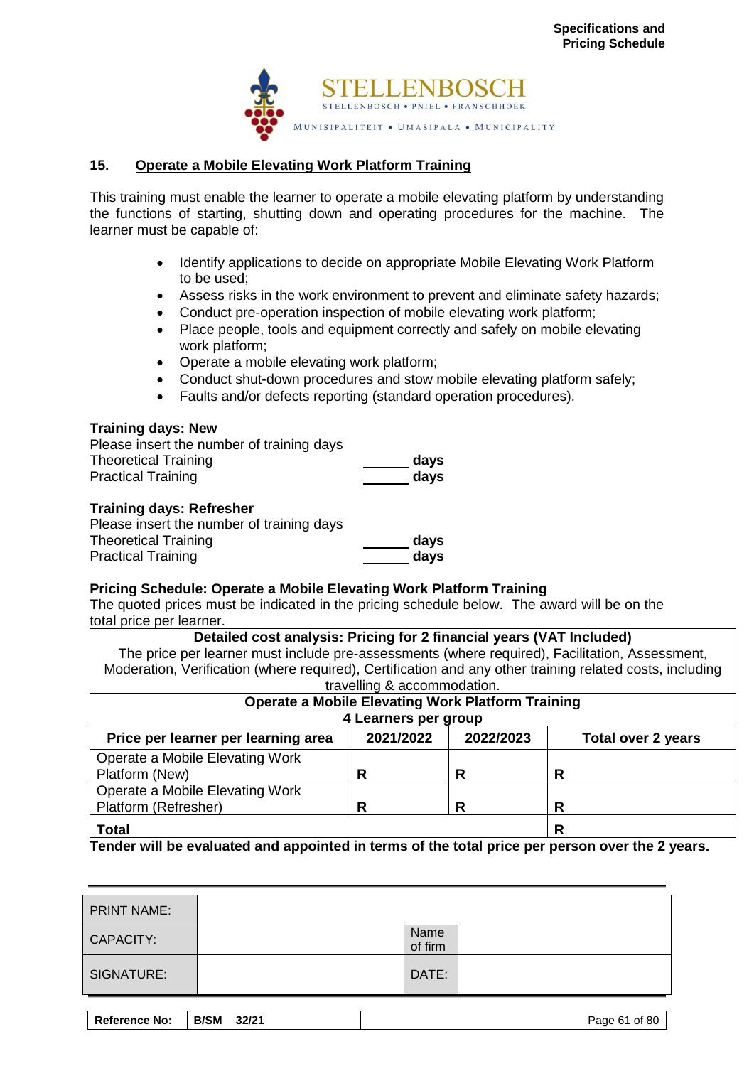

## **15. Operate a Mobile Elevating Work Platform Training**

This training must enable the learner to operate a mobile elevating platform by understanding the functions of starting, shutting down and operating procedures for the machine. The learner must be capable of:

- Identify applications to decide on appropriate Mobile Elevating Work Platform to be used;
- Assess risks in the work environment to prevent and eliminate safety hazards;
- Conduct pre-operation inspection of mobile elevating work platform;
- Place people, tools and equipment correctly and safely on mobile elevating work platform;
- Operate a mobile elevating work platform;
- Conduct shut-down procedures and stow mobile elevating platform safely;
- Faults and/or defects reporting (standard operation procedures).

## **Training days: New**

| Please insert the number of training days |      |
|-------------------------------------------|------|
| <b>Theoretical Training</b>               | days |
| <b>Practical Training</b>                 | days |

## **Training days: Refresher**

| Please insert the number of training days |      |
|-------------------------------------------|------|
| <b>Theoretical Training</b>               | davs |
| <b>Practical Training</b>                 | davs |

## **Pricing Schedule: Operate a Mobile Elevating Work Platform Training**

The quoted prices must be indicated in the pricing schedule below. The award will be on the total price per learner.

## **Detailed cost analysis: Pricing for 2 financial years (VAT Included)**

The price per learner must include pre-assessments (where required), Facilitation, Assessment, Moderation, Verification (where required), Certification and any other training related costs, including travelling & accommodation.

| <b>Operate a Mobile Elevating Work Platform Training</b>                                   |                      |   |   |  |  |  |
|--------------------------------------------------------------------------------------------|----------------------|---|---|--|--|--|
|                                                                                            | 4 Learners per group |   |   |  |  |  |
| 2021/2022<br>2022/2023<br>Price per learner per learning area<br><b>Total over 2 years</b> |                      |   |   |  |  |  |
| Operate a Mobile Elevating Work                                                            |                      |   |   |  |  |  |
| Platform (New)                                                                             | R                    | R | R |  |  |  |
| Operate a Mobile Elevating Work                                                            |                      |   |   |  |  |  |
| Platform (Refresher)<br>R<br>R<br>R                                                        |                      |   |   |  |  |  |
| <b>Total</b><br>R                                                                          |                      |   |   |  |  |  |

| <b>PRINT NAME:</b>   |                      |         |               |
|----------------------|----------------------|---------|---------------|
|                      |                      | Name    |               |
| <b>CAPACITY:</b>     |                      | of firm |               |
| SIGNATURE:           |                      | DATE:   |               |
|                      |                      |         |               |
| <b>Reference No:</b> | <b>B/SM</b><br>32/21 |         | Page 61 of 80 |

| <b>Reference No:</b> | B/SM | 32/21 | Page 61 of 80 |
|----------------------|------|-------|---------------|
|                      |      |       |               |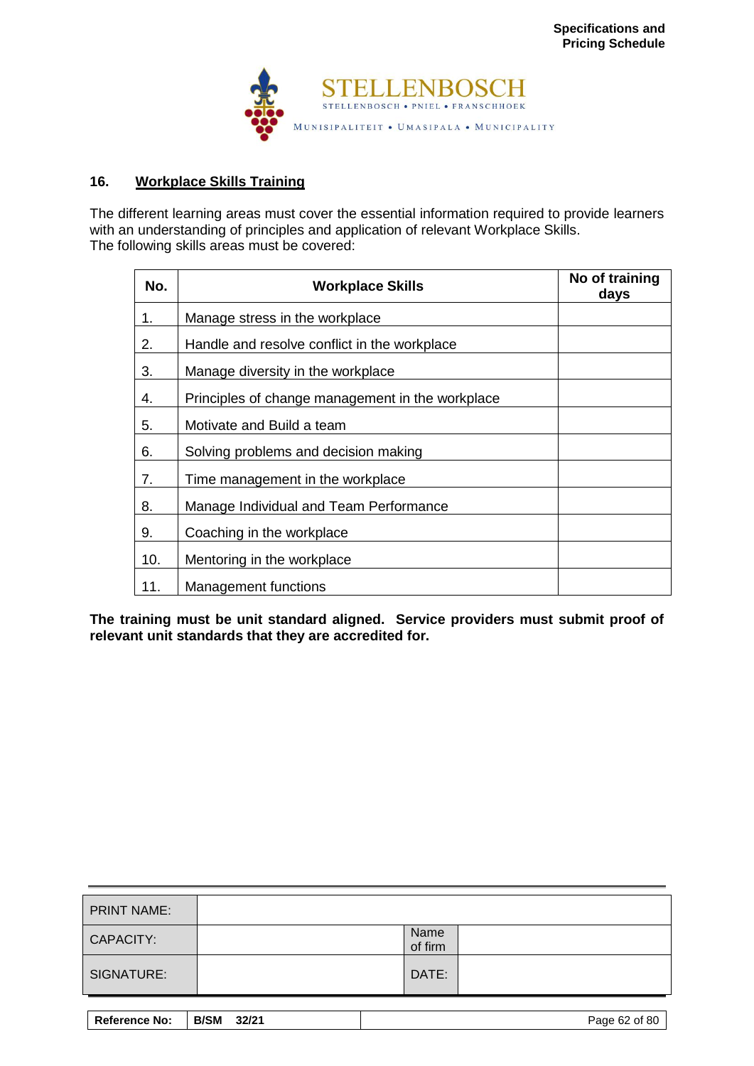

## **16. Workplace Skills Training**

The different learning areas must cover the essential information required to provide learners with an understanding of principles and application of relevant Workplace Skills. The following skills areas must be covered:

| No. | <b>Workplace Skills</b>                          | No of training<br>days |
|-----|--------------------------------------------------|------------------------|
| 1.  | Manage stress in the workplace                   |                        |
| 2.  | Handle and resolve conflict in the workplace     |                        |
| 3.  | Manage diversity in the workplace                |                        |
| 4.  | Principles of change management in the workplace |                        |
| 5.  | Motivate and Build a team                        |                        |
| 6.  | Solving problems and decision making             |                        |
| 7.  | Time management in the workplace                 |                        |
| 8.  | Manage Individual and Team Performance           |                        |
| 9.  | Coaching in the workplace                        |                        |
| 10. | Mentoring in the workplace                       |                        |
| 11. | Management functions                             |                        |

**The training must be unit standard aligned. Service providers must submit proof of relevant unit standards that they are accredited for.** 

| <b>PRINT NAME:</b>   |                      |                 |               |
|----------------------|----------------------|-----------------|---------------|
| <b>CAPACITY:</b>     |                      | Name<br>of firm |               |
| SIGNATURE:           |                      | DATE:           |               |
| <b>Reference No:</b> | <b>B/SM</b><br>32/21 |                 | Page 62 of 80 |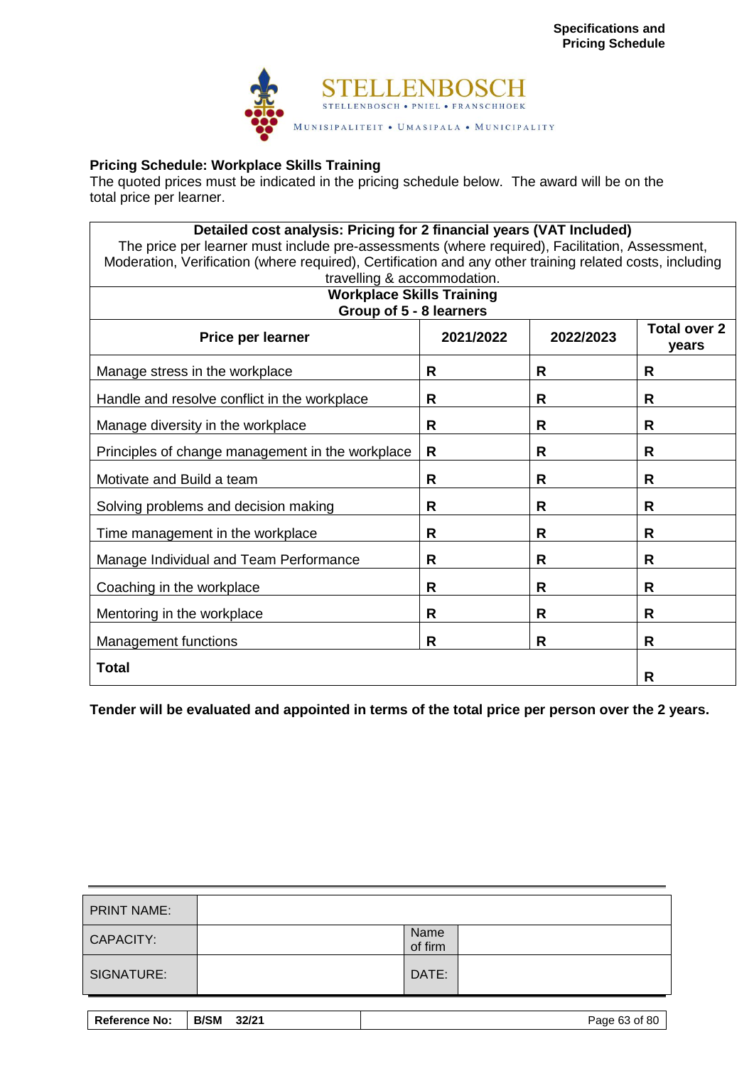

# **Pricing Schedule: Workplace Skills Training**

The quoted prices must be indicated in the pricing schedule below. The award will be on the total price per learner.

| Detailed cost analysis: Pricing for 2 financial years (VAT Included)<br>The price per learner must include pre-assessments (where required), Facilitation, Assessment,<br>Moderation, Verification (where required), Certification and any other training related costs, including<br>travelling & accommodation. |                              |   |              |  |  |
|-------------------------------------------------------------------------------------------------------------------------------------------------------------------------------------------------------------------------------------------------------------------------------------------------------------------|------------------------------|---|--------------|--|--|
| <b>Workplace Skills Training</b>                                                                                                                                                                                                                                                                                  |                              |   |              |  |  |
| Group of 5 - 8 learners                                                                                                                                                                                                                                                                                           |                              |   |              |  |  |
| Price per learner                                                                                                                                                                                                                                                                                                 | <b>Total over 2</b><br>years |   |              |  |  |
| Manage stress in the workplace                                                                                                                                                                                                                                                                                    | R                            | R | R            |  |  |
| Handle and resolve conflict in the workplace                                                                                                                                                                                                                                                                      | R                            | R | R            |  |  |
| Manage diversity in the workplace                                                                                                                                                                                                                                                                                 | R                            | R | R            |  |  |
| Principles of change management in the workplace                                                                                                                                                                                                                                                                  | R                            | R |              |  |  |
| Motivate and Build a team                                                                                                                                                                                                                                                                                         | R                            | R | R            |  |  |
| Solving problems and decision making                                                                                                                                                                                                                                                                              | R                            | R | R            |  |  |
| Time management in the workplace                                                                                                                                                                                                                                                                                  | $\mathsf{R}$                 | R | R            |  |  |
| Manage Individual and Team Performance                                                                                                                                                                                                                                                                            | R                            | R | R            |  |  |
| Coaching in the workplace                                                                                                                                                                                                                                                                                         | R                            | R | $\mathsf{R}$ |  |  |
| Mentoring in the workplace                                                                                                                                                                                                                                                                                        | R                            | R | R            |  |  |
| Management functions                                                                                                                                                                                                                                                                                              | R                            |   |              |  |  |
| <b>Total</b>                                                                                                                                                                                                                                                                                                      | R                            |   |              |  |  |

| <b>PRINT NAME:</b>   |                      |                 |               |
|----------------------|----------------------|-----------------|---------------|
| <b>CAPACITY:</b>     |                      | Name<br>of firm |               |
| SIGNATURE:           |                      | DATE:           |               |
|                      |                      |                 |               |
| <b>Reference No:</b> | <b>B/SM</b><br>32/21 |                 | Page 63 of 80 |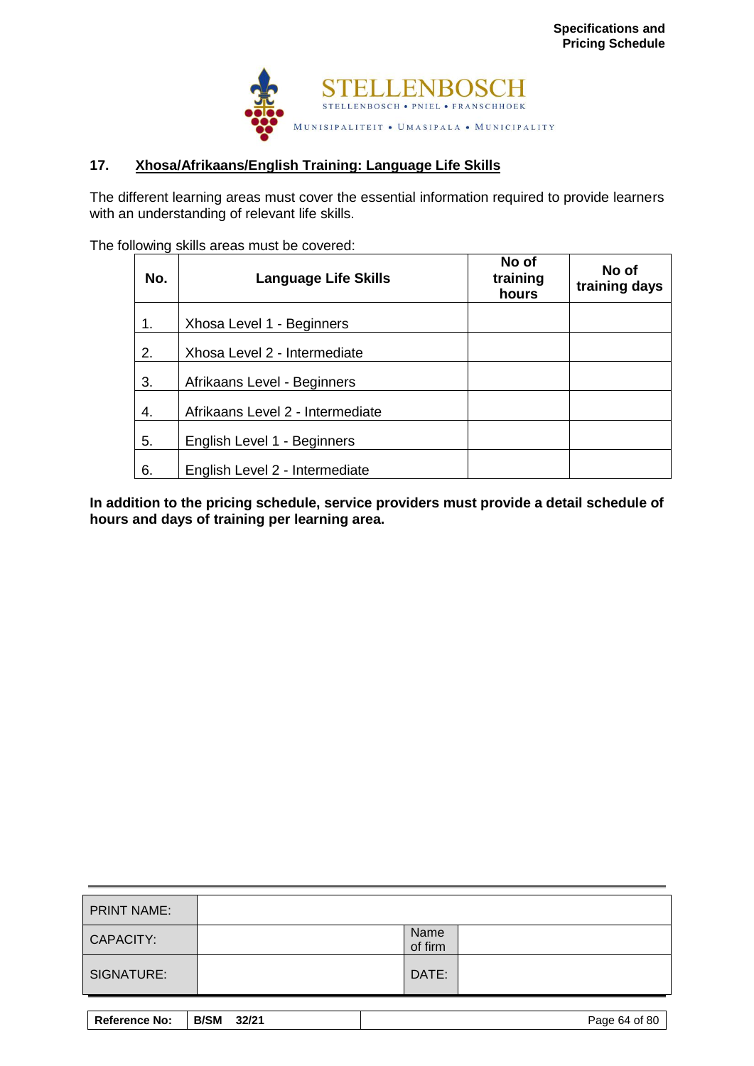

## **17. Xhosa/Afrikaans/English Training: Language Life Skills**

The different learning areas must cover the essential information required to provide learners with an understanding of relevant life skills.

The following skills areas must be covered:

| No. | <b>Language Life Skills</b>      | No of<br>training<br>hours | No of<br>training days |
|-----|----------------------------------|----------------------------|------------------------|
| 1.  | Xhosa Level 1 - Beginners        |                            |                        |
| 2.  | Xhosa Level 2 - Intermediate     |                            |                        |
| 3.  | Afrikaans Level - Beginners      |                            |                        |
| 4.  | Afrikaans Level 2 - Intermediate |                            |                        |
| 5.  | English Level 1 - Beginners      |                            |                        |
| 6.  | English Level 2 - Intermediate   |                            |                        |

**In addition to the pricing schedule, service providers must provide a detail schedule of hours and days of training per learning area.**

| <b>PRINT NAME:</b>   |                      |                 |               |
|----------------------|----------------------|-----------------|---------------|
| CAPACITY:            |                      | Name<br>of firm |               |
| SIGNATURE:           |                      | DATE:           |               |
| <b>Reference No:</b> | <b>B/SM</b><br>32/21 |                 | Page 64 of 80 |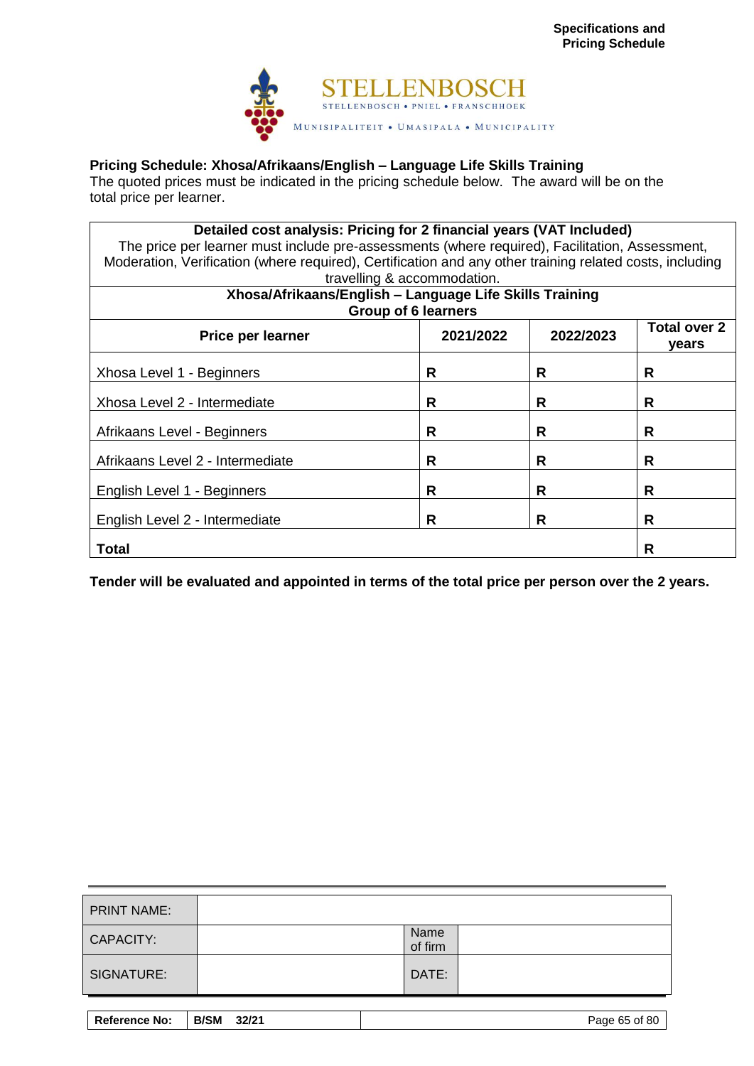

## **Pricing Schedule: Xhosa/Afrikaans/English – Language Life Skills Training**

The quoted prices must be indicated in the pricing schedule below. The award will be on the total price per learner.

| Detailed cost analysis: Pricing for 2 financial years (VAT Included)<br>The price per learner must include pre-assessments (where required), Facilitation, Assessment, |                             |           |                              |
|------------------------------------------------------------------------------------------------------------------------------------------------------------------------|-----------------------------|-----------|------------------------------|
| Moderation, Verification (where required), Certification and any other training related costs, including                                                               |                             |           |                              |
|                                                                                                                                                                        | travelling & accommodation. |           |                              |
| Xhosa/Afrikaans/English - Language Life Skills Training                                                                                                                |                             |           |                              |
|                                                                                                                                                                        | <b>Group of 6 learners</b>  |           |                              |
| <b>Price per learner</b>                                                                                                                                               | 2021/2022                   | 2022/2023 | <b>Total over 2</b><br>years |
| Xhosa Level 1 - Beginners                                                                                                                                              | R                           | R         | R                            |
| Xhosa Level 2 - Intermediate                                                                                                                                           | R                           | R         | R                            |
| Afrikaans Level - Beginners                                                                                                                                            | R                           | R         | R                            |
| Afrikaans Level 2 - Intermediate                                                                                                                                       | R                           | R         | R                            |
| English Level 1 - Beginners                                                                                                                                            | R                           | R         | R                            |
| English Level 2 - Intermediate                                                                                                                                         | R                           | R         | R                            |
| <b>Total</b>                                                                                                                                                           |                             |           | R                            |

| <b>PRINT NAME:</b>   |                      |                 |               |
|----------------------|----------------------|-----------------|---------------|
| <b>CAPACITY:</b>     |                      | Name<br>of firm |               |
| SIGNATURE:           |                      | DATE:           |               |
|                      |                      |                 |               |
| <b>Reference No:</b> | <b>B/SM</b><br>32/21 |                 | Page 65 of 80 |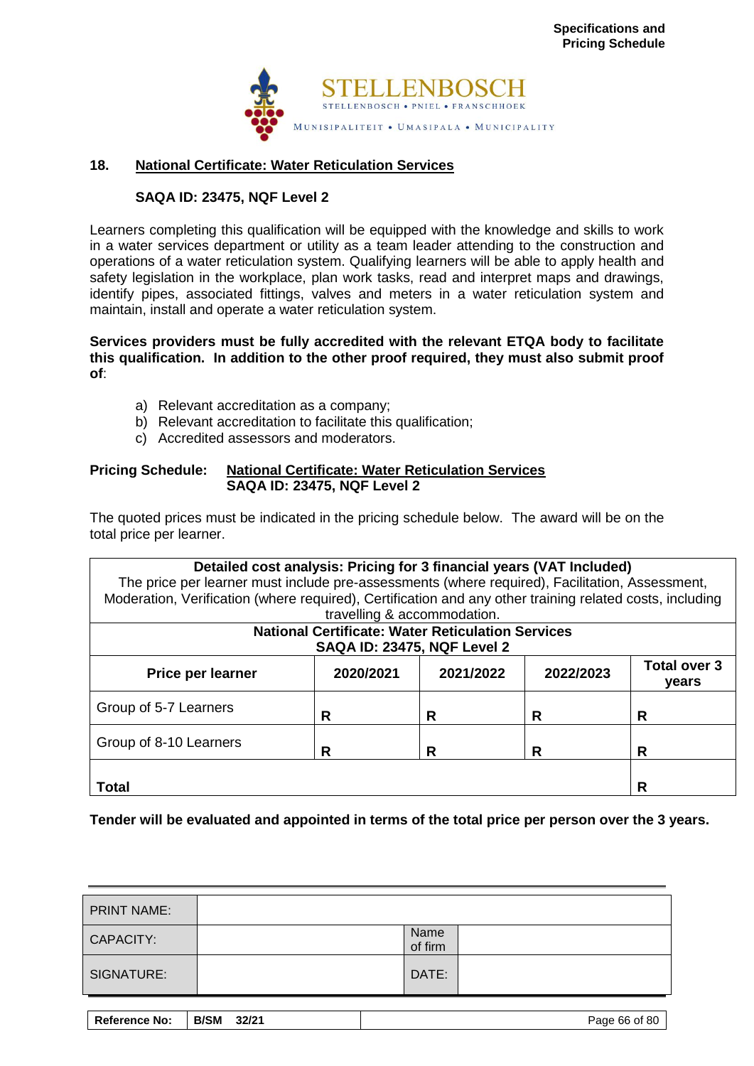

## **18. National Certificate: Water Reticulation Services**

## **SAQA ID: 23475, NQF Level 2**

Learners completing this qualification will be equipped with the knowledge and skills to work in a water services department or utility as a team leader attending to the construction and operations of a water reticulation system. Qualifying learners will be able to apply health and safety legislation in the workplace, plan work tasks, read and interpret maps and drawings, identify pipes, associated fittings, valves and meters in a water reticulation system and maintain, install and operate a water reticulation system.

#### **Services providers must be fully accredited with the relevant ETQA body to facilitate this qualification. In addition to the other proof required, they must also submit proof of**:

- a) Relevant accreditation as a company;
- b) Relevant accreditation to facilitate this qualification;
- c) Accredited assessors and moderators.

#### **Pricing Schedule: National Certificate: Water Reticulation Services SAQA ID: 23475, NQF Level 2**

The quoted prices must be indicated in the pricing schedule below. The award will be on the total price per learner.

| Detailed cost analysis: Pricing for 3 financial years (VAT Included)<br>The price per learner must include pre-assessments (where required), Facilitation, Assessment,<br>Moderation, Verification (where required), Certification and any other training related costs, including<br>travelling & accommodation. |                                                                                                |           |           |                       |  |
|-------------------------------------------------------------------------------------------------------------------------------------------------------------------------------------------------------------------------------------------------------------------------------------------------------------------|------------------------------------------------------------------------------------------------|-----------|-----------|-----------------------|--|
|                                                                                                                                                                                                                                                                                                                   | <b>National Certificate: Water Reticulation Services</b><br><b>SAQA ID: 23475, NQF Level 2</b> |           |           |                       |  |
| <b>Price per learner</b>                                                                                                                                                                                                                                                                                          | 2020/2021                                                                                      | 2021/2022 | 2022/2023 | Total over 3<br>years |  |
| Group of 5-7 Learners                                                                                                                                                                                                                                                                                             | R                                                                                              | R         | R         | R                     |  |
| Group of 8-10 Learners                                                                                                                                                                                                                                                                                            | R                                                                                              | R         | R         | R                     |  |
| Total                                                                                                                                                                                                                                                                                                             |                                                                                                |           |           | R                     |  |

| <b>PRINT NAME:</b>   |                      |                 |               |
|----------------------|----------------------|-----------------|---------------|
| <b>CAPACITY:</b>     |                      | Name<br>of firm |               |
| SIGNATURE:           |                      | DATE:           |               |
|                      |                      |                 |               |
| <b>Reference No:</b> | <b>B/SM</b><br>32/21 |                 | Page 66 of 80 |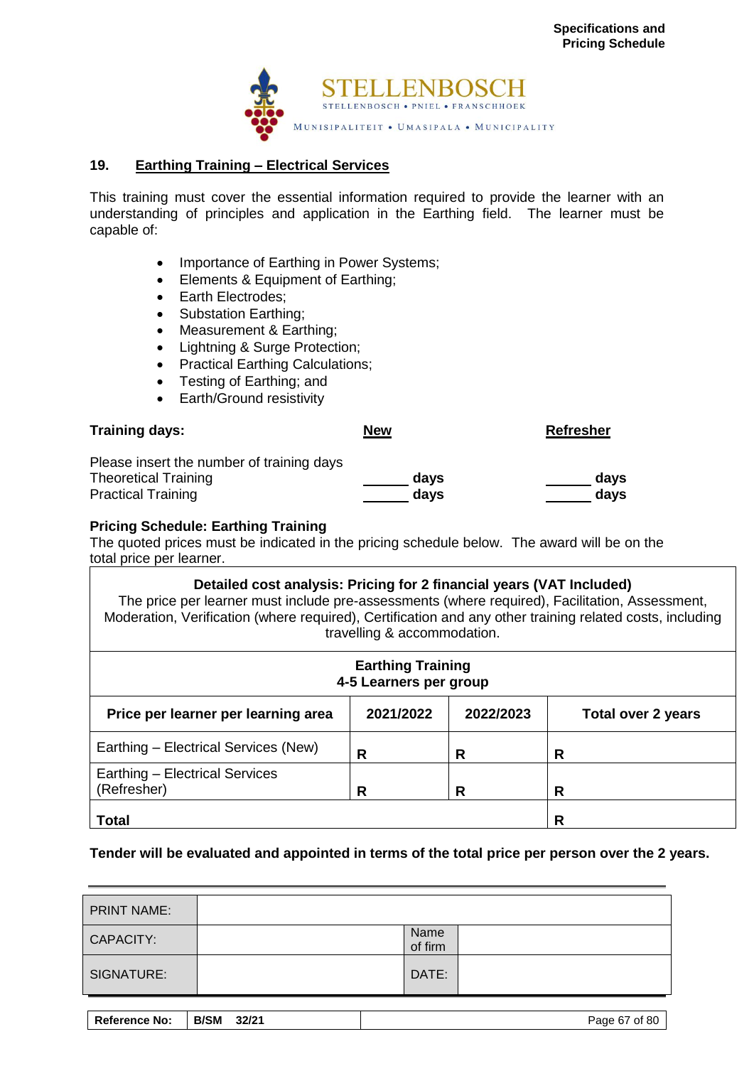

## **19. Earthing Training – Electrical Services**

This training must cover the essential information required to provide the learner with an understanding of principles and application in the Earthing field. The learner must be capable of:

- Importance of Earthing in Power Systems;
- Elements & Equipment of Earthing;
- Earth Electrodes;
- Substation Earthing:
- Measurement & Earthing;
- Lightning & Surge Protection;
- Practical Earthing Calculations;
- Testing of Earthing; and
- Earth/Ground resistivity

| <b>Training days:</b>                     | New  | <b>Refresher</b> |
|-------------------------------------------|------|------------------|
| Please insert the number of training days |      |                  |
| <b>Theoretical Training</b>               | davs | days             |
| <b>Practical Training</b>                 | days | days             |

#### **Pricing Schedule: Earthing Training**

The quoted prices must be indicated in the pricing schedule below. The award will be on the total price per learner.

#### **Detailed cost analysis: Pricing for 2 financial years (VAT Included)**

The price per learner must include pre-assessments (where required), Facilitation, Assessment, Moderation, Verification (where required), Certification and any other training related costs, including travelling & accommodation.

| <b>Earthing Training</b><br>4-5 Learners per group                                         |   |   |   |  |
|--------------------------------------------------------------------------------------------|---|---|---|--|
| 2021/2022<br>2022/2023<br>Price per learner per learning area<br><b>Total over 2 years</b> |   |   |   |  |
| Earthing – Electrical Services (New)                                                       | R | R | R |  |
| Earthing - Electrical Services<br>(Refresher)                                              | R | R | R |  |
| <b>Total</b>                                                                               |   |   | R |  |

| <b>PRINT NAME:</b>   |                      |                 |               |
|----------------------|----------------------|-----------------|---------------|
| <b>CAPACITY:</b>     |                      | Name<br>of firm |               |
| SIGNATURE:           |                      | DATE:           |               |
|                      |                      |                 |               |
| <b>Reference No:</b> | <b>B/SM</b><br>32/21 |                 | Page 67 of 80 |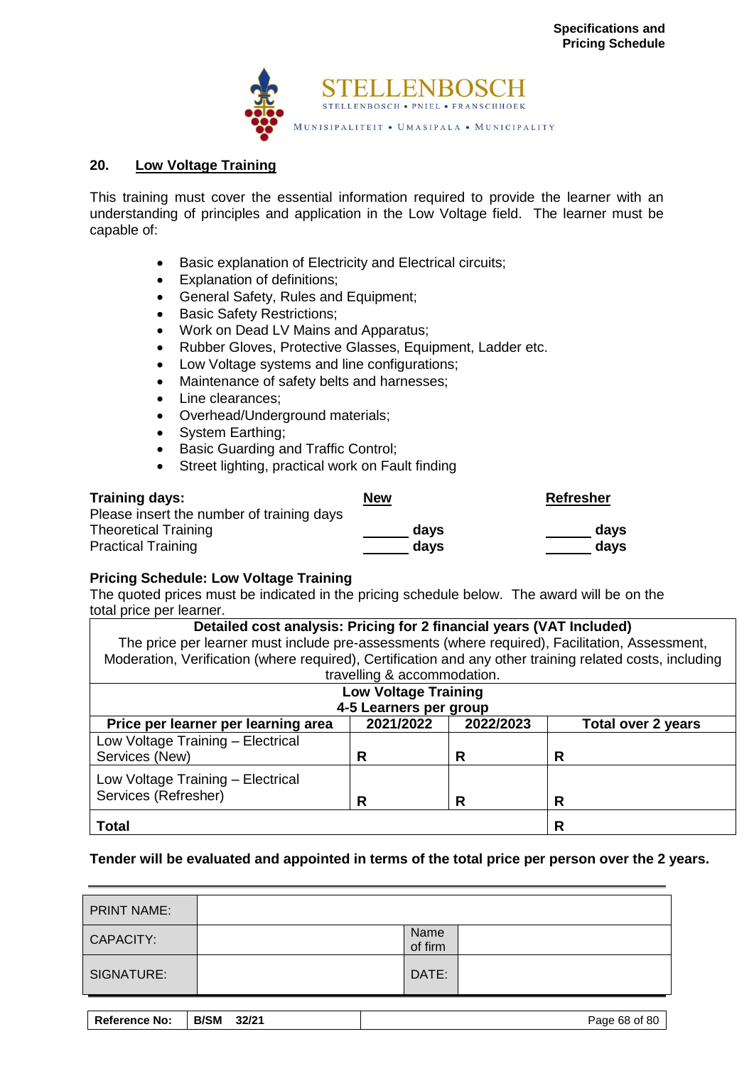

## **20. Low Voltage Training**

This training must cover the essential information required to provide the learner with an understanding of principles and application in the Low Voltage field. The learner must be capable of:

- Basic explanation of Electricity and Electrical circuits;
- Explanation of definitions;
- General Safety, Rules and Equipment;
- Basic Safety Restrictions;
- Work on Dead LV Mains and Apparatus;
- Rubber Gloves, Protective Glasses, Equipment, Ladder etc.
- Low Voltage systems and line configurations;
- Maintenance of safety belts and harnesses;
- Line clearances:
- Overhead/Underground materials;
- System Earthing;
- Basic Guarding and Traffic Control;
- Street lighting, practical work on Fault finding

| <b>Training days:</b>                     | New  | Refresher |
|-------------------------------------------|------|-----------|
| Please insert the number of training days |      |           |
| <b>Theoretical Training</b>               | davs | days      |
| <b>Practical Training</b>                 | davs | days      |

## **Pricing Schedule: Low Voltage Training**

The quoted prices must be indicated in the pricing schedule below. The award will be on the total price per learner.

| Detailed cost analysis: Pricing for 2 financial years (VAT Included)<br>The price per learner must include pre-assessments (where required), Facilitation, Assessment,<br>Moderation, Verification (where required), Certification and any other training related costs, including |                             |           |                    |  |
|------------------------------------------------------------------------------------------------------------------------------------------------------------------------------------------------------------------------------------------------------------------------------------|-----------------------------|-----------|--------------------|--|
|                                                                                                                                                                                                                                                                                    | travelling & accommodation. |           |                    |  |
|                                                                                                                                                                                                                                                                                    | <b>Low Voltage Training</b> |           |                    |  |
|                                                                                                                                                                                                                                                                                    | 4-5 Learners per group      |           |                    |  |
| Price per learner per learning area                                                                                                                                                                                                                                                | 2021/2022                   | 2022/2023 | Total over 2 years |  |
| Low Voltage Training - Electrical                                                                                                                                                                                                                                                  |                             |           |                    |  |
| Services (New)                                                                                                                                                                                                                                                                     | R                           | R         | R                  |  |
| Low Voltage Training - Electrical<br>Services (Refresher)                                                                                                                                                                                                                          | R                           | R         | R                  |  |
| <b>Total</b><br>R                                                                                                                                                                                                                                                                  |                             |           |                    |  |

| <b>PRINT NAME:</b>   |                      |                 |               |
|----------------------|----------------------|-----------------|---------------|
| <b>CAPACITY:</b>     |                      | Name<br>of firm |               |
| SIGNATURE:           |                      | DATE:           |               |
|                      |                      |                 |               |
| <b>Reference No:</b> | <b>B/SM</b><br>32/21 |                 | Page 68 of 80 |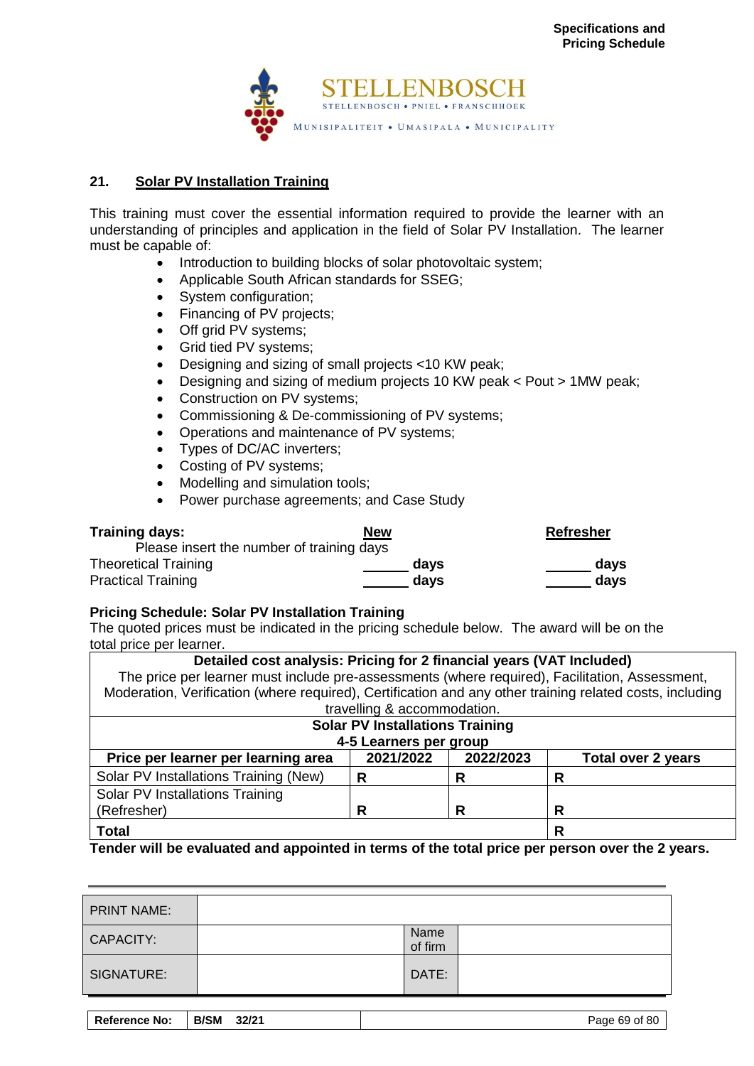

## **21. Solar PV Installation Training**

This training must cover the essential information required to provide the learner with an understanding of principles and application in the field of Solar PV Installation. The learner must be capable of:

- Introduction to building blocks of solar photovoltaic system;
- Applicable South African standards for SSEG;
- System configuration;
- Financing of PV projects;
- Off grid PV systems;
- Grid tied PV systems;
- Designing and sizing of small projects <10 KW peak;
- Designing and sizing of medium projects 10 KW peak < Pout > 1MW peak;
- Construction on PV systems;
- Commissioning & De-commissioning of PV systems;
- Operations and maintenance of PV systems;
- Types of DC/AC inverters;
- Costing of PV systems;
- Modelling and simulation tools;
- Power purchase agreements; and Case Study

| <b>Training days:</b>                     | <b>New</b> | <b>Refresher</b> |
|-------------------------------------------|------------|------------------|
| Please insert the number of training days |            |                  |
| <b>Theoretical Training</b>               | davs       | davs             |
| <b>Practical Training</b>                 | davs       | days             |

#### **Pricing Schedule: Solar PV Installation Training**

The quoted prices must be indicated in the pricing schedule below. The award will be on the total price per learner.

#### **Detailed cost analysis: Pricing for 2 financial years (VAT Included)**

The price per learner must include pre-assessments (where required), Facilitation, Assessment, Moderation, Verification (where required), Certification and any other training related costs, including travelling & accommodation.

| travelling a accommodation.                                                         |   |   |   |  |
|-------------------------------------------------------------------------------------|---|---|---|--|
| <b>Solar PV Installations Training</b>                                              |   |   |   |  |
| 4-5 Learners per group                                                              |   |   |   |  |
| 2021/2022<br>2022/2023<br>Price per learner per learning area<br>Total over 2 years |   |   |   |  |
| Solar PV Installations Training (New)                                               | R | R | R |  |
| Solar PV Installations Training                                                     |   |   |   |  |
| (Refresher)                                                                         | R | R | R |  |
| <b>Total</b><br>R                                                                   |   |   |   |  |

| <b>PRINT NAME:</b> |                 |  |
|--------------------|-----------------|--|
| <b>CAPACITY:</b>   | Name<br>of firm |  |
| SIGNATURE:         | DATE:           |  |
|                    |                 |  |

| <b>Reference No:</b> | <b>B/SM</b><br>32/21 | Page 69 of 80 |
|----------------------|----------------------|---------------|
|                      |                      |               |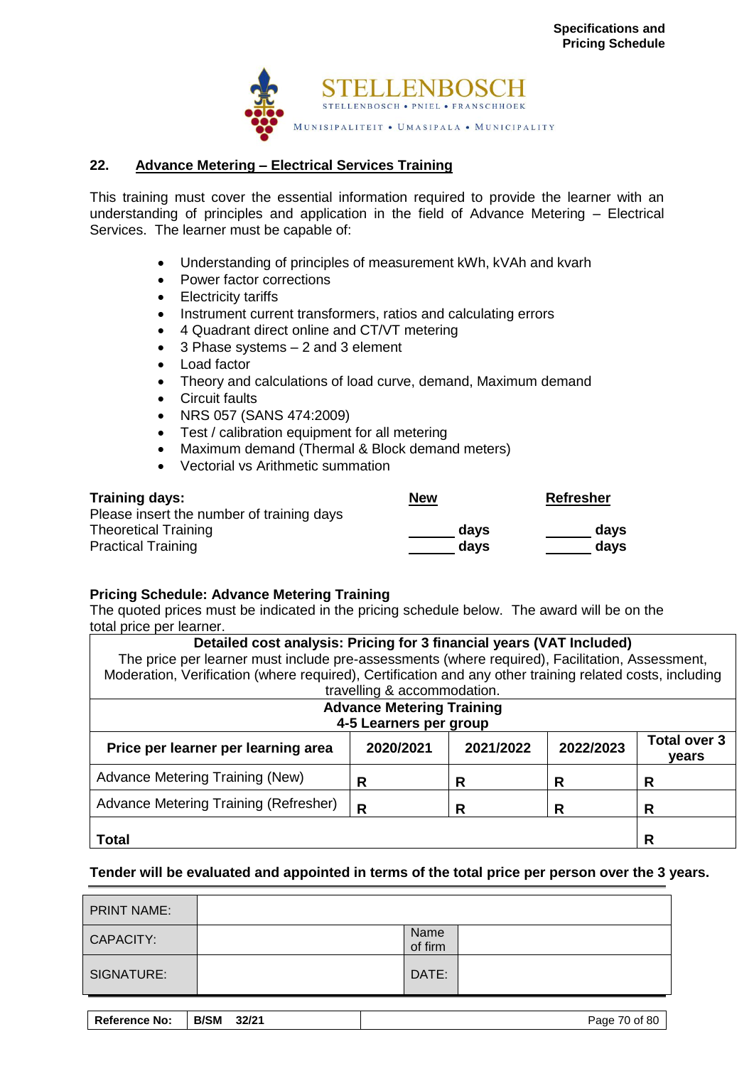

## **22. Advance Metering – Electrical Services Training**

This training must cover the essential information required to provide the learner with an understanding of principles and application in the field of Advance Metering – Electrical Services. The learner must be capable of:

- Understanding of principles of measurement kWh, kVAh and kvarh
- Power factor corrections
- Electricity tariffs
- Instrument current transformers, ratios and calculating errors
- 4 Quadrant direct online and CT/VT metering
- 3 Phase systems 2 and 3 element
- Load factor
- Theory and calculations of load curve, demand, Maximum demand
- Circuit faults
- NRS 057 (SANS 474:2009)
- Test / calibration equipment for all metering
- Maximum demand (Thermal & Block demand meters)
- Vectorial vs Arithmetic summation

| <b>Training days:</b>                     | <u>New</u> | <b>Refresher</b> |
|-------------------------------------------|------------|------------------|
| Please insert the number of training days |            |                  |
| <b>Theoretical Training</b>               | davs       | days             |
| <b>Practical Training</b>                 | davs       | days             |

## **Pricing Schedule: Advance Metering Training**

The quoted prices must be indicated in the pricing schedule below. The award will be on the total price per learner.

| Detailed cost analysis: Pricing for 3 financial years (VAT Included)<br>The price per learner must include pre-assessments (where required), Facilitation, Assessment,<br>Moderation, Verification (where required), Certification and any other training related costs, including<br>travelling & accommodation. |           |           |           |                              |
|-------------------------------------------------------------------------------------------------------------------------------------------------------------------------------------------------------------------------------------------------------------------------------------------------------------------|-----------|-----------|-----------|------------------------------|
| <b>Advance Metering Training</b><br>4-5 Learners per group                                                                                                                                                                                                                                                        |           |           |           |                              |
| Price per learner per learning area                                                                                                                                                                                                                                                                               | 2020/2021 | 2021/2022 | 2022/2023 | <b>Total over 3</b><br>vears |
| Advance Metering Training (New)                                                                                                                                                                                                                                                                                   | R         | R         | R         | R                            |
| Advance Metering Training (Refresher)                                                                                                                                                                                                                                                                             | R         | R         | R         | R                            |
| Total                                                                                                                                                                                                                                                                                                             |           |           |           | R                            |

| <b>PRINT NAME:</b>   |                      |                 |               |
|----------------------|----------------------|-----------------|---------------|
| <b>CAPACITY:</b>     |                      | Name<br>of firm |               |
| SIGNATURE:           |                      | DATE:           |               |
|                      |                      |                 |               |
| <b>Reference No:</b> | <b>B/SM</b><br>32/21 |                 | Page 70 of 80 |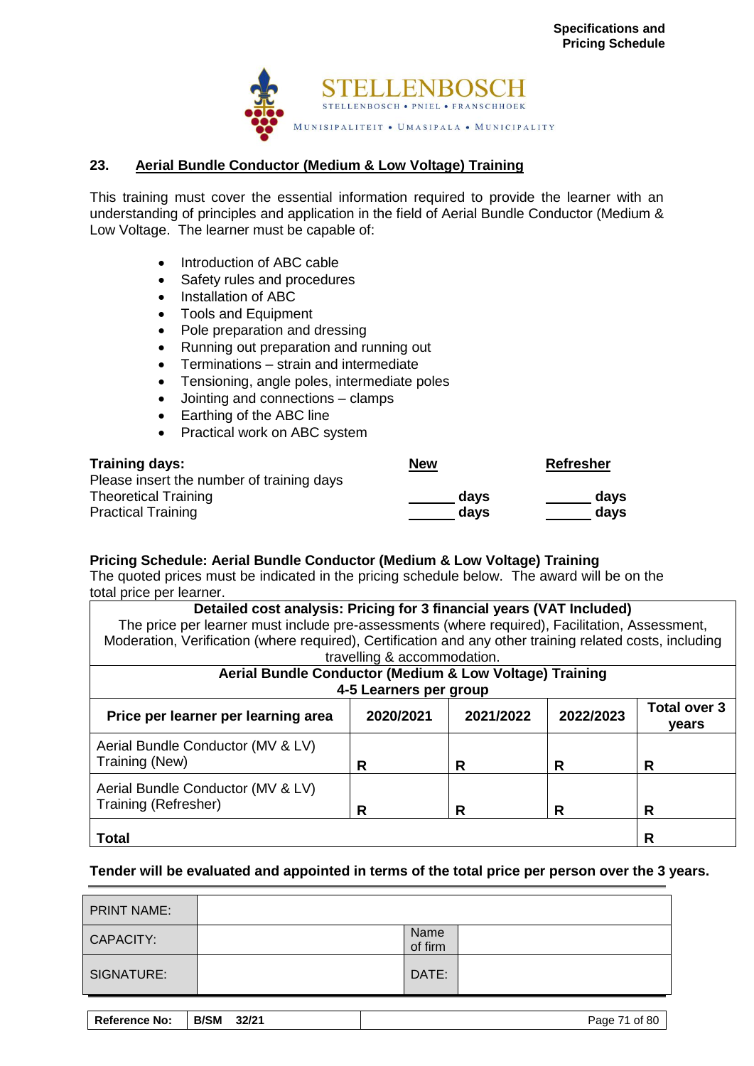

#### **23. Aerial Bundle Conductor (Medium & Low Voltage) Training**

This training must cover the essential information required to provide the learner with an understanding of principles and application in the field of Aerial Bundle Conductor (Medium & Low Voltage. The learner must be capable of:

- Introduction of ABC cable
- Safety rules and procedures
- Installation of ABC
- Tools and Equipment
- Pole preparation and dressing
- Running out preparation and running out
- Terminations strain and intermediate
- Tensioning, angle poles, intermediate poles
- Jointing and connections clamps
- Earthing of the ABC line
- Practical work on ABC system

| <b>Training days:</b>                     | New  | <b>Refresher</b> |
|-------------------------------------------|------|------------------|
| Please insert the number of training days |      |                  |
| <b>Theoretical Training</b>               | davs | davs             |
| <b>Practical Training</b>                 | days | days             |

#### **Pricing Schedule: Aerial Bundle Conductor (Medium & Low Voltage) Training**

The quoted prices must be indicated in the pricing schedule below. The award will be on the total price per learner.

| Detailed cost analysis: Pricing for 3 financial years (VAT Included) |                                                                                                                                                                                                            |           |           |                              |  |
|----------------------------------------------------------------------|------------------------------------------------------------------------------------------------------------------------------------------------------------------------------------------------------------|-----------|-----------|------------------------------|--|
|                                                                      | The price per learner must include pre-assessments (where required), Facilitation, Assessment,<br>Moderation, Verification (where required), Certification and any other training related costs, including |           |           |                              |  |
|                                                                      | travelling & accommodation.                                                                                                                                                                                |           |           |                              |  |
| Aerial Bundle Conductor (Medium & Low Voltage) Training              |                                                                                                                                                                                                            |           |           |                              |  |
|                                                                      | 4-5 Learners per group                                                                                                                                                                                     |           |           |                              |  |
| Price per learner per learning area                                  | 2020/2021                                                                                                                                                                                                  | 2021/2022 | 2022/2023 | <b>Total over 3</b><br>years |  |
| Aerial Bundle Conductor (MV & LV)<br>Training (New)                  |                                                                                                                                                                                                            | R         | R         | R                            |  |
| Aerial Bundle Conductor (MV & LV)                                    |                                                                                                                                                                                                            |           |           |                              |  |

# **Total R**

#### **Tender will be evaluated and appointed in terms of the total price per person over the 3 years.**

| <b>PRINT NAME:</b>   |                      |                 |               |
|----------------------|----------------------|-----------------|---------------|
| <b>CAPACITY:</b>     |                      | Name<br>of firm |               |
| SIGNATURE:           |                      | DATE:           |               |
|                      |                      |                 |               |
| <b>Reference No:</b> | <b>B/SM</b><br>32/21 |                 | Page 71 of 80 |

Training (Refresher) **R R R R R**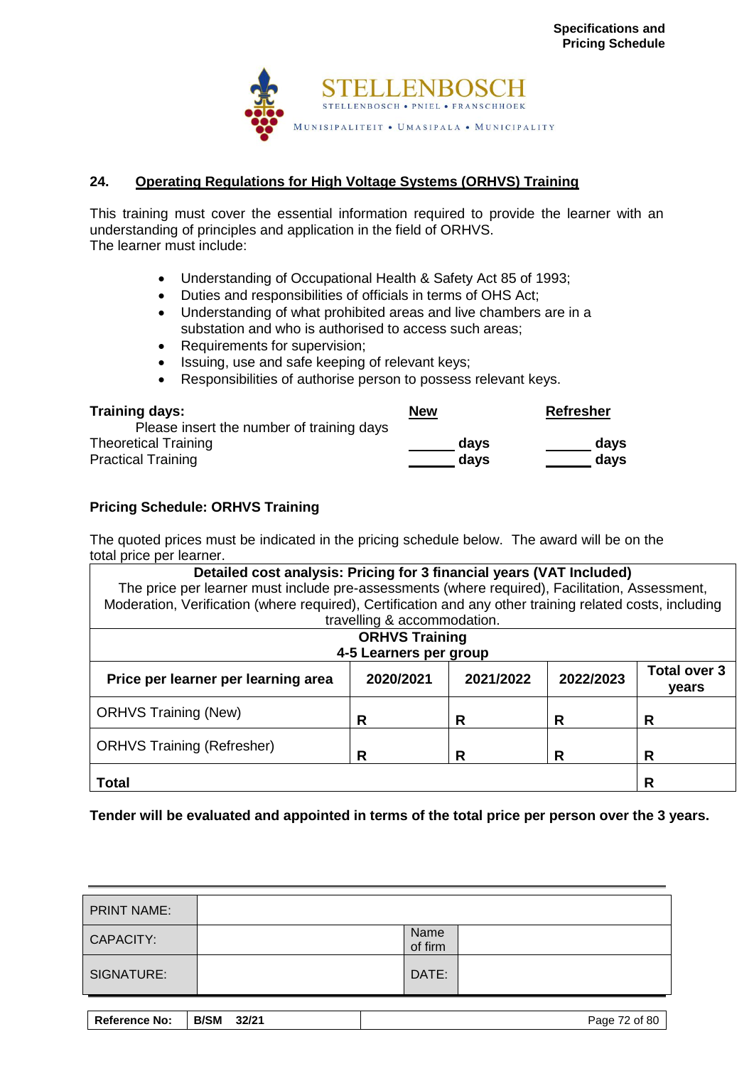

## **24. Operating Regulations for High Voltage Systems (ORHVS) Training**

This training must cover the essential information required to provide the learner with an understanding of principles and application in the field of ORHVS. The learner must include:

- Understanding of Occupational Health & Safety Act 85 of 1993;
- Duties and responsibilities of officials in terms of OHS Act;
- Understanding of what prohibited areas and live chambers are in a substation and who is authorised to access such areas;
- Requirements for supervision;
- Issuing, use and safe keeping of relevant keys;
- Responsibilities of authorise person to possess relevant keys.

| <b>Training days:</b>                     | New  | <b>Refresher</b> |
|-------------------------------------------|------|------------------|
| Please insert the number of training days |      |                  |
| <b>Theoretical Training</b>               | davs | davs             |
| <b>Practical Training</b>                 | davs | days             |

#### **Pricing Schedule: ORHVS Training**

The quoted prices must be indicated in the pricing schedule below. The award will be on the total price per learner.

| Detailed cost analysis: Pricing for 3 financial years (VAT Included)<br>The price per learner must include pre-assessments (where required), Facilitation, Assessment,<br>Moderation, Verification (where required), Certification and any other training related costs, including<br>travelling & accommodation. |                                                 |           |           |                              |
|-------------------------------------------------------------------------------------------------------------------------------------------------------------------------------------------------------------------------------------------------------------------------------------------------------------------|-------------------------------------------------|-----------|-----------|------------------------------|
|                                                                                                                                                                                                                                                                                                                   | <b>ORHVS Training</b><br>4-5 Learners per group |           |           |                              |
| Price per learner per learning area                                                                                                                                                                                                                                                                               | 2020/2021                                       | 2021/2022 | 2022/2023 | <b>Total over 3</b><br>years |
| <b>ORHVS Training (New)</b>                                                                                                                                                                                                                                                                                       | R                                               | R         | R         | R                            |
| <b>ORHVS Training (Refresher)</b>                                                                                                                                                                                                                                                                                 | R                                               | R         | R         | R                            |
| <b>Total</b>                                                                                                                                                                                                                                                                                                      |                                                 |           |           | R                            |

**Tender will be evaluated and appointed in terms of the total price per person over the 3 years.**

| <b>PRINT NAME:</b>   |                      |                 |               |
|----------------------|----------------------|-----------------|---------------|
| <b>CAPACITY:</b>     |                      | Name<br>of firm |               |
| SIGNATURE:           |                      | DATE:           |               |
|                      |                      |                 |               |
| <b>Reference No:</b> | <b>B/SM</b><br>32/21 |                 | Page 72 of 80 |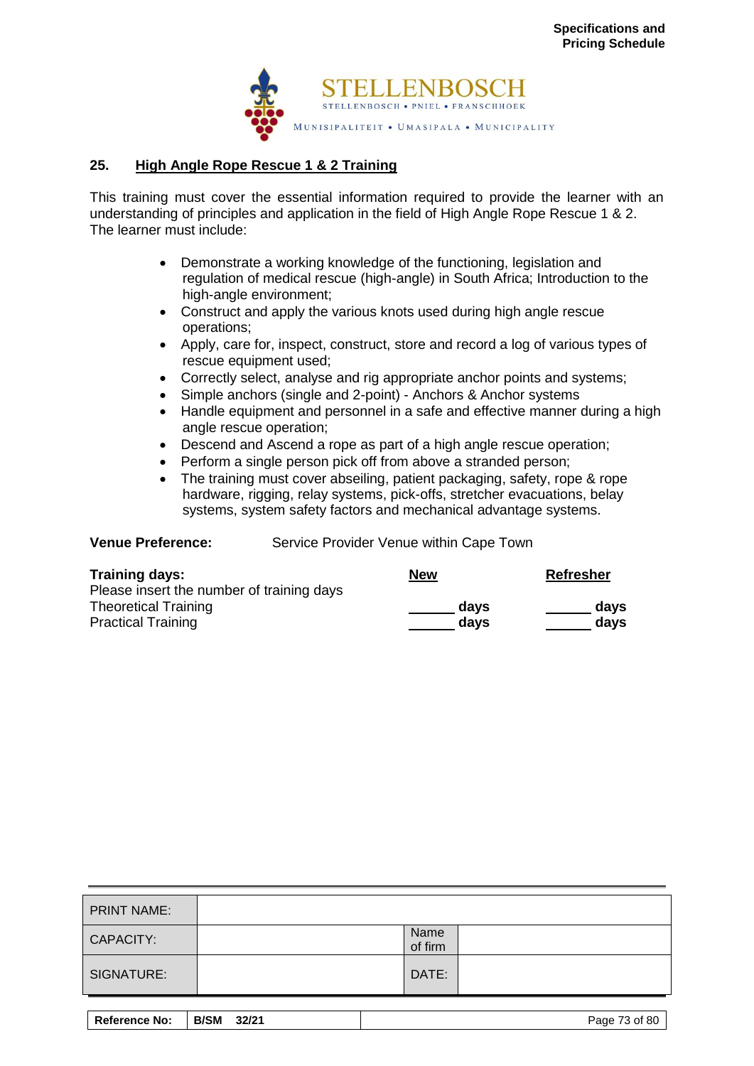

# **25. High Angle Rope Rescue 1 & 2 Training**

This training must cover the essential information required to provide the learner with an understanding of principles and application in the field of High Angle Rope Rescue 1 & 2. The learner must include:

- Demonstrate a working knowledge of the functioning, legislation and regulation of medical rescue (high-angle) in South Africa; Introduction to the high-angle environment;
- Construct and apply the various knots used during high angle rescue operations;
- Apply, care for, inspect, construct, store and record a log of various types of rescue equipment used;
- Correctly select, analyse and rig appropriate anchor points and systems;
- Simple anchors (single and 2-point) Anchors & Anchor systems
- Handle equipment and personnel in a safe and effective manner during a high angle rescue operation;
- Descend and Ascend a rope as part of a high angle rescue operation;
- Perform a single person pick off from above a stranded person;
- The training must cover abseiling, patient packaging, safety, rope & rope hardware, rigging, relay systems, pick-offs, stretcher evacuations, belay systems, system safety factors and mechanical advantage systems.

**Venue Preference:** Service Provider Venue within Cape Town

| <b>Training days:</b>                     | New  | <b>Refresher</b> |
|-------------------------------------------|------|------------------|
| Please insert the number of training days |      |                  |
| <b>Theoretical Training</b>               | davs | days             |
| <b>Practical Training</b>                 | davs | days             |

| <b>PRINT NAME:</b>   |                      |                 |               |
|----------------------|----------------------|-----------------|---------------|
| CAPACITY:            |                      | Name<br>of firm |               |
| SIGNATURE:           |                      | DATE:           |               |
|                      |                      |                 |               |
| <b>Reference No:</b> | <b>B/SM</b><br>32/21 |                 | Page 73 of 80 |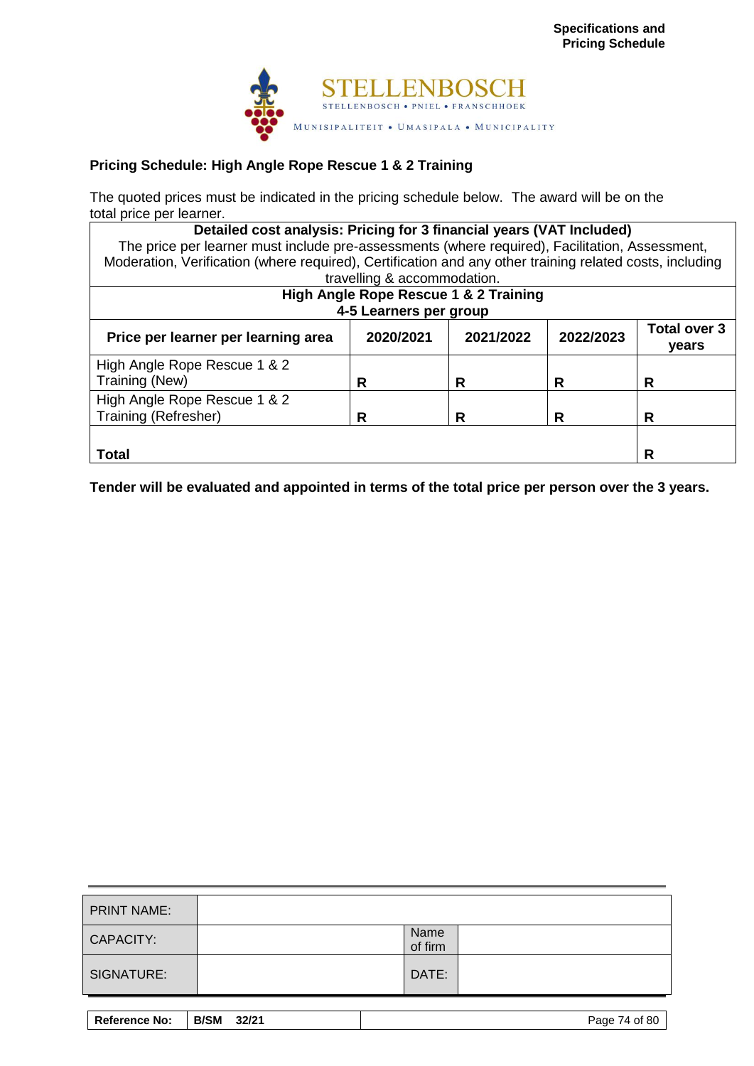

# **Pricing Schedule: High Angle Rope Rescue 1 & 2 Training**

The quoted prices must be indicated in the pricing schedule below. The award will be on the total price per learner.

| Detailed cost analysis: Pricing for 3 financial years (VAT Included)<br>The price per learner must include pre-assessments (where required), Facilitation, Assessment,<br>Moderation, Verification (where required), Certification and any other training related costs, including | travelling & accommodation. |                                       |           |                              |
|------------------------------------------------------------------------------------------------------------------------------------------------------------------------------------------------------------------------------------------------------------------------------------|-----------------------------|---------------------------------------|-----------|------------------------------|
|                                                                                                                                                                                                                                                                                    |                             | High Angle Rope Rescue 1 & 2 Training |           |                              |
|                                                                                                                                                                                                                                                                                    | 4-5 Learners per group      |                                       |           |                              |
| Price per learner per learning area                                                                                                                                                                                                                                                | 2020/2021                   | 2021/2022                             | 2022/2023 | <b>Total over 3</b><br>years |
| High Angle Rope Rescue 1 & 2<br>Training (New)                                                                                                                                                                                                                                     | R                           | R                                     | R         | R                            |
| High Angle Rope Rescue 1 & 2<br>Training (Refresher)                                                                                                                                                                                                                               | R                           | R                                     | R         | R                            |
| Total                                                                                                                                                                                                                                                                              |                             |                                       |           | R                            |

**Tender will be evaluated and appointed in terms of the total price per person over the 3 years.**

| <b>PRINT NAME:</b>   |                      |                 |               |
|----------------------|----------------------|-----------------|---------------|
| <b>CAPACITY:</b>     |                      | Name<br>of firm |               |
| SIGNATURE:           |                      | DATE:           |               |
|                      |                      |                 |               |
| <b>Reference No:</b> | <b>B/SM</b><br>32/21 |                 | Page 74 of 80 |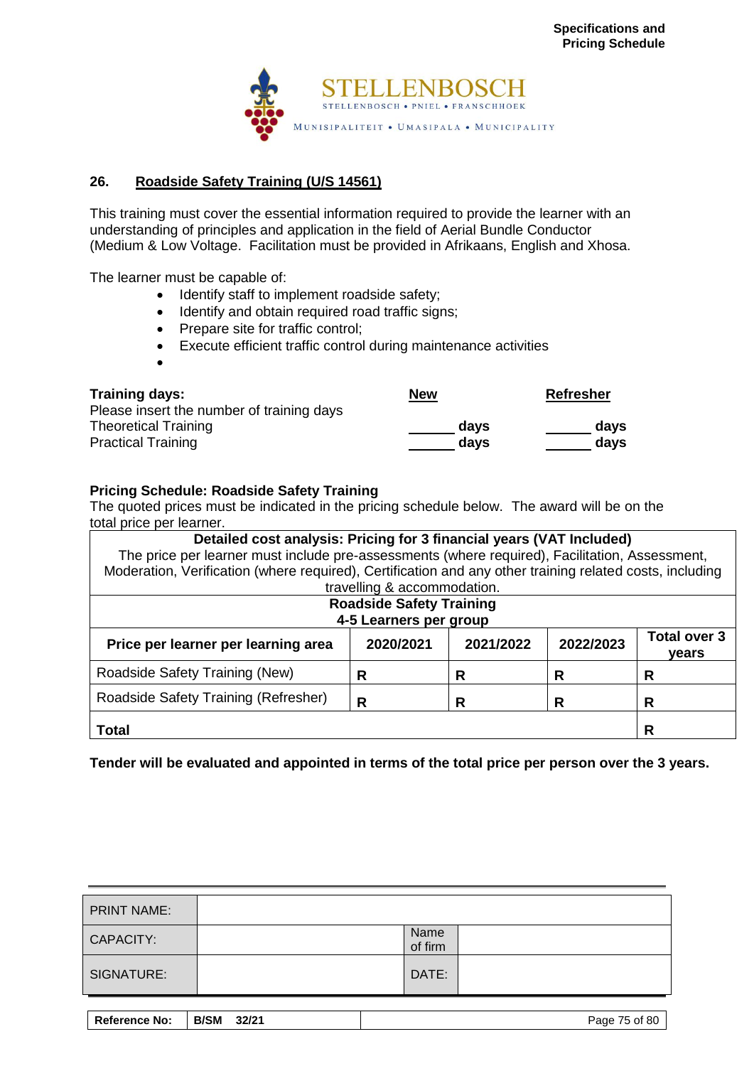

# **26. Roadside Safety Training (U/S 14561)**

This training must cover the essential information required to provide the learner with an understanding of principles and application in the field of Aerial Bundle Conductor (Medium & Low Voltage. Facilitation must be provided in Afrikaans, English and Xhosa.

The learner must be capable of:

- Identify staff to implement roadside safety;
- Identify and obtain required road traffic signs;
- Prepare site for traffic control;
- Execute efficient traffic control during maintenance activities
- •

| Training days:<br>Please insert the number of training days | <u>New</u> | <b>Refresher</b> |
|-------------------------------------------------------------|------------|------------------|
| <b>Theoretical Training</b>                                 | davs       | davs             |
| <b>Practical Training</b>                                   | days       | days             |

## **Pricing Schedule: Roadside Safety Training**

The quoted prices must be indicated in the pricing schedule below. The award will be on the total price per learner.

| Detailed cost analysis: Pricing for 3 financial years (VAT Included)<br>The price per learner must include pre-assessments (where required), Facilitation, Assessment,<br>Moderation, Verification (where required), Certification and any other training related costs, including<br>travelling & accommodation. |                                 |           |           |                              |
|-------------------------------------------------------------------------------------------------------------------------------------------------------------------------------------------------------------------------------------------------------------------------------------------------------------------|---------------------------------|-----------|-----------|------------------------------|
|                                                                                                                                                                                                                                                                                                                   | <b>Roadside Safety Training</b> |           |           |                              |
|                                                                                                                                                                                                                                                                                                                   |                                 |           |           |                              |
|                                                                                                                                                                                                                                                                                                                   | 4-5 Learners per group          |           |           |                              |
| Price per learner per learning area                                                                                                                                                                                                                                                                               | 2020/2021                       | 2021/2022 | 2022/2023 | <b>Total over 3</b><br>vears |
| Roadside Safety Training (New)                                                                                                                                                                                                                                                                                    | R                               | R         | R         | R                            |
| Roadside Safety Training (Refresher)                                                                                                                                                                                                                                                                              | R                               |           | R         | R                            |

**Tender will be evaluated and appointed in terms of the total price per person over the 3 years.**

**Total R**

| <b>PRINT NAME:</b> |                 |  |
|--------------------|-----------------|--|
| <b>CAPACITY:</b>   | Name<br>of firm |  |
| SIGNATURE:         | DATE:           |  |
|                    |                 |  |

| <b>Reference No:</b> | B/SM 32/21 | Page 75 of 80 |
|----------------------|------------|---------------|
|                      |            |               |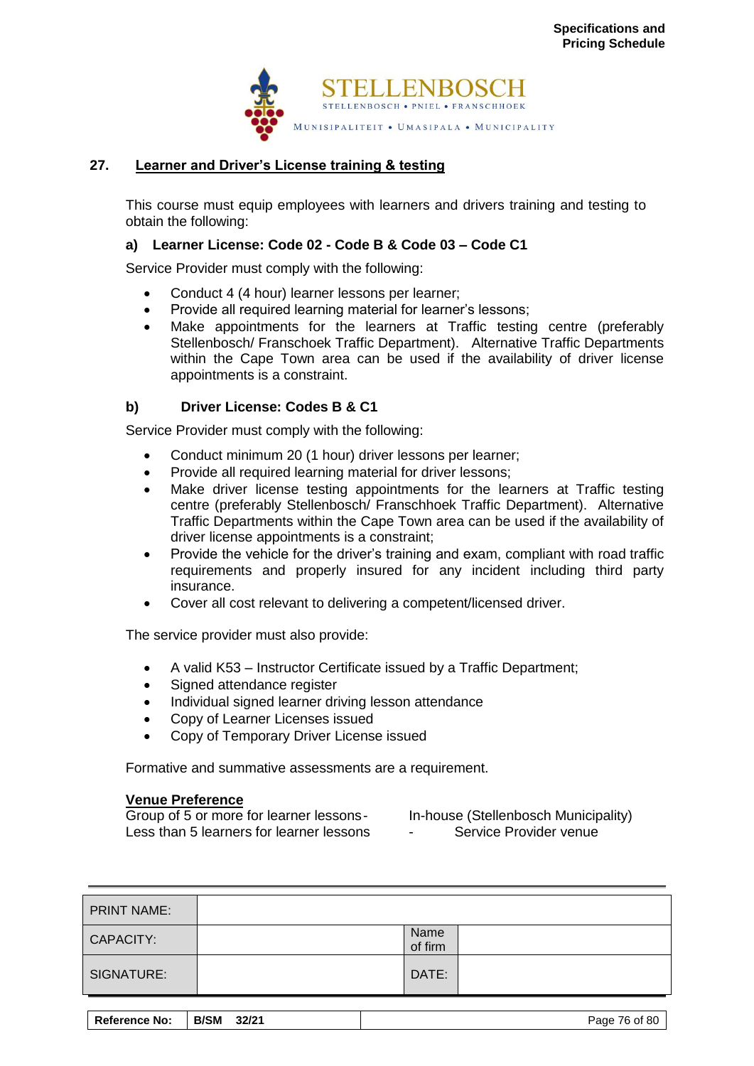

## **27. Learner and Driver's License training & testing**

This course must equip employees with learners and drivers training and testing to obtain the following:

#### **a) Learner License: Code 02 - Code B & Code 03 – Code C1**

Service Provider must comply with the following:

- Conduct 4 (4 hour) learner lessons per learner;
- Provide all required learning material for learner's lessons;
- Make appointments for the learners at Traffic testing centre (preferably Stellenbosch/ Franschoek Traffic Department). Alternative Traffic Departments within the Cape Town area can be used if the availability of driver license appointments is a constraint.

#### **b) Driver License: Codes B & C1**

Service Provider must comply with the following:

- Conduct minimum 20 (1 hour) driver lessons per learner;
- Provide all required learning material for driver lessons;
- Make driver license testing appointments for the learners at Traffic testing centre (preferably Stellenbosch/ Franschhoek Traffic Department). Alternative Traffic Departments within the Cape Town area can be used if the availability of driver license appointments is a constraint;
- Provide the vehicle for the driver's training and exam, compliant with road traffic requirements and properly insured for any incident including third party insurance.
- Cover all cost relevant to delivering a competent/licensed driver.

The service provider must also provide:

- A valid K53 Instructor Certificate issued by a Traffic Department;
- Signed attendance register
- Individual signed learner driving lesson attendance
- Copy of Learner Licenses issued
- Copy of Temporary Driver License issued

Formative and summative assessments are a requirement.

#### **Venue Preference**

Group of 5 or more for learner lessons- In-house (Stellenbosch Municipality) Less than 5 learners for learner lessons - Service Provider venue

- -

| <b>PRINT NAME:</b> |                      |                 |               |
|--------------------|----------------------|-----------------|---------------|
| <b>CAPACITY:</b>   |                      | Name<br>of firm |               |
| SIGNATURE:         |                      | DATE:           |               |
|                    |                      |                 |               |
| Reference No:      | <b>B/SM</b><br>32/21 |                 | Page 76 of 80 |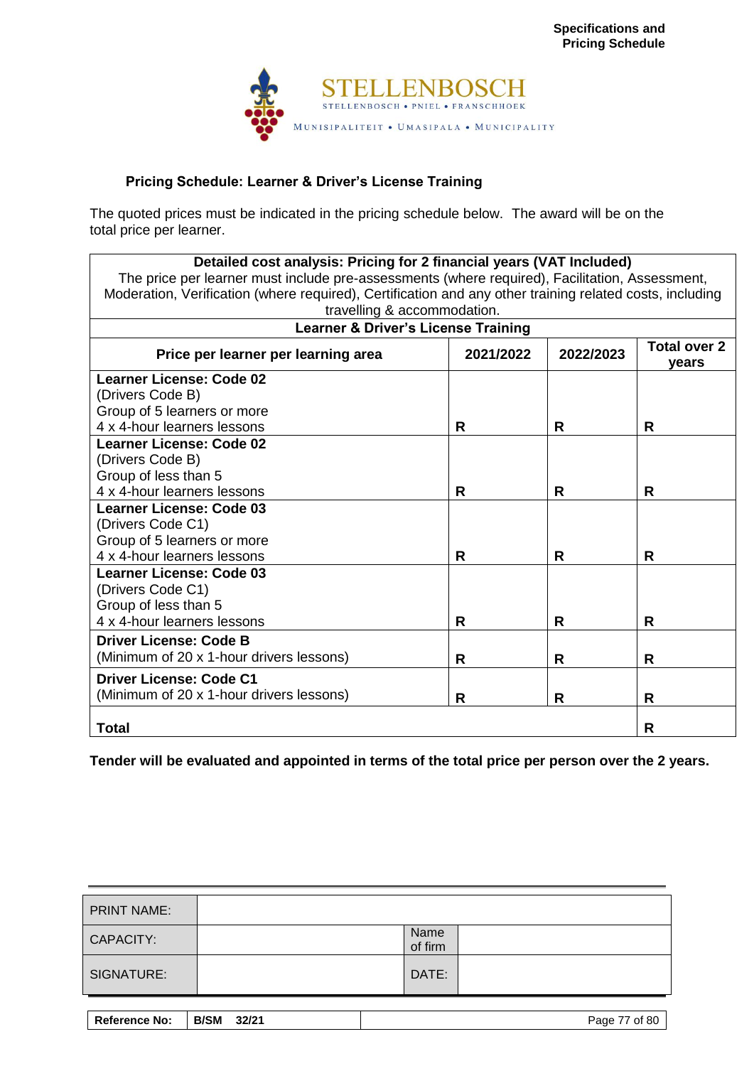

## **Pricing Schedule: Learner & Driver's License Training**

The quoted prices must be indicated in the pricing schedule below. The award will be on the total price per learner.

| The price per learner must include pre-assessments (where required), Facilitation, Assessment,<br>Moderation, Verification (where required), Certification and any other training related costs, including<br><b>Learner &amp; Driver's License Training</b> |                                       |  |  |
|--------------------------------------------------------------------------------------------------------------------------------------------------------------------------------------------------------------------------------------------------------------|---------------------------------------|--|--|
|                                                                                                                                                                                                                                                              |                                       |  |  |
|                                                                                                                                                                                                                                                              |                                       |  |  |
|                                                                                                                                                                                                                                                              |                                       |  |  |
|                                                                                                                                                                                                                                                              |                                       |  |  |
|                                                                                                                                                                                                                                                              | Total over 2<br>years                 |  |  |
|                                                                                                                                                                                                                                                              |                                       |  |  |
|                                                                                                                                                                                                                                                              |                                       |  |  |
|                                                                                                                                                                                                                                                              |                                       |  |  |
| R                                                                                                                                                                                                                                                            | R                                     |  |  |
|                                                                                                                                                                                                                                                              |                                       |  |  |
|                                                                                                                                                                                                                                                              |                                       |  |  |
|                                                                                                                                                                                                                                                              |                                       |  |  |
|                                                                                                                                                                                                                                                              | R                                     |  |  |
|                                                                                                                                                                                                                                                              |                                       |  |  |
|                                                                                                                                                                                                                                                              |                                       |  |  |
|                                                                                                                                                                                                                                                              |                                       |  |  |
|                                                                                                                                                                                                                                                              | R                                     |  |  |
|                                                                                                                                                                                                                                                              |                                       |  |  |
|                                                                                                                                                                                                                                                              |                                       |  |  |
|                                                                                                                                                                                                                                                              |                                       |  |  |
|                                                                                                                                                                                                                                                              | R                                     |  |  |
|                                                                                                                                                                                                                                                              |                                       |  |  |
| R                                                                                                                                                                                                                                                            | R                                     |  |  |
|                                                                                                                                                                                                                                                              |                                       |  |  |
| R                                                                                                                                                                                                                                                            | R                                     |  |  |
| <b>Total</b><br>R                                                                                                                                                                                                                                            |                                       |  |  |
|                                                                                                                                                                                                                                                              | 2021/2022<br>2022/2023<br>R<br>R<br>R |  |  |

**Tender will be evaluated and appointed in terms of the total price per person over the 2 years.**

| <b>PRINT NAME:</b>   |                      |                 |               |
|----------------------|----------------------|-----------------|---------------|
| CAPACITY:            |                      | Name<br>of firm |               |
| SIGNATURE:           |                      | DATE:           |               |
|                      |                      |                 |               |
| <b>Reference No:</b> | <b>B/SM</b><br>32/21 |                 | Page 77 of 80 |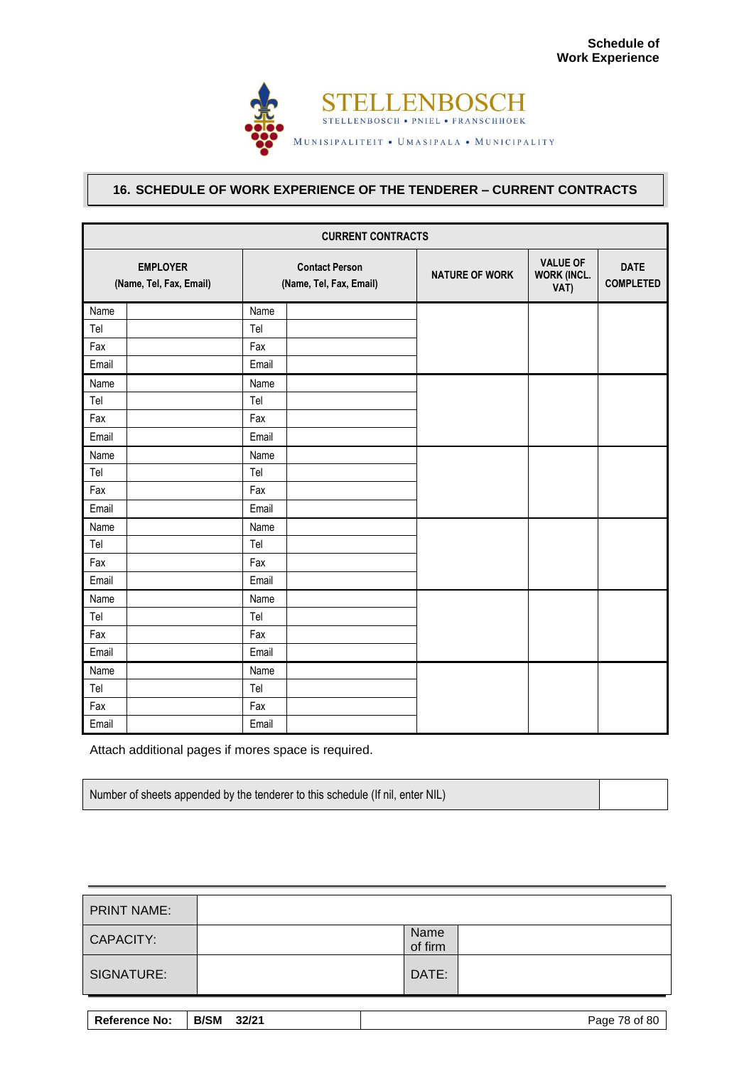

#### **16. SCHEDULE OF WORK EXPERIENCE OF THE TENDERER – CURRENT CONTRACTS**

| <b>CURRENT CONTRACTS</b>                   |       |                                                  |                       |                                               |                                 |
|--------------------------------------------|-------|--------------------------------------------------|-----------------------|-----------------------------------------------|---------------------------------|
| <b>EMPLOYER</b><br>(Name, Tel, Fax, Email) |       | <b>Contact Person</b><br>(Name, Tel, Fax, Email) | <b>NATURE OF WORK</b> | <b>VALUE OF</b><br><b>WORK (INCL.</b><br>VAT) | <b>DATE</b><br><b>COMPLETED</b> |
| Name                                       | Name  |                                                  |                       |                                               |                                 |
| Tel                                        | Tel   |                                                  |                       |                                               |                                 |
| Fax                                        | Fax   |                                                  |                       |                                               |                                 |
| Email                                      | Email |                                                  |                       |                                               |                                 |
| Name                                       | Name  |                                                  |                       |                                               |                                 |
| Tel                                        | Tel   |                                                  |                       |                                               |                                 |
| Fax                                        | Fax   |                                                  |                       |                                               |                                 |
| Email                                      | Email |                                                  |                       |                                               |                                 |
| Name                                       | Name  |                                                  |                       |                                               |                                 |
| Tel                                        | Tel   |                                                  |                       |                                               |                                 |
| Fax                                        | Fax   |                                                  |                       |                                               |                                 |
| Email                                      | Email |                                                  |                       |                                               |                                 |
| Name                                       | Name  |                                                  |                       |                                               |                                 |
| Tel                                        | Tel   |                                                  |                       |                                               |                                 |
| Fax                                        | Fax   |                                                  |                       |                                               |                                 |
| Email                                      | Email |                                                  |                       |                                               |                                 |
| Name                                       | Name  |                                                  |                       |                                               |                                 |
| Tel                                        | Tel   |                                                  |                       |                                               |                                 |
| Fax                                        | Fax   |                                                  |                       |                                               |                                 |
| Email                                      | Email |                                                  |                       |                                               |                                 |
| Name                                       | Name  |                                                  |                       |                                               |                                 |
| Tel                                        | Tel   |                                                  |                       |                                               |                                 |
| Fax                                        | Fax   |                                                  |                       |                                               |                                 |
| Email                                      | Email |                                                  |                       |                                               |                                 |

Attach additional pages if mores space is required.

| Number of sheets appended by the tenderer to this schedule (If nil, enter NIL) |  |
|--------------------------------------------------------------------------------|--|
|--------------------------------------------------------------------------------|--|

| <b>PRINT NAME:</b> |                 |  |
|--------------------|-----------------|--|
| CAPACITY:          | Name<br>of firm |  |
| SIGNATURE:         | DATE:           |  |

| <b>Reference No:</b> | <b>B/SM</b><br>32/21 | Page 78 of 80 |
|----------------------|----------------------|---------------|
|                      |                      |               |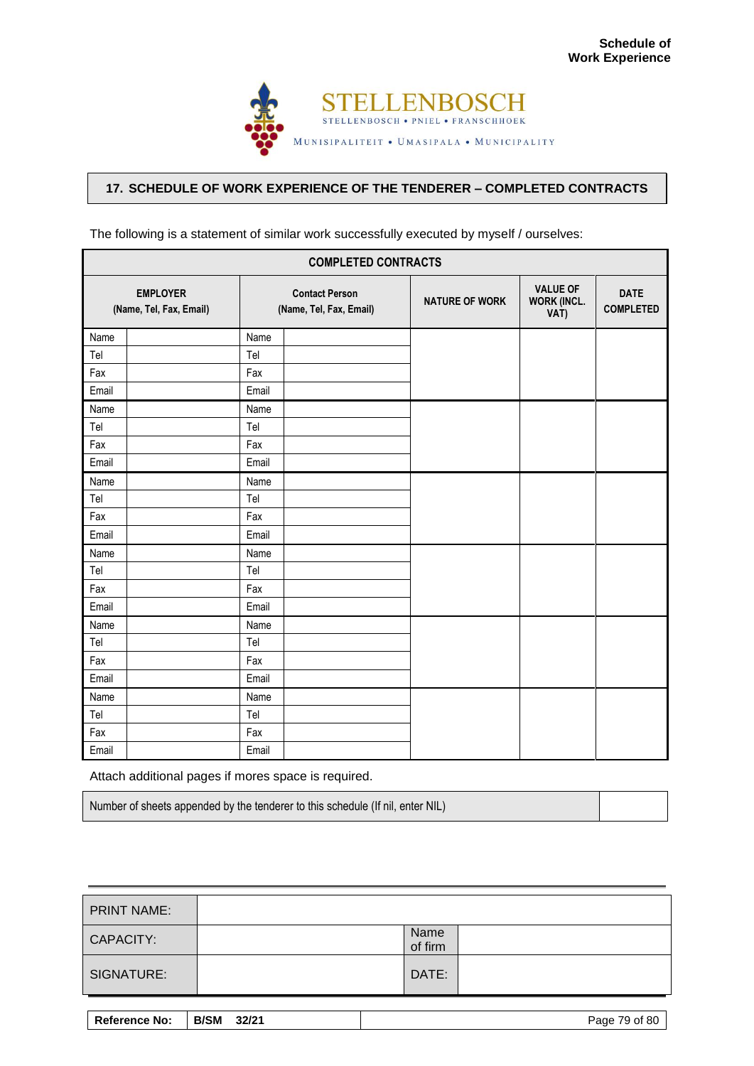

#### **17. SCHEDULE OF WORK EXPERIENCE OF THE TENDERER – COMPLETED CONTRACTS**

| <b>COMPLETED CONTRACTS</b>                                                                     |       |                       |                                               |                                 |  |
|------------------------------------------------------------------------------------------------|-------|-----------------------|-----------------------------------------------|---------------------------------|--|
| <b>EMPLOYER</b><br><b>Contact Person</b><br>(Name, Tel, Fax, Email)<br>(Name, Tel, Fax, Email) |       | <b>NATURE OF WORK</b> | <b>VALUE OF</b><br><b>WORK (INCL.</b><br>VAT) | <b>DATE</b><br><b>COMPLETED</b> |  |
| Name                                                                                           | Name  |                       |                                               |                                 |  |
| Tel                                                                                            | Tel   |                       |                                               |                                 |  |
| Fax                                                                                            | Fax   |                       |                                               |                                 |  |
| Email                                                                                          | Email |                       |                                               |                                 |  |
| Name                                                                                           | Name  |                       |                                               |                                 |  |
| Tel                                                                                            | Tel   |                       |                                               |                                 |  |
| Fax                                                                                            | Fax   |                       |                                               |                                 |  |
| Email                                                                                          | Email |                       |                                               |                                 |  |
| Name                                                                                           | Name  |                       |                                               |                                 |  |
| Tel                                                                                            | Tel   |                       |                                               |                                 |  |
| Fax                                                                                            | Fax   |                       |                                               |                                 |  |
| Email                                                                                          | Email |                       |                                               |                                 |  |
| Name                                                                                           | Name  |                       |                                               |                                 |  |
| Tel                                                                                            | Tel   |                       |                                               |                                 |  |
| Fax                                                                                            | Fax   |                       |                                               |                                 |  |
| Email                                                                                          | Email |                       |                                               |                                 |  |
| Name                                                                                           | Name  |                       |                                               |                                 |  |
| Tel                                                                                            | Tel   |                       |                                               |                                 |  |
| Fax                                                                                            | Fax   |                       |                                               |                                 |  |
| Email                                                                                          | Email |                       |                                               |                                 |  |
| Name                                                                                           | Name  |                       |                                               |                                 |  |
| Tel                                                                                            | Tel   |                       |                                               |                                 |  |
| Fax                                                                                            | Fax   |                       |                                               |                                 |  |
| Email                                                                                          | Email |                       |                                               |                                 |  |

The following is a statement of similar work successfully executed by myself / ourselves:

Attach additional pages if mores space is required.

Number of sheets appended by the tenderer to this schedule (If nil, enter NIL)

| <b>PRINT NAME:</b> |                 |  |
|--------------------|-----------------|--|
| <b>CAPACITY:</b>   | Name<br>of firm |  |
| SIGNATURE:         | DATE:           |  |

| <b>Reference No:</b> | B/SM | 32/21 | Page 79 of 80 |
|----------------------|------|-------|---------------|
|                      |      |       |               |